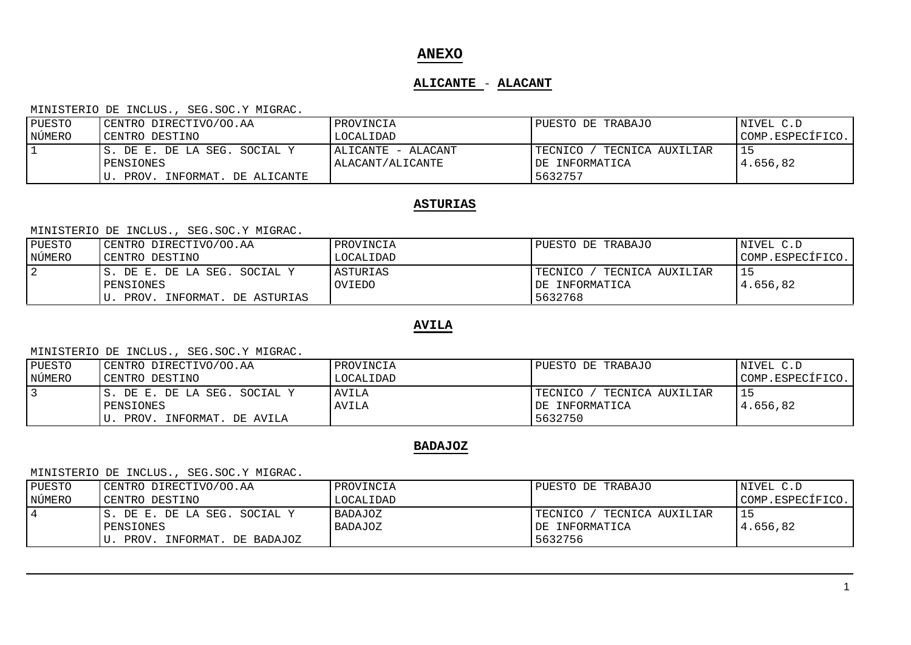# **ANEXO**

## **ALICANTE** - **ALACANT**

#### MINISTERIO DE INCLUS., SEG.SOC.Y MIGRAC.

| PUESTO | CENTRO DIRECTIVO/OO.AA         | PROVINCIA          | PUESTO DE TRABAJO           | NIVEL C.D        |
|--------|--------------------------------|--------------------|-----------------------------|------------------|
| NÚMERO | CENTRO DESTINO                 | LOCALIDAD          |                             | COMP.ESPECÍFICO. |
|        | S. DE E. DE LA SEG. SOCIAL Y   | ALICANTE - ALACANT | TECNICO<br>TECNICA AUXILIAR |                  |
|        | PENSIONES                      | ALACANT/ALICANTE   | IDE INFORMATICA             | 4.656.82         |
|        | INFORMAT. DE ALICANTE<br>PROV. |                    | 5632757                     |                  |

## **ASTURIAS**

### MINISTERIO DE INCLUS., SEG.SOC.Y MIGRAC.

| PUESTO         | CENTRO DIRECTIVO/OO.AA        | PROVINCIA | PUESTO DE TRABAJO           | NIVEL C.D        |
|----------------|-------------------------------|-----------|-----------------------------|------------------|
| NÚMERO         | CENTRO DESTINO                | LOCALIDAD |                             | COMP.ESPECÍFICO. |
| $\overline{2}$ | IS. DE E. DE LA SEG. SOCIAL Y | ASTURIAS  | TECNICO<br>TECNICA AUXILIAR |                  |
|                | PENSIONES                     | OVIEDO    | IDE INFORMATICA             | 4.656,82         |
|                | PROV. INFORMAT. DE ASTURIAS   |           | 5632768                     |                  |

## **AVILA**

#### MINISTERIO DE INCLUS., SEG.SOC.Y MIGRAC.

| PUESTO | CENTRO DIRECTIVO/OO.AA        | PROVINCIA | PUESTO DE TRABAJO           | NIVEL C.D        |
|--------|-------------------------------|-----------|-----------------------------|------------------|
| NÚMERO | CENTRO DESTINO                | LOCALIDAD |                             | COMP.ESPECÍFICO. |
|        | IS. DE E. DE LA SEG. SOCIAL Y | AVILA     | TECNICO<br>TECNICA AUXILIAR | 15               |
|        | PENSIONES                     | AVILA     | IDE INFORMATICA             | 4.656.82         |
|        | PROV.<br>INFORMAT. DE AVILA   |           | 5632750                     |                  |

## **BADAJOZ**

| PUESTO | CENTRO DIRECTIVO/OO.AA        | PROVINCIA      | PUESTO DE TRABAJO             | NIVEL C.D        |
|--------|-------------------------------|----------------|-------------------------------|------------------|
| NÚMERO | CENTRO DESTINO                | LOCALIDAD      |                               | COMP.ESPECÍFICO. |
|        | IS. DE E. DE LA SEG. SOCIAL Y | <b>BADAJOZ</b> | TECNICA AUXILIAR<br>TECNICO , |                  |
|        | PENSIONES                     | <b>BADAJOZ</b> | DE INFORMATICA                | 4.656.82         |
|        | PROV. INFORMAT. DE BADAJOZ    |                | 5632756                       |                  |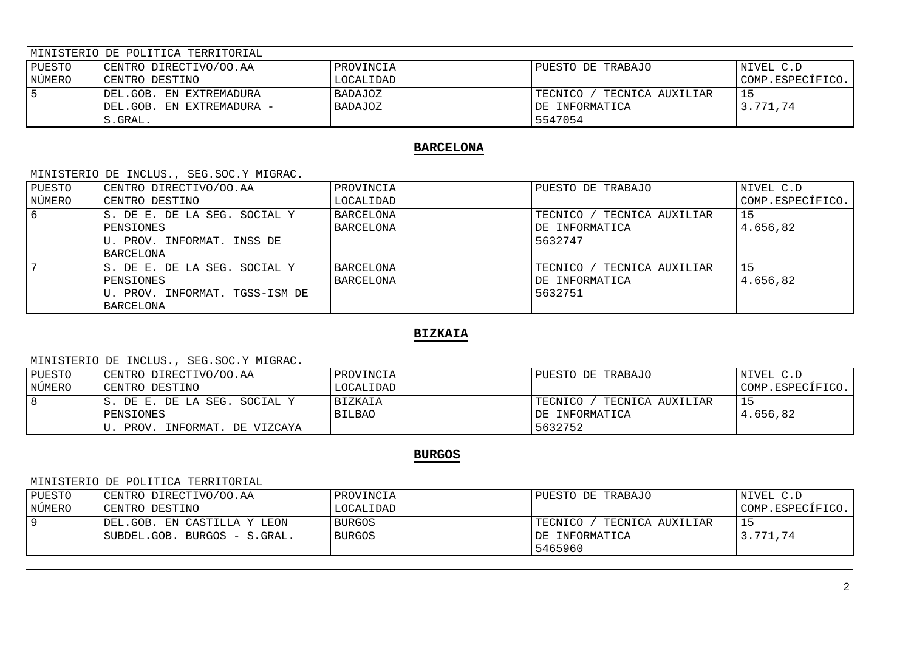| PUESTO | CENTRO DIRECTIVO/OO.AA                                                  | PROVINCIA                 | PUESTO DE TRABAJO                                          | NIVEL C.D        |
|--------|-------------------------------------------------------------------------|---------------------------|------------------------------------------------------------|------------------|
| NÚMERO | CENTRO DESTINO                                                          | LOCALIDAD                 |                                                            | COMP.ESPECÍFICO. |
|        | DEL.GOB. EN EXTREMADURA<br>DEL.GOB. EN EXTREMADURA -<br>$^\circ$ .GRAL. | BADAJOZ<br><b>BADAJOZ</b> | TECNICA AUXILIAR<br>TECNICO /<br>DE INFORMATICA<br>5547054 | -15<br>3.771.74  |

### **BARCELONA**

MINISTERIO DE INCLUS., SEG.SOC.Y MIGRAC.

| PUESTO | CENTRO DIRECTIVO/OO.AA         | PROVINCIA        | PUESTO DE TRABAJO               | NIVEL C.D        |
|--------|--------------------------------|------------------|---------------------------------|------------------|
| NÚMERO | CENTRO DESTINO                 | LOCALIDAD        |                                 | COMP.ESPECÍFICO. |
| 6      | S. DE E. DE LA SEG. SOCIAL Y   | <b>BARCELONA</b> | TECNICO /<br>' TECNICA AUXILIAR | 15               |
|        | PENSIONES                      | <b>BARCELONA</b> | DE INFORMATICA                  | 4.656.82         |
|        | U. PROV. INFORMAT. INSS DE     |                  | 5632747                         |                  |
|        | BARCELONA                      |                  |                                 |                  |
|        | S. DE E. DE LA SEG. SOCIAL Y   | <b>BARCELONA</b> | TECNICO / TECNICA AUXILIAR      | 15               |
|        | PENSIONES                      | <b>BARCELONA</b> | DE INFORMATICA                  | 4.656.82         |
|        | U. PROV. INFORMAT. TGSS-ISM DE |                  | 5632751                         |                  |
|        | BARCELONA                      |                  |                                 |                  |

# **BIZKAIA**

MINISTERIO DE INCLUS., SEG.SOC.Y MIGRAC.

| PUESTO | CENTRO DIRECTIVO/OO.AA        | PROVINCIA      | PUESTO DE TRABAJO           | NIVEL C.D        |
|--------|-------------------------------|----------------|-----------------------------|------------------|
| NÚMERO | CENTRO DESTINO                | LOCALIDAD      |                             | COMP.ESPECÍFICO. |
|        | IS. DE E. DE LA SEG. SOCIAL Y | <b>BIZKAIA</b> | TECNICO<br>TECNICA AUXILIAR |                  |
|        | PENSIONES                     | <b>BILBAO</b>  | DE INFORMATICA              | 4.656,82         |
|        | PROV. INFORMAT. DE VIZCAYA    |                | 5632752                     |                  |

## **BURGOS**

#### MINISTERIO DE POLITICA TERRITORIAL

| PUESTO | CENTRO DIRECTIVO/OO.AA       | PROVINCIA     | PUESTO DE TRABAJO            | NIVEL C.D        |
|--------|------------------------------|---------------|------------------------------|------------------|
| NÚMERO | CENTRO DESTINO               | LOCALIDAD     |                              | COMP.ESPECÍFICO. |
| 19     | IDEL.GOB. EN CASTILLA Y LEON | <b>BURGOS</b> | TECNICO,<br>TECNICA AUXILIAR |                  |
|        | SUBDEL.GOB. BURGOS - S.GRAL. | <b>BURGOS</b> | DE INFORMATICA               | 3.771.74         |
|        |                              |               | 5465960                      |                  |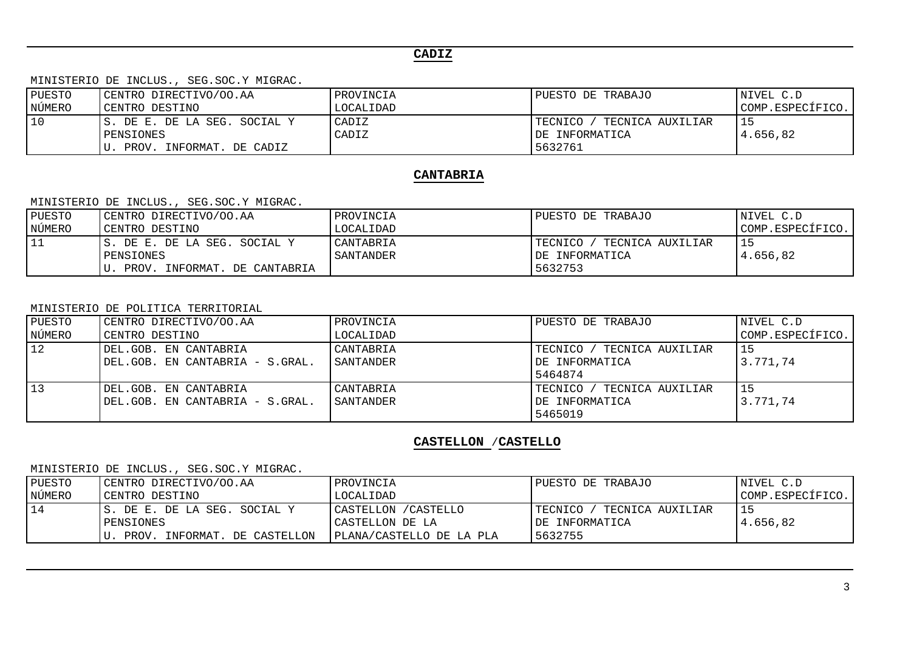# **CADIZ**

MINISTERIO DE INCLUS., SEG.SOC.Y MIGRAC.

| PUESTO | CENTRO DIRECTIVO/OO.AA                                                 | PROVINCIA      | PUESTO DE TRABAJO                                          | NIVEL C.D        |
|--------|------------------------------------------------------------------------|----------------|------------------------------------------------------------|------------------|
| NÚMERO | CENTRO DESTINO                                                         | LOCALIDAD      |                                                            | COMP.ESPECÍFICO. |
| 10     | IS. DE E. DE LA SEG. SOCIAL Y<br>PENSIONES<br>PROV. INFORMAT. DE CADIZ | CADIZ<br>CADIZ | TECNICA AUXILIAR<br>TECNICO /<br>DE INFORMATICA<br>5632761 | 4.656,82         |

### **CANTABRIA**

MINISTERIO DE INCLUS., SEG.SOC.Y MIGRAC.

| PUESTO | CENTRO DIRECTIVO/OO.AA        | PROVINCIA | PUESTO DE TRABAJO           | NIVEL C.D        |
|--------|-------------------------------|-----------|-----------------------------|------------------|
| NÚMERO | CENTRO DESTINO                | LOCALIDAD |                             | COMP.ESPECÍFICO. |
| 11     | IS. DE E. DE LA SEG. SOCIAL Y | CANTABRIA | TECNICO<br>TECNICA AUXILIAR |                  |
|        | PENSIONES                     | SANTANDER | IDE INFORMATICA             | 4.656.82         |
|        | PROV. INFORMAT. DE CANTABRIA  |           | 5632753                     |                  |

MINISTERIO DE POLITICA TERRITORIAL

| PUESTO | CENTRO DIRECTIVO/OO.AA          | PROVINCIA | PUESTO DE TRABAJO               | NIVEL C.D        |
|--------|---------------------------------|-----------|---------------------------------|------------------|
| NÚMERO | CENTRO DESTINO                  | LOCALIDAD |                                 | COMP.ESPECÍFICO. |
| 12     | DEL.GOB. EN CANTABRIA           | CANTABRIA | TECNICO /<br>' TECNICA AUXILIAR | 15               |
|        | DEL.GOB. EN CANTABRIA - S.GRAL. | SANTANDER | DE INFORMATICA                  | 3.771,74         |
|        |                                 |           | 5464874                         |                  |
| 13     | DEL.GOB. EN CANTABRIA           | CANTABRIA | TECNICO<br>TECNICA AUXILIAR     | 15               |
|        | DEL.GOB. EN CANTABRIA - S.GRAL. | SANTANDER | DE INFORMATICA                  | 3.771.74         |
|        |                                 |           | 5465019                         |                  |

## **CASTELLON** /**CASTELLO**

| PUESTO | CENTRO DIRECTIVO/OO.AA        | PROVINCIA                | PUESTO DE TRABAJO           | NIVEL C.D        |
|--------|-------------------------------|--------------------------|-----------------------------|------------------|
| NÚMERO | CENTRO DESTINO                | LOCALIDAD                |                             | COMP.ESPECÍFICO. |
| 14     | IS. DE E. DE LA SEG. SOCIAL Y | CASTELLON / CASTELLO     | TECNICO<br>TECNICA AUXILIAR |                  |
|        | PENSIONES                     | CASTELLON DE LA          | IDE INFORMATICA             | 4.656.82         |
|        | PROV. INFORMAT. DE CASTELLON  | PLANA/CASTELLO DE LA PLA | 5632755                     |                  |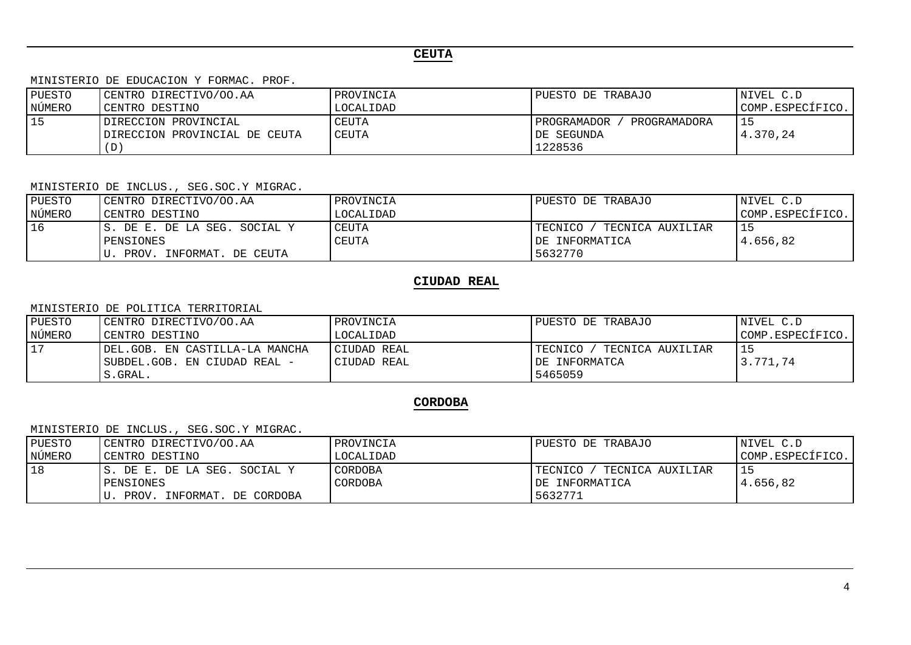# **CEUTA**

MINISTERIO DE EDUCACION Y FORMAC. PROF.

| PUESTO | CENTRO DIRECTIVO/OO.AA                                | PROVINCIA      | PUESTO DE TRABAJO                                            | NIVEL C.D        |
|--------|-------------------------------------------------------|----------------|--------------------------------------------------------------|------------------|
| NÚMERO | CENTRO DESTINO                                        | LOCALIDAD      |                                                              | COMP.ESPECÍFICO. |
| l 15   | DIRECCION PROVINCIAL<br>DIRECCION PROVINCIAL DE CEUTA | CEUTA<br>CEUTA | PROGRAMADOR<br>PROGRAMADORA<br><b>IDE SEGUNDA</b><br>1228536 | 4.370,24         |

MINISTERIO DE INCLUS., SEG.SOC.Y MIGRAC.

| PUESTO    | CENTRO DIRECTIVO/OO.AA        | PROVINCIA    | PUESTO DE TRABAJO           | NIVEL C.D        |
|-----------|-------------------------------|--------------|-----------------------------|------------------|
| NÚMERO    | CENTRO DESTINO                | LOCALIDAD    |                             | COMP.ESPECÍFICO. |
| <b>16</b> | IS. DE E. DE LA SEG. SOCIAL Y | CEUTA        | TECNICA AUXILIAR<br>TECNICO | 15               |
|           | PENSIONES                     | <b>CEUTA</b> | IDE INFORMATICA             | 4.656.82         |
|           | PROV.<br>INFORMAT. DE CEUTA   |              | 5632770                     |                  |

# **CIUDAD REAL**

#### MINISTERIO DE POLITICA TERRITORIAL

| PUESTO | CENTRO DIRECTIVO/OO.AA          | PROVINCIA   | PUESTO DE TRABAJO             | NIVEL C.D        |
|--------|---------------------------------|-------------|-------------------------------|------------------|
| NÚMERO | CENTRO DESTINO                  | LOCALIDAD   |                               | COMP.ESPECÍFICO. |
|        | IDEL.GOB. EN CASTILLA-LA MANCHA | CIUDAD REAL | TECNICO /<br>TECNICA AUXILIAR | 15               |
|        | ISUBDEL.GOB. EN CIUDAD REAL -   | CIUDAD REAL | IDE INFORMATCA                | 3.771.74         |
|        | S.GRAL.                         |             | 5465059                       |                  |

# **CORDOBA**

| PUESTO | CENTRO DIRECTIVO/OO.AA        | PROVINCIA | PUESTO DE TRABAJO             | NIVEL C.D        |
|--------|-------------------------------|-----------|-------------------------------|------------------|
| NÚMERO | CENTRO DESTINO                | LOCALIDAD |                               | COMP.ESPECÍFICO. |
| $18$   | IS. DE E. DE LA SEG. SOCIAL Y | CORDOBA   | ′ TECNICA AUXILIAR<br>TECNICO | 15               |
|        | PENSIONES                     | CORDOBA   | IDE INFORMATICA               | 4.656.82         |
|        | PROV. INFORMAT. DE CORDOBA    |           | 5632771                       |                  |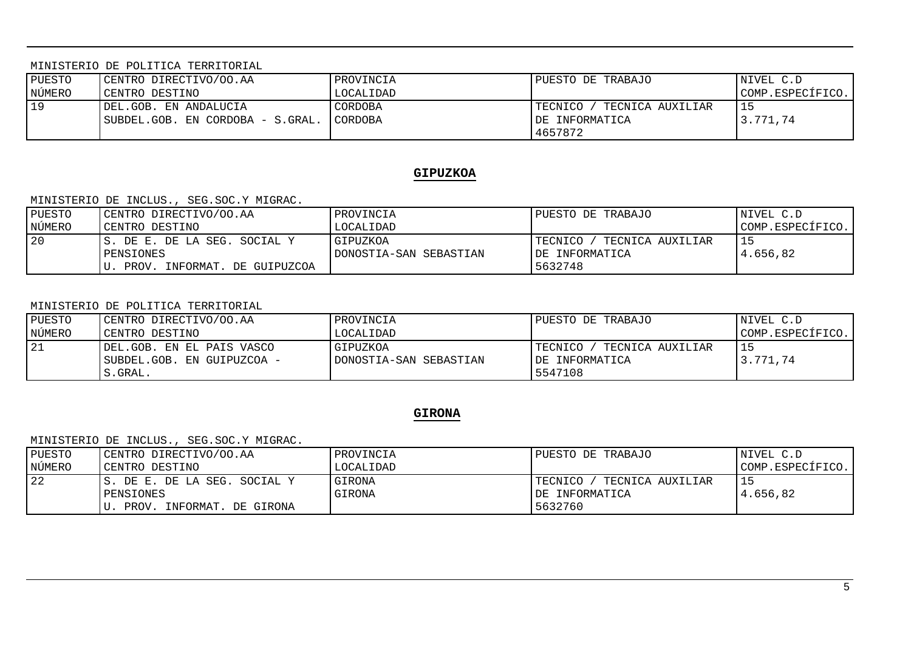MINISTERIO DE POLITICA TERRITORIAL

| NÚMERO<br>CENTRO DESTINO<br>LOCALIDAD                                                                                                                 | COMP.ESPECÍFICO. |
|-------------------------------------------------------------------------------------------------------------------------------------------------------|------------------|
| 19<br>CORDOBA<br>DEL.GOB. EN ANDALUCIA<br>' TECNICA AUXILIAR<br>TECNICO /<br>IDE INFORMATICA<br> SUBDEL.GOB. EN CORDOBA - S.GRAL.  CORDOBA<br>4657872 | 15<br>3.771.74   |

### **GIPUZKOA**

#### MINISTERIO DE INCLUS., SEG.SOC.Y MIGRAC.

| PUESTO | CENTRO DIRECTIVO/OO.AA        | PROVINCIA              | PUESTO DE TRABAJO           | NIVEL C.D        |
|--------|-------------------------------|------------------------|-----------------------------|------------------|
| NÚMERO | CENTRO DESTINO                | LOCALIDAD              |                             | COMP.ESPECÍFICO. |
| 20     | IS. DE E. DE LA SEG. SOCIAL Y | GIPUZKOA               | TECNICA AUXILIAR<br>TECNICO |                  |
|        | PENSIONES                     | DONOSTIA-SAN SEBASTIAN | IDE INFORMATICA             | 4.656,82         |
|        | PROV. INFORMAT. DE GUIPUZCOA  |                        | 5632748                     |                  |

#### MINISTERIO DE POLITICA TERRITORIAL

| PUESTO | CENTRO DIRECTIVO/OO.AA     | PROVINCIA              | PUESTO DE TRABAJO             | NIVEL C.D        |
|--------|----------------------------|------------------------|-------------------------------|------------------|
| NÚMERO | CENTRO DESTINO             | LOCALIDAD              |                               | COMP.ESPECÍFICO. |
| 21     | IDEL.GOB. EN EL PAIS VASCO | GIPUZKOA               | TECNICA AUXILIAR<br>TECNICO / |                  |
|        | SUBDEL.GOB. EN GUIPUZCOA - | DONOSTIA-SAN SEBASTIAN | IDE INFORMATICA               | 3.771.74         |
|        | S.GRAL.                    |                        | 5547108                       |                  |

### **GIRONA**

| PUESTO | CENTRO DIRECTIVO/OO.AA        | PROVINCIA | PUESTO DE TRABAJO           | NIVEL C.D        |
|--------|-------------------------------|-----------|-----------------------------|------------------|
| NÚMERO | CENTRO DESTINO                | LOCALIDAD |                             | COMP.ESPECÍFICO. |
| 22     | IS. DE E. DE LA SEG. SOCIAL Y | GIRONA    | TECNICA AUXILIAR<br>TECNICO |                  |
|        | PENSIONES                     | GIRONA    | DE INFORMATICA              | 4.656.82         |
|        | U. PROV. INFORMAT. DE GIRONA  |           | 5632760                     |                  |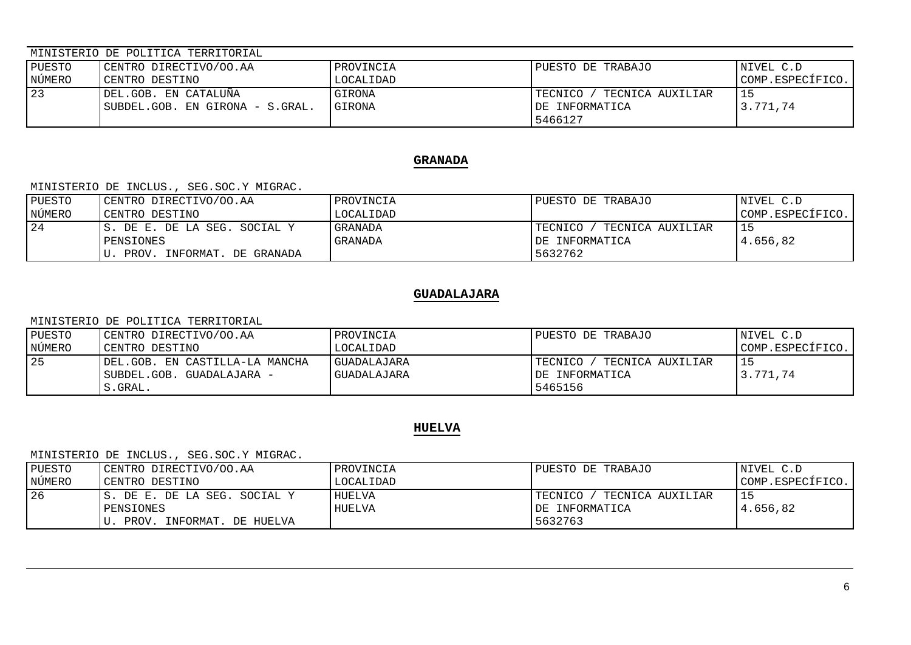| PUESTO | CENTRO DIRECTIVO/OO.AA                                     | PROVINCIA               | PUESTO DE TRABAJO                                        | NIVEL C.D        |
|--------|------------------------------------------------------------|-------------------------|----------------------------------------------------------|------------------|
| NÚMERO | CENTRO DESTINO                                             | LOCALIDAD               |                                                          | COMP.ESPECÍFICO. |
| 23     | IDEL.GOB. EN CATALUÑA<br>  SUBDEL.GOB. EN GIRONA - S.GRAL. | GIRONA<br><b>GIRONA</b> | TECNICA AUXILIAR<br>TECNICO<br>DE INFORMATICA<br>5466127 | 3.771.74         |

## **GRANADA**

MINISTERIO DE INCLUS., SEG.SOC.Y MIGRAC.

| PUESTO | CENTRO DIRECTIVO/OO.AA        | PROVINCIA      | PUESTO DE TRABAJO           | NIVEL C.D        |
|--------|-------------------------------|----------------|-----------------------------|------------------|
| NÚMERO | CENTRO DESTINO                | LOCALIDAD      |                             | COMP.ESPECÍFICO. |
| 24     | IS. DE E. DE LA SEG. SOCIAL Y | <b>GRANADA</b> | TECNICA AUXILIAR<br>TECNICO | 15               |
|        | PENSIONES                     | GRANADA        | IDE INFORMATICA             | 4.656.82         |
|        | PROV. INFORMAT. DE GRANADA    |                | 5632762                     |                  |

## **GUADALAJARA**

MINISTERIO DE POLITICA TERRITORIAL

| PUESTO | CENTRO DIRECTIVO/OO.AA          | PROVINCIA          | PUESTO DE TRABAJO           | INIVEL C.D       |
|--------|---------------------------------|--------------------|-----------------------------|------------------|
| NÚMERO | CENTRO DESTINO                  | LOCALIDAD          |                             | COMP.ESPECÍFICO. |
| 25     | IDEL.GOB. EN CASTILLA-LA MANCHA | <b>GUADALAJARA</b> | TECNICO<br>TECNICA AUXILIAR | 15               |
|        | SUBDEL.GOB. GUADALAJARA -       | GUADALAJARA        | IDE INFORMATICA             | 3.771.74         |
|        | S.GRAL.                         |                    | 5465156                     |                  |

# **HUELVA**

| <b>IPUESTO</b> | CENTRO DIRECTIVO/OO.AA        | PROVINCIA | PUESTO DE TRABAJO             | NIVEL C.D        |
|----------------|-------------------------------|-----------|-------------------------------|------------------|
| NÚMERO         | CENTRO DESTINO                | LOCALIDAD |                               | COMP.ESPECÍFICO. |
| 126            | IS. DE E. DE LA SEG. SOCIAL Y | HUELVA    | TECNICA AUXILIAR<br>TECNICO / |                  |
|                | PENSIONES                     | HUELVA    | IDE INFORMATICA               | 4.656.82         |
|                | PROV. INFORMAT. DE HUELVA     |           | 5632763                       |                  |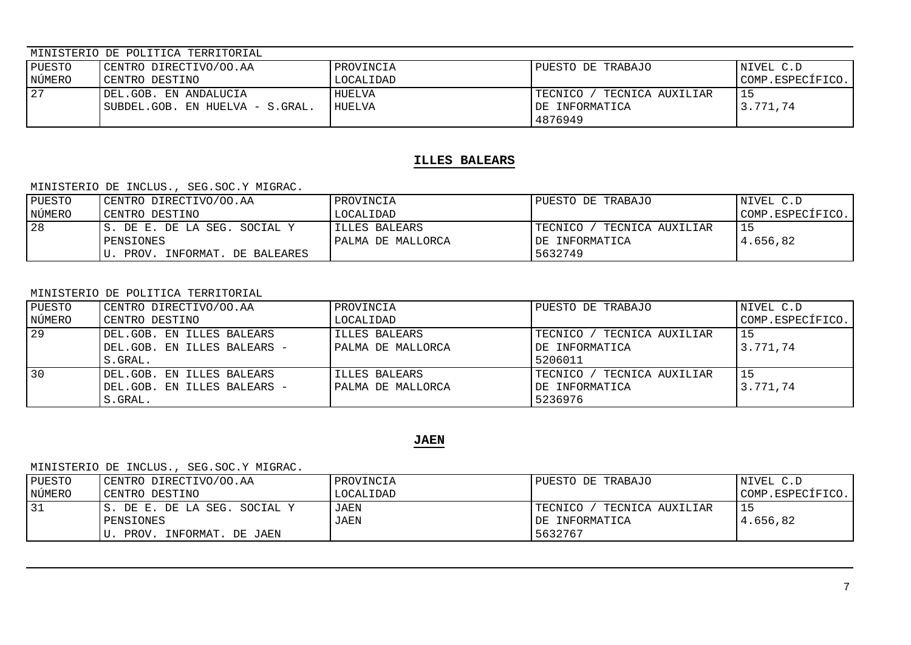| PUESTO | CENTRO DIRECTIVO/OO.AA                                   | PROVINCIA        | PUESTO DE TRABAJO                                            | NIVEL C.D        |
|--------|----------------------------------------------------------|------------------|--------------------------------------------------------------|------------------|
| NÚMERO | CENTRO DESTINO                                           | LOCALIDAD        |                                                              | COMP.ESPECÍFICO. |
| 27     | DEL.GOB. EN ANDALUCIA<br>SUBDEL.GOB. EN HUELVA - S.GRAL. | HUELVA<br>HUELVA | ' TECNICA AUXILIAR<br>'TECNICO<br>IDE INFORMATICA<br>4876949 | 3.771,74         |

## **ILLES BALEARS**

MINISTERIO DE INCLUS., SEG.SOC.Y MIGRAC.

| PUESTO | CENTRO DIRECTIVO/OO.AA        | PROVINCIA         | PUESTO DE TRABAJO           | NIVEL C.D        |
|--------|-------------------------------|-------------------|-----------------------------|------------------|
| NÚMERO | CENTRO DESTINO                | LOCALIDAD         |                             | COMP.ESPECÍFICO. |
| 28     | IS. DE E. DE LA SEG. SOCIAL Y | IILLES BALEARS    | TECNICO<br>TECNICA AUXILIAR |                  |
|        | PENSIONES                     | PALMA DE MALLORCA | IDE INFORMATICA             | 4.656.82         |
|        | PROV. INFORMAT. DE BALEARES   |                   | 5632749                     |                  |

#### MINISTERIO DE POLITICA TERRITORIAL

| PUESTO | CENTRO DIRECTIVO/OO.AA      | PROVINCIA         | PUESTO DE TRABAJO               | NIVEL C.D        |
|--------|-----------------------------|-------------------|---------------------------------|------------------|
| NÚMERO | CENTRO DESTINO              | LOCALIDAD         |                                 | COMP.ESPECÍFICO. |
| 29     | DEL.GOB. EN ILLES BALEARS   | ILLLES BALEARS    | TECNICO / TECNICA AUXILIAR      | 15               |
|        | DEL.GOB. EN ILLES BALEARS - | PALMA DE MALLORCA | DE INFORMATICA                  | 3.771.74         |
|        | S.GRAL.                     |                   | 5206011                         |                  |
| 30     | DEL.GOB. EN ILLES BALEARS   | ILLES BALEARS     | TECNICO /<br>' TECNICA AUXILIAR |                  |
|        | DEL.GOB. EN ILLES BALEARS - | PALMA DE MALLORCA | DE INFORMATICA                  | 3.771.74         |
|        | S.GRAL.                     |                   | 5236976                         |                  |

# **JAEN**

| PUESTO | CENTRO DIRECTIVO/OO.AA        | PROVINCIA   | PUESTO DE TRABAJO               | NIVEL C.D        |
|--------|-------------------------------|-------------|---------------------------------|------------------|
| NÚMERO | CENTRO DESTINO                | LOCALIDAD   |                                 | COMP.ESPECÍFICO. |
| 131    | IS. DE E. DE LA SEG. SOCIAL Y | JAEN        | TECNICO /<br>' TECNICA AUXILIAR |                  |
|        | PENSIONES                     | <b>JAEN</b> | IDE INFORMATICA                 | 4.656.82         |
|        | PROV. INFORMAT. DE JAEN       |             | 5632767                         |                  |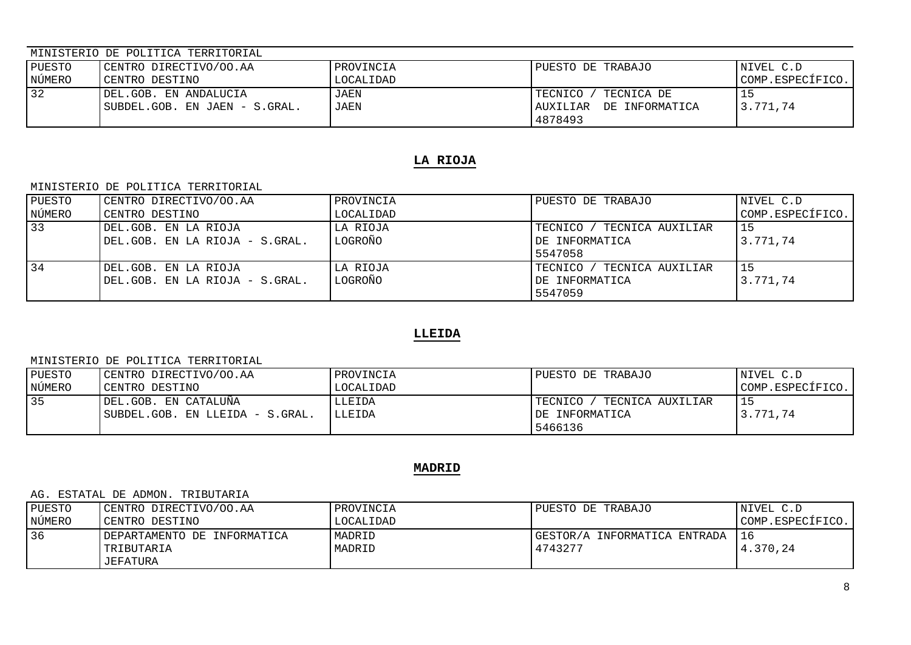| PUESTO | CENTRO DIRECTIVO/OO.AA                                  | PROVINCIA    | PUESTO DE TRABAJO                                              | NIVEL C.D        |
|--------|---------------------------------------------------------|--------------|----------------------------------------------------------------|------------------|
| NÚMERO | CENTRO DESTINO                                          | LOCALIDAD    |                                                                | COMP.ESPECÍFICO. |
| 32     | DEL.GOB. EN ANDALUCIA<br> SUBDEL.GOB. EN JAEN - S.GRAL. | JAEN<br>JAEN | TECNICA DE<br>TECNICO<br>DE INFORMATICA<br>AUXILIAR<br>4878493 | 3.771.74         |

## **LA RIOJA**

MINISTERIO DE POLITICA TERRITORIAL

| PUESTO | CENTRO DIRECTIVO/OO.AA         | PROVINCIA | PUESTO DE TRABAJO               | NIVEL C.D        |
|--------|--------------------------------|-----------|---------------------------------|------------------|
| NÚMERO | CENTRO DESTINO                 | LOCALIDAD |                                 | COMP.ESPECÍFICO. |
| $33$   | DEL.GOB. EN LA RIOJA           | LA RIOJA  | TECNICO / TECNICA AUXILIAR      | 15               |
|        | DEL.GOB. EN LA RIOJA - S.GRAL. | LOGROÑO   | DE INFORMATICA                  | 3.771,74         |
|        |                                |           | 5547058                         |                  |
| 34     | DEL.GOB. EN LA RIOJA           | LA RIOJA  | TECNICO /<br>' TECNICA AUXILIAR | 15               |
|        | DEL.GOB. EN LA RIOJA - S.GRAL. | LOGROÑO   | DE INFORMATICA                  | 3.771.74         |
|        |                                |           | 5547059                         |                  |

# **LLEIDA**

#### MINISTERIO DE POLITICA TERRITORIAL

| PUESTO | CENTRO DIRECTIVO/OO.AA          | PROVINCIA     | PUESTO DE TRABAJO             | INIVEL C.D       |
|--------|---------------------------------|---------------|-------------------------------|------------------|
| NÚMERO | CENTRO DESTINO                  | LOCALIDAD     |                               | COMP.ESPECÍFICO. |
| 35     | IDEL.GOB. EN CATALUÑA           | LLEIDA        | TECNICA AUXILIAR<br>TECNICO / | 15               |
|        | SUBDEL.GOB. EN LLEIDA - S.GRAL. | <b>LLEIDA</b> | IDE INFORMATICA               | 3.771.74         |
|        |                                 |               | 5466136                       |                  |

## **MADRID**

#### AG. ESTATAL DE ADMON. TRIBUTARIA

| PUESTO | CENTRO DIRECTIVO/OO.AA      | PROVINCIA | PUESTO DE TRABAJO            | NIVEL C.D        |
|--------|-----------------------------|-----------|------------------------------|------------------|
| NÚMERO | CENTRO DESTINO              | LOCALIDAD |                              | COMP.ESPECIFICO. |
| 36     | DEPARTAMENTO DE INFORMATICA | MADRID    | GESTOR/A INFORMATICA ENTRADA | 16               |
|        | TRIBUTARIA                  | MADRID    | 4743277                      | 4.370.24         |
|        | JEFATURA                    |           |                              |                  |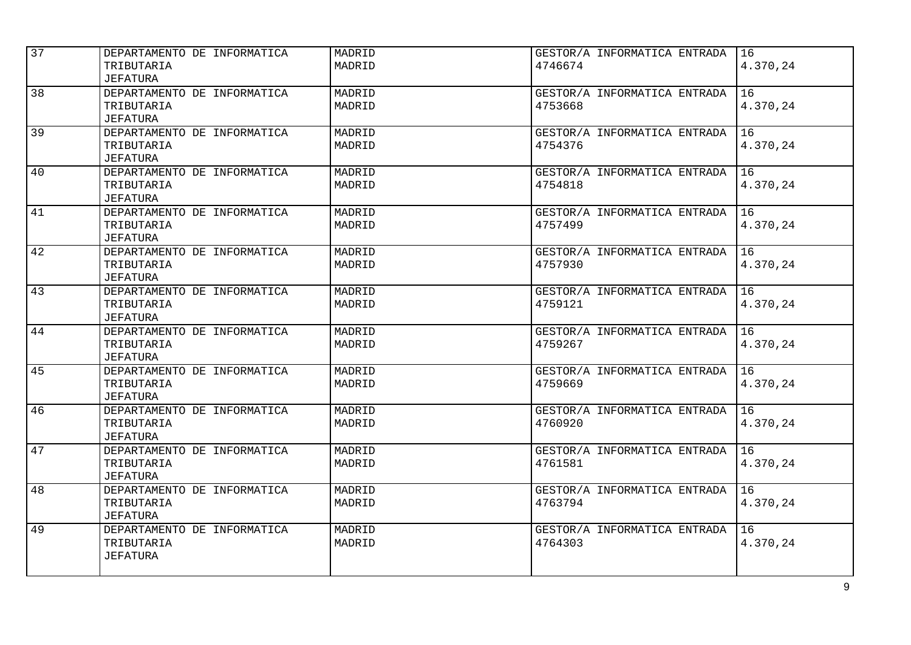| 37              |                             |        |                              |                 |
|-----------------|-----------------------------|--------|------------------------------|-----------------|
|                 | DEPARTAMENTO DE INFORMATICA | MADRID | GESTOR/A INFORMATICA ENTRADA | 16              |
|                 | TRIBUTARIA                  | MADRID | 4746674                      | 4.370,24        |
|                 | <b>JEFATURA</b>             |        |                              |                 |
| $\overline{38}$ | DEPARTAMENTO DE INFORMATICA | MADRID | GESTOR/A INFORMATICA ENTRADA | $\overline{16}$ |
|                 | TRIBUTARIA                  | MADRID | 4753668                      | 4.370,24        |
|                 | JEFATURA                    |        |                              |                 |
| 39              | DEPARTAMENTO DE INFORMATICA | MADRID | GESTOR/A INFORMATICA ENTRADA | 16              |
|                 | TRIBUTARIA                  | MADRID | 4754376                      | 4.370,24        |
|                 | JEFATURA                    |        |                              |                 |
| 40              | DEPARTAMENTO DE INFORMATICA | MADRID | GESTOR/A INFORMATICA ENTRADA | 16              |
|                 | TRIBUTARIA                  | MADRID | 4754818                      | 4.370,24        |
|                 | <b>JEFATURA</b>             |        |                              |                 |
| 41              | DEPARTAMENTO DE INFORMATICA | MADRID | GESTOR/A INFORMATICA ENTRADA | 16              |
|                 |                             | MADRID | 4757499                      | 4.370,24        |
|                 | TRIBUTARIA                  |        |                              |                 |
|                 | JEFATURA                    |        |                              |                 |
| 42              | DEPARTAMENTO DE INFORMATICA | MADRID | GESTOR/A INFORMATICA ENTRADA | 16              |
|                 | TRIBUTARIA                  | MADRID | 4757930                      | 4.370,24        |
|                 | JEFATURA                    |        |                              |                 |
| 43              | DEPARTAMENTO DE INFORMATICA | MADRID | GESTOR/A INFORMATICA ENTRADA | 16              |
|                 | TRIBUTARIA                  | MADRID | 4759121                      | 4.370,24        |
|                 | <b>JEFATURA</b>             |        |                              |                 |
| 44              | DEPARTAMENTO DE INFORMATICA | MADRID | GESTOR/A INFORMATICA ENTRADA | 16              |
|                 | TRIBUTARIA                  | MADRID | 4759267                      | 4.370,24        |
|                 | <b>JEFATURA</b>             |        |                              |                 |
| 45              | DEPARTAMENTO DE INFORMATICA | MADRID | GESTOR/A INFORMATICA ENTRADA | 16              |
|                 | TRIBUTARIA                  | MADRID | 4759669                      | 4.370,24        |
|                 | JEFATURA                    |        |                              |                 |
| 46              | DEPARTAMENTO DE INFORMATICA | MADRID | GESTOR/A INFORMATICA ENTRADA | 16              |
|                 | TRIBUTARIA                  | MADRID | 4760920                      | 4.370,24        |
|                 | <b>JEFATURA</b>             |        |                              |                 |
| 47              | DEPARTAMENTO DE INFORMATICA | MADRID | GESTOR/A INFORMATICA ENTRADA | 16              |
|                 | TRIBUTARIA                  | MADRID | 4761581                      | 4.370,24        |
|                 | <b>JEFATURA</b>             |        |                              |                 |
|                 |                             |        |                              |                 |
| 48              | DEPARTAMENTO DE INFORMATICA | MADRID | GESTOR/A INFORMATICA ENTRADA | 16              |
|                 | TRIBUTARIA                  | MADRID | 4763794                      | 4.370,24        |
|                 | JEFATURA                    |        |                              |                 |
| 49              | DEPARTAMENTO DE INFORMATICA | MADRID | GESTOR/A INFORMATICA ENTRADA | 16              |
|                 | TRIBUTARIA                  | MADRID | 4764303                      | 4.370,24        |
|                 | <b>JEFATURA</b>             |        |                              |                 |
|                 |                             |        |                              |                 |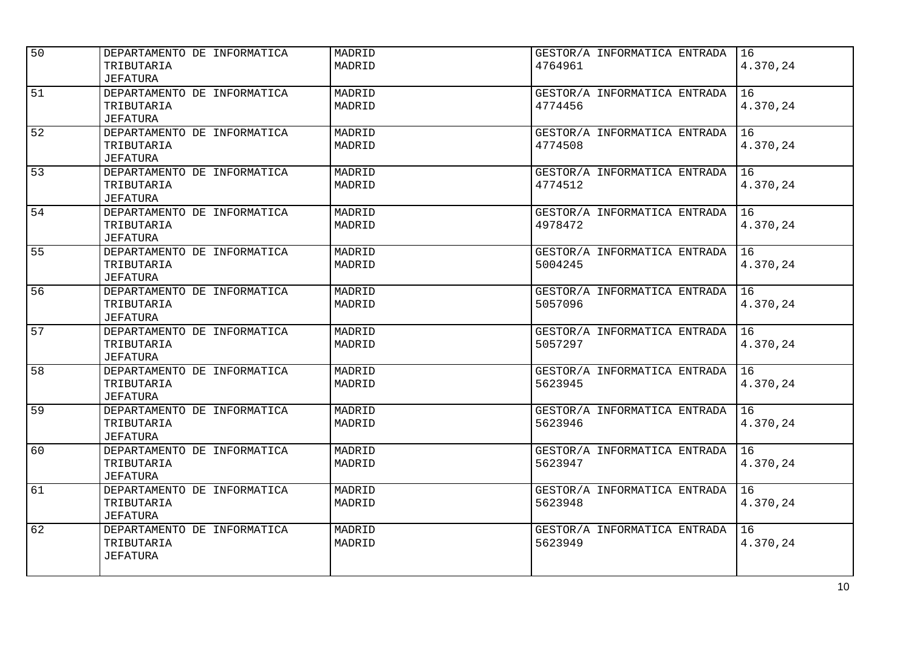| 50 | DEPARTAMENTO DE INFORMATICA | MADRID | GESTOR/A INFORMATICA ENTRADA | 16       |
|----|-----------------------------|--------|------------------------------|----------|
|    | TRIBUTARIA                  | MADRID | 4764961                      | 4.370,24 |
|    | <b>JEFATURA</b>             |        |                              |          |
| 51 | DEPARTAMENTO DE INFORMATICA | MADRID | GESTOR/A INFORMATICA ENTRADA | 16       |
|    | TRIBUTARIA                  | MADRID | 4774456                      | 4.370,24 |
|    | <b>JEFATURA</b>             |        |                              |          |
| 52 | DEPARTAMENTO DE INFORMATICA | MADRID | GESTOR/A INFORMATICA ENTRADA | 16       |
|    | TRIBUTARIA                  | MADRID | 4774508                      | 4.370,24 |
|    | <b>JEFATURA</b>             |        |                              |          |
| 53 | DEPARTAMENTO DE INFORMATICA | MADRID | GESTOR/A INFORMATICA ENTRADA | 16       |
|    | TRIBUTARIA                  | MADRID | 4774512                      | 4.370,24 |
|    | <b>JEFATURA</b>             |        |                              |          |
| 54 | DEPARTAMENTO DE INFORMATICA | MADRID | GESTOR/A INFORMATICA ENTRADA | 16       |
|    | TRIBUTARIA                  | MADRID | 4978472                      | 4.370,24 |
|    | <b>JEFATURA</b>             |        |                              |          |
| 55 | DEPARTAMENTO DE INFORMATICA | MADRID | GESTOR/A INFORMATICA ENTRADA | 16       |
|    | TRIBUTARIA                  | MADRID | 5004245                      | 4.370,24 |
|    | JEFATURA                    |        |                              |          |
| 56 | DEPARTAMENTO DE INFORMATICA | MADRID | GESTOR/A INFORMATICA ENTRADA | 16       |
|    | TRIBUTARIA                  | MADRID | 5057096                      | 4.370,24 |
|    | JEFATURA                    |        |                              |          |
| 57 | DEPARTAMENTO DE INFORMATICA | MADRID | GESTOR/A INFORMATICA ENTRADA | 16       |
|    | TRIBUTARIA                  | MADRID | 5057297                      | 4.370,24 |
|    | <b>JEFATURA</b>             |        |                              |          |
| 58 | DEPARTAMENTO DE INFORMATICA | MADRID | GESTOR/A INFORMATICA ENTRADA | 16       |
|    | TRIBUTARIA                  | MADRID | 5623945                      | 4.370,24 |
|    | <b>JEFATURA</b>             |        |                              |          |
| 59 | DEPARTAMENTO DE INFORMATICA | MADRID | GESTOR/A INFORMATICA ENTRADA | 16       |
|    | TRIBUTARIA                  | MADRID | 5623946                      | 4.370,24 |
|    | <b>JEFATURA</b>             |        |                              |          |
| 60 | DEPARTAMENTO DE INFORMATICA | MADRID | GESTOR/A INFORMATICA ENTRADA | 16       |
|    | TRIBUTARIA                  | MADRID | 5623947                      | 4.370,24 |
|    | JEFATURA                    |        |                              |          |
| 61 | DEPARTAMENTO DE INFORMATICA | MADRID | GESTOR/A INFORMATICA ENTRADA | 16       |
|    | TRIBUTARIA                  | MADRID | 5623948                      | 4.370,24 |
|    | JEFATURA                    |        |                              |          |
| 62 | DEPARTAMENTO DE INFORMATICA | MADRID | GESTOR/A INFORMATICA ENTRADA | 16       |
|    | TRIBUTARIA                  | MADRID | 5623949                      | 4.370,24 |
|    | <b>JEFATURA</b>             |        |                              |          |
|    |                             |        |                              |          |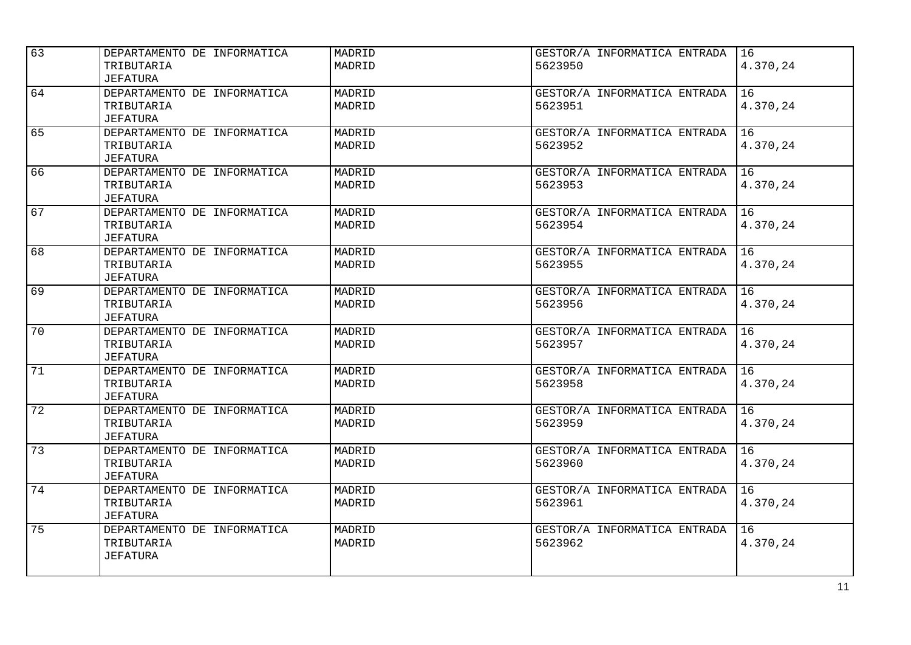| 63 |                             | MADRID | GESTOR/A INFORMATICA ENTRADA | 16       |
|----|-----------------------------|--------|------------------------------|----------|
|    | DEPARTAMENTO DE INFORMATICA |        |                              |          |
|    | TRIBUTARIA                  | MADRID | 5623950                      | 4.370,24 |
|    | <b>JEFATURA</b>             |        |                              |          |
| 64 | DEPARTAMENTO DE INFORMATICA | MADRID | GESTOR/A INFORMATICA ENTRADA | 16       |
|    | TRIBUTARIA                  | MADRID | 5623951                      | 4.370,24 |
|    | JEFATURA                    |        |                              |          |
| 65 | DEPARTAMENTO DE INFORMATICA | MADRID | GESTOR/A INFORMATICA ENTRADA | 16       |
|    | TRIBUTARIA                  | MADRID | 5623952                      | 4.370,24 |
|    | JEFATURA                    |        |                              |          |
| 66 | DEPARTAMENTO DE INFORMATICA | MADRID | GESTOR/A INFORMATICA ENTRADA | 16       |
|    | TRIBUTARIA                  | MADRID | 5623953                      | 4.370,24 |
|    | <b>JEFATURA</b>             |        |                              |          |
| 67 | DEPARTAMENTO DE INFORMATICA | MADRID | GESTOR/A INFORMATICA ENTRADA | 16       |
|    | TRIBUTARIA                  | MADRID | 5623954                      | 4.370,24 |
|    | JEFATURA                    |        |                              |          |
| 68 | DEPARTAMENTO DE INFORMATICA | MADRID | GESTOR/A INFORMATICA ENTRADA | 16       |
|    | TRIBUTARIA                  | MADRID | 5623955                      | 4.370,24 |
|    | JEFATURA                    |        |                              |          |
| 69 | DEPARTAMENTO DE INFORMATICA | MADRID | GESTOR/A INFORMATICA ENTRADA | 16       |
|    | TRIBUTARIA                  | MADRID | 5623956                      | 4.370,24 |
|    | JEFATURA                    |        |                              |          |
| 70 | DEPARTAMENTO DE INFORMATICA | MADRID | GESTOR/A INFORMATICA ENTRADA | 16       |
|    | TRIBUTARIA                  | MADRID | 5623957                      | 4.370,24 |
|    | <b>JEFATURA</b>             |        |                              |          |
| 71 | DEPARTAMENTO DE INFORMATICA | MADRID | GESTOR/A INFORMATICA ENTRADA | 16       |
|    | TRIBUTARIA                  | MADRID | 5623958                      | 4.370,24 |
|    | <b>JEFATURA</b>             |        |                              |          |
| 72 | DEPARTAMENTO DE INFORMATICA | MADRID | GESTOR/A INFORMATICA ENTRADA | 16       |
|    | TRIBUTARIA                  | MADRID | 5623959                      | 4.370,24 |
|    | <b>JEFATURA</b>             |        |                              |          |
| 73 |                             |        |                              |          |
|    | DEPARTAMENTO DE INFORMATICA | MADRID | GESTOR/A INFORMATICA ENTRADA | 16       |
|    | TRIBUTARIA                  | MADRID | 5623960                      | 4.370,24 |
|    | <b>JEFATURA</b>             |        |                              |          |
| 74 | DEPARTAMENTO DE INFORMATICA | MADRID | GESTOR/A INFORMATICA ENTRADA | 16       |
|    | TRIBUTARIA                  | MADRID | 5623961                      | 4.370,24 |
|    | JEFATURA                    |        |                              |          |
| 75 | DEPARTAMENTO DE INFORMATICA | MADRID | GESTOR/A INFORMATICA ENTRADA | 16       |
|    | TRIBUTARIA                  | MADRID | 5623962                      | 4.370,24 |
|    | <b>JEFATURA</b>             |        |                              |          |
|    |                             |        |                              |          |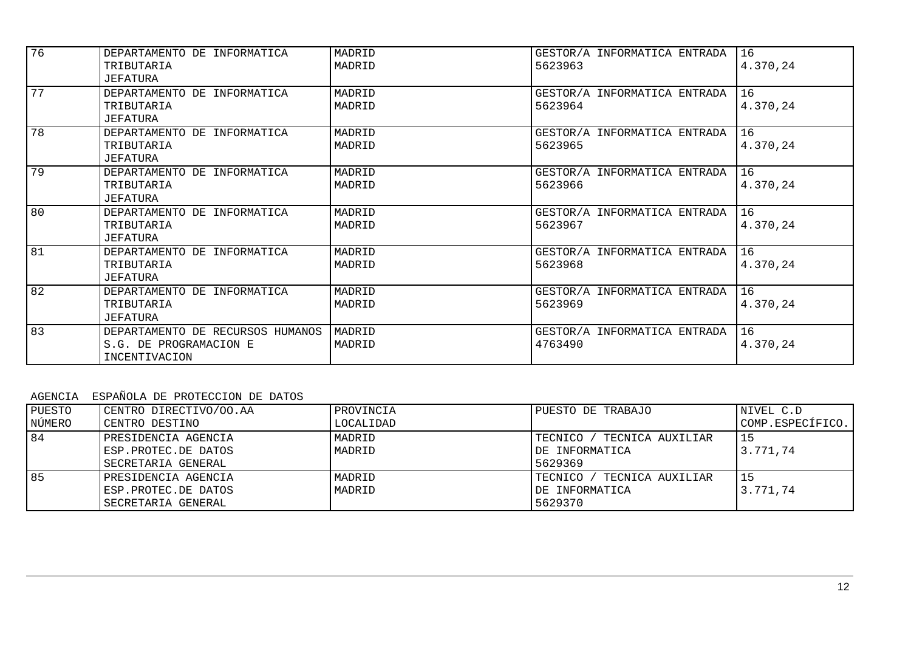| 76 |                                  |        |                              |          |
|----|----------------------------------|--------|------------------------------|----------|
|    | DEPARTAMENTO DE INFORMATICA      | MADRID | GESTOR/A INFORMATICA ENTRADA | 16       |
|    | TRIBUTARIA                       | MADRID | 5623963                      | 4.370,24 |
|    | JEFATURA                         |        |                              |          |
| 77 | DEPARTAMENTO DE INFORMATICA      | MADRID | GESTOR/A INFORMATICA ENTRADA | 16       |
|    | TRIBUTARIA                       | MADRID | 5623964                      | 4.370,24 |
|    | JEFATURA                         |        |                              |          |
| 78 | DEPARTAMENTO DE INFORMATICA      | MADRID | GESTOR/A INFORMATICA ENTRADA | 16       |
|    | TRIBUTARIA                       | MADRID | 5623965                      | 4.370,24 |
|    | JEFATURA                         |        |                              |          |
| 79 | DEPARTAMENTO DE INFORMATICA      | MADRID | GESTOR/A INFORMATICA ENTRADA | 16       |
|    | TRIBUTARIA                       | MADRID | 5623966                      | 4.370,24 |
|    | JEFATURA                         |        |                              |          |
| 80 | DEPARTAMENTO DE INFORMATICA      | MADRID | GESTOR/A INFORMATICA ENTRADA | 16       |
|    | TRIBUTARIA                       | MADRID | 5623967                      | 4.370,24 |
|    | JEFATURA                         |        |                              |          |
| 81 | DEPARTAMENTO DE INFORMATICA      | MADRID | GESTOR/A INFORMATICA ENTRADA | 16       |
|    | TRIBUTARIA                       | MADRID | 5623968                      | 4.370,24 |
|    | JEFATURA                         |        |                              |          |
| 82 | DEPARTAMENTO DE INFORMATICA      | MADRID | GESTOR/A INFORMATICA ENTRADA | 16       |
|    | TRIBUTARIA                       | MADRID | 5623969                      | 4.370,24 |
|    | JEFATURA                         |        |                              |          |
| 83 | DEPARTAMENTO DE RECURSOS HUMANOS | MADRID | GESTOR/A INFORMATICA ENTRADA | 16       |
|    | S.G. DE PROGRAMACION E           | MADRID | 4763490                      | 4.370,24 |
|    | INCENTIVACION                    |        |                              |          |
|    |                                  |        |                              |          |

# AGENCIA ESPAÑOLA DE PROTECCION DE DATOS

| PUESTO<br>NÚMERO | CENTRO DIRECTIVO/OO.AA<br>CENTRO DESTINO                         | PROVINCIA<br>LOCALIDAD | PUESTO DE TRABAJO                                            | NIVEL C.D<br>COMP.ESPECÍFICO. |
|------------------|------------------------------------------------------------------|------------------------|--------------------------------------------------------------|-------------------------------|
| 84               | PRESIDENCIA AGENCIA<br>ESP.PROTEC.DE DATOS<br>SECRETARIA GENERAL | MADRID<br>MADRID       | TECNICO / TECNICA AUXILIAR<br>DE INFORMATICA<br>5629369      | 3.771.74                      |
| 85               | PRESIDENCIA AGENCIA<br>ESP.PROTEC.DE DATOS<br>SECRETARIA GENERAL | MADRID<br>MADRID       | TECNICO /<br>' TECNICA AUXILIAR<br>DE INFORMATICA<br>5629370 | 15<br>3.771.74                |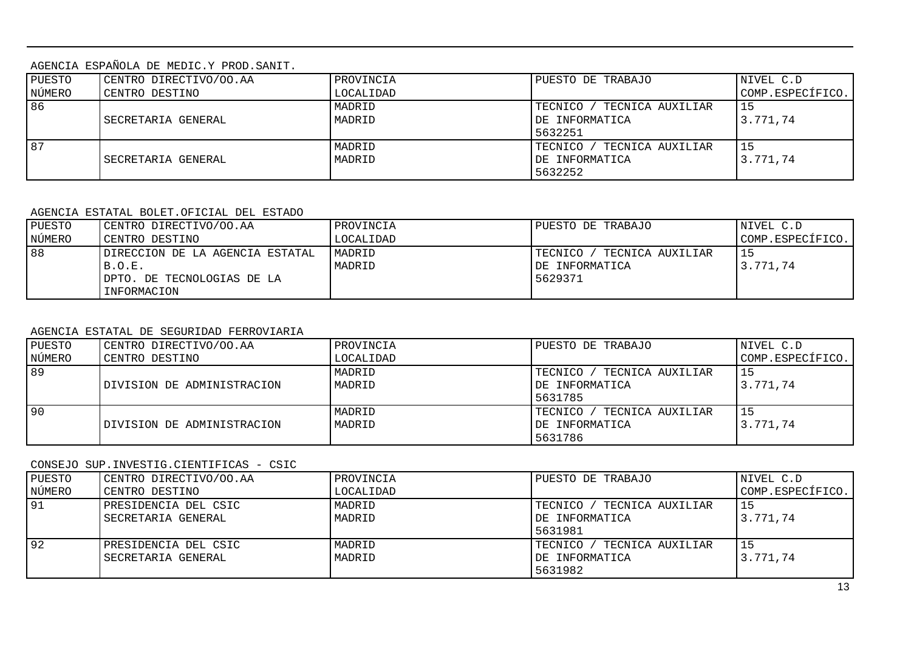AGENCIA ESPAÑOLA DE MEDIC.Y PROD.SANIT.

| PUESTO | CENTRO DIRECTIVO/OO.AA | PROVINCIA | PUESTO DE TRABAJO             | NIVEL C.D        |  |
|--------|------------------------|-----------|-------------------------------|------------------|--|
| NÚMERO | CENTRO DESTINO         | LOCALIDAD |                               | COMP.ESPECÍFICO. |  |
| 86     |                        | MADRID    | TECNICO /<br>TECNICA AUXILIAR |                  |  |
|        | SECRETARIA GENERAL     | MADRID    | DE INFORMATICA                | 3.771.74         |  |
|        |                        |           | 5632251                       |                  |  |
| 87     |                        | MADRID    | TECNICO /<br>TECNICA AUXILIAR |                  |  |
|        | SECRETARIA GENERAL     | MADRID    | DE INFORMATICA                | 3.771,74         |  |
|        |                        |           | 5632252                       |                  |  |

#### AGENCIA ESTATAL BOLET.OFICIAL DEL ESTADO

| PUESTO | CENTRO DIRECTIVO/OO.AA          | <b>PROVINCIA</b> | PUESTO DE TRABAJO           | NIVEL C.D        |
|--------|---------------------------------|------------------|-----------------------------|------------------|
| NÚMERO | CENTRO DESTINO                  | LOCALIDAD        |                             | COMP.ESPECÍFICO. |
| 88     | DIRECCION DE LA AGENCIA ESTATAL | MADRID           | TECNICO<br>TECNICA AUXILIAR |                  |
|        | B.O.E.                          | MADRID           | DE INFORMATICA              | 3.771,74         |
|        | DPTO. DE TECNOLOGIAS DE LA      |                  | 5629371                     |                  |
|        | INFORMACION                     |                  |                             |                  |

### AGENCIA ESTATAL DE SEGURIDAD FERROVIARIA

| PUESTO          | CENTRO DIRECTIVO/OO.AA     | PROVINCIA | PUESTO DE TRABAJO               | NIVEL C.D        |
|-----------------|----------------------------|-----------|---------------------------------|------------------|
| NÚMERO          | CENTRO DESTINO             | LOCALIDAD |                                 | COMP.ESPECÍFICO. |
| $\overline{89}$ |                            | MADRID    | / TECNICA AUXILIAR<br>TECNICO / |                  |
|                 | DIVISION DE ADMINISTRACION | MADRID    | DE INFORMATICA                  | 3.771,74         |
|                 |                            |           | 5631785                         |                  |
| 90              |                            | MADRID    | TECNICA AUXILIAR<br>TECNICO /   |                  |
|                 | DIVISION DE ADMINISTRACION | MADRID    | DE INFORMATICA                  | 3.771.74         |
|                 |                            |           | 5631786                         |                  |

### CONSEJO SUP.INVESTIG.CIENTIFICAS - CSIC

| PUESTO<br>NÚMERO | CENTRO DIRECTIVO/OO.AA<br>CENTRO DESTINO   | PROVINCIA<br>LOCALIDAD | PUESTO DE TRABAJO                                            | NIVEL C.D<br>COMP.ESPECÍFICO. |
|------------------|--------------------------------------------|------------------------|--------------------------------------------------------------|-------------------------------|
| 91               | PRESIDENCIA DEL CSIC<br>SECRETARIA GENERAL | MADRID<br>MADRID       | TECNICO /<br>' TECNICA AUXILIAR<br>DE INFORMATICA<br>5631981 | 3.771.74                      |
| 92               | PRESIDENCIA DEL CSIC<br>SECRETARIA GENERAL | MADRID<br>MADRID       | TECNICO /<br>TECNICA AUXILIAR<br>DE INFORMATICA<br>5631982   | 3.771,74                      |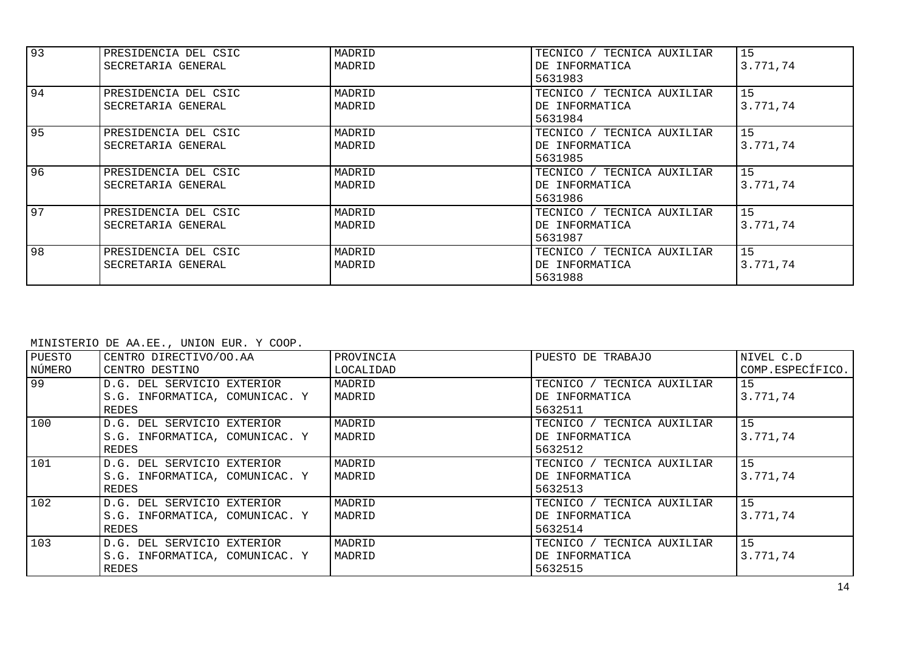| 93 | PRESIDENCIA DEL CSIC<br>SECRETARIA GENERAL | MADRID<br>MADRID | TECNICO / TECNICA AUXILIAR<br>DE INFORMATICA<br>5631983 | 15<br>3.771,74 |
|----|--------------------------------------------|------------------|---------------------------------------------------------|----------------|
| 94 | PRESIDENCIA DEL CSIC<br>SECRETARIA GENERAL | MADRID<br>MADRID | TECNICO / TECNICA AUXILIAR<br>DE INFORMATICA<br>5631984 | 15<br>3.771,74 |
| 95 | PRESIDENCIA DEL CSIC<br>SECRETARIA GENERAL | MADRID<br>MADRID | TECNICO / TECNICA AUXILIAR<br>DE INFORMATICA<br>5631985 | 15<br>3.771,74 |
| 96 | PRESIDENCIA DEL CSIC<br>SECRETARIA GENERAL | MADRID<br>MADRID | TECNICO / TECNICA AUXILIAR<br>DE INFORMATICA<br>5631986 | 15<br>3.771,74 |
| 97 | PRESIDENCIA DEL CSIC<br>SECRETARIA GENERAL | MADRID<br>MADRID | TECNICO / TECNICA AUXILIAR<br>DE INFORMATICA<br>5631987 | 15<br>3.771,74 |
| 98 | PRESIDENCIA DEL CSIC<br>SECRETARIA GENERAL | MADRID<br>MADRID | TECNICO / TECNICA AUXILIAR<br>DE INFORMATICA<br>5631988 | 15<br>3.771,74 |

MINISTERIO DE AA.EE., UNION EUR. Y COOP.

| PUESTO | CENTRO DIRECTIVO/OO.AA         | PROVINCIA | PUESTO DE TRABAJO          | NIVEL C.D        |
|--------|--------------------------------|-----------|----------------------------|------------------|
| NÚMERO | CENTRO DESTINO                 | LOCALIDAD |                            | COMP.ESPECÍFICO. |
| 99     | D.G. DEL SERVICIO EXTERIOR     | MADRID    | TECNICO / TECNICA AUXILIAR | 15               |
|        | S.G. INFORMATICA, COMUNICAC. Y | MADRID    | DE INFORMATICA             | 3.771,74         |
|        | REDES                          |           | 5632511                    |                  |
| 100    | D.G. DEL SERVICIO EXTERIOR     | MADRID    | TECNICO / TECNICA AUXILIAR | 15               |
|        | S.G. INFORMATICA, COMUNICAC. Y | MADRID    | DE INFORMATICA             | 3.771,74         |
|        | REDES                          |           | 5632512                    |                  |
| 101    | D.G. DEL SERVICIO EXTERIOR     | MADRID    | TECNICO / TECNICA AUXILIAR | 15               |
|        | S.G. INFORMATICA, COMUNICAC. Y | MADRID    | DE INFORMATICA             | 3.771.74         |
|        | <b>REDES</b>                   |           | 5632513                    |                  |
| 102    | D.G. DEL SERVICIO EXTERIOR     | MADRID    | TECNICO / TECNICA AUXILIAR | 15               |
|        | S.G. INFORMATICA, COMUNICAC. Y | MADRID    | DE INFORMATICA             | 3.771.74         |
|        | REDES                          |           | 5632514                    |                  |
| 103    | D.G. DEL SERVICIO EXTERIOR     | MADRID    | TECNICO / TECNICA AUXILIAR | 15               |
|        | S.G. INFORMATICA, COMUNICAC. Y | MADRID    | DE INFORMATICA             | 3.771,74         |
|        | REDES                          |           | 5632515                    |                  |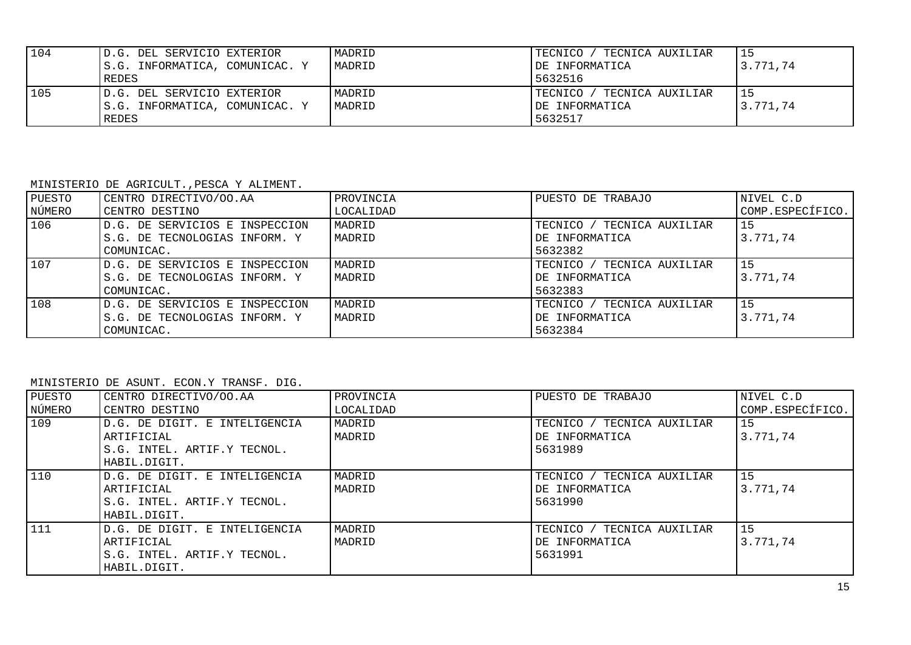| 104 | D.G. DEL SERVICIO EXTERIOR     | MADRID | TECNICO<br>' TECNICA AUXILIAR | 15       |
|-----|--------------------------------|--------|-------------------------------|----------|
|     | S.G. INFORMATICA, COMUNICAC. Y | MADRID | IDE INFORMATICA               | 3.771.74 |
|     | REDES                          |        | 5632516                       |          |
| 105 | D.G. DEL SERVICIO EXTERIOR     | MADRID | TECNICO<br>' TECNICA AUXILIAR | 15       |
|     | S.G. INFORMATICA, COMUNICAC. Y | MADRID | IDE INFORMATICA               | 3.771.74 |
|     | <b>REDES</b>                   |        | 5632517                       |          |

MINISTERIO DE AGRICULT.,PESCA Y ALIMENT.

| PUESTO | CENTRO DIRECTIVO/OO.AA         | PROVINCIA | PUESTO DE TRABAJO          | NIVEL C.D        |
|--------|--------------------------------|-----------|----------------------------|------------------|
| NÚMERO | CENTRO DESTINO                 | LOCALIDAD |                            | COMP.ESPECÍFICO. |
| 106    | D.G. DE SERVICIOS E INSPECCION | MADRID    | TECNICO / TECNICA AUXILIAR | l 15             |
|        | S.G. DE TECNOLOGIAS INFORM. Y  | MADRID    | DE INFORMATICA             | 3.771.74         |
|        | COMUNICAC.                     |           | 5632382                    |                  |
| 107    | D.G. DE SERVICIOS E INSPECCION | MADRID    | TECNICO / TECNICA AUXILIAR | l 15             |
|        | S.G. DE TECNOLOGIAS INFORM. Y  | MADRID    | DE INFORMATICA             | 3.771.74         |
|        | COMUNICAC.                     |           | 5632383                    |                  |
| 108    | D.G. DE SERVICIOS E INSPECCION | MADRID    | TECNICO / TECNICA AUXILIAR | l 15             |
|        | S.G. DE TECNOLOGIAS INFORM. Y  | MADRID    | DE INFORMATICA             | 3.771.74         |
|        | COMUNICAC.                     |           | 5632384                    |                  |

MINISTERIO DE ASUNT. ECON.Y TRANSF. DIG.

| PUESTO<br>NÚMERO | CENTRO DIRECTIVO/OO.AA<br>CENTRO DESTINO                                                   | PROVINCIA<br>LOCALIDAD | PUESTO DE TRABAJO                                       | NIVEL C.D<br>COMP.ESPECÍFICO. |
|------------------|--------------------------------------------------------------------------------------------|------------------------|---------------------------------------------------------|-------------------------------|
| <b>109</b>       | D.G. DE DIGIT. E INTELIGENCIA<br>ARTIFICIAL<br>S.G. INTEL. ARTIF.Y TECNOL.<br>HABIL.DIGIT. | MADRID<br>MADRID       | TECNICO / TECNICA AUXILIAR<br>DE INFORMATICA<br>5631989 | 15<br>3.771.74                |
| 110              | D.G. DE DIGIT. E INTELIGENCIA<br>ARTIFICIAL<br>S.G. INTEL. ARTIF.Y TECNOL.<br>HABIL.DIGIT. | MADRID<br>MADRID       | TECNICO / TECNICA AUXILIAR<br>DE INFORMATICA<br>5631990 | 15<br>3.771.74                |
| 111              | D.G. DE DIGIT. E INTELIGENCIA<br>ARTIFICIAL<br>S.G. INTEL. ARTIF.Y TECNOL.<br>HABIL.DIGIT. | MADRID<br>MADRID       | TECNICO / TECNICA AUXILIAR<br>DE INFORMATICA<br>5631991 | 15<br>3.771.74                |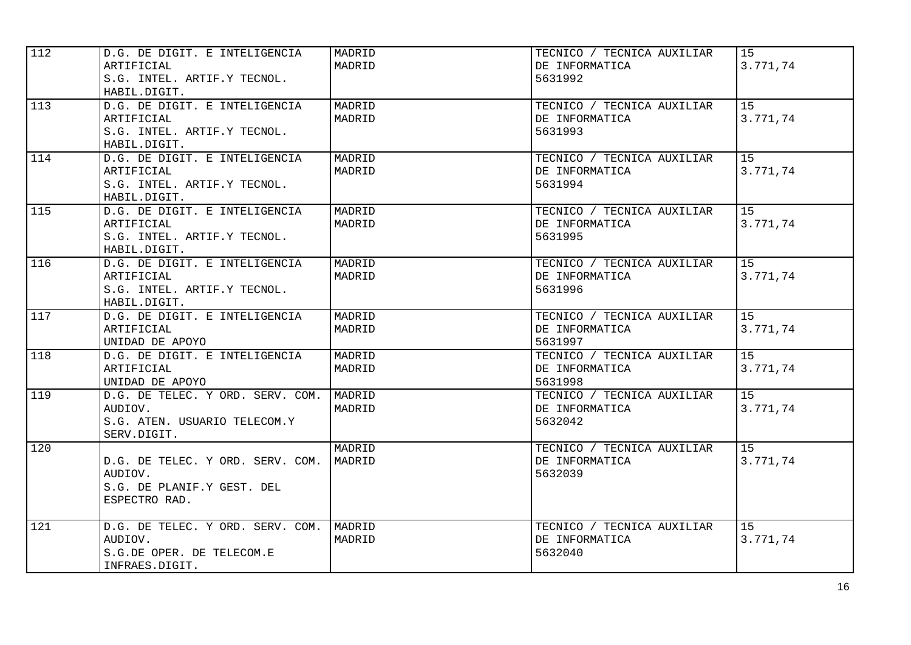| 112 | D.G. DE DIGIT. E INTELIGENCIA<br>ARTIFICIAL<br>S.G. INTEL. ARTIF.Y TECNOL.<br>HABIL.DIGIT. | MADRID<br>MADRID | TECNICO / TECNICA AUXILIAR<br>DE INFORMATICA<br>5631992 | 15<br>3.771,74 |
|-----|--------------------------------------------------------------------------------------------|------------------|---------------------------------------------------------|----------------|
| 113 | D.G. DE DIGIT. E INTELIGENCIA<br>ARTIFICIAL<br>S.G. INTEL. ARTIF.Y TECNOL.<br>HABIL.DIGIT. | MADRID<br>MADRID | TECNICO / TECNICA AUXILIAR<br>DE INFORMATICA<br>5631993 | 15<br>3.771,74 |
| 114 | D.G. DE DIGIT. E INTELIGENCIA<br>ARTIFICIAL<br>S.G. INTEL. ARTIF.Y TECNOL.<br>HABIL.DIGIT. | MADRID<br>MADRID | TECNICO / TECNICA AUXILIAR<br>DE INFORMATICA<br>5631994 | 15<br>3.771,74 |
| 115 | D.G. DE DIGIT. E INTELIGENCIA<br>ARTIFICIAL<br>S.G. INTEL. ARTIF.Y TECNOL.<br>HABIL.DIGIT. | MADRID<br>MADRID | TECNICO / TECNICA AUXILIAR<br>DE INFORMATICA<br>5631995 | 15<br>3.771,74 |
| 116 | D.G. DE DIGIT. E INTELIGENCIA<br>ARTIFICIAL<br>S.G. INTEL. ARTIF.Y TECNOL.<br>HABIL.DIGIT. | MADRID<br>MADRID | TECNICO / TECNICA AUXILIAR<br>DE INFORMATICA<br>5631996 | 15<br>3.771,74 |
| 117 | D.G. DE DIGIT. E INTELIGENCIA<br>ARTIFICIAL<br>UNIDAD DE APOYO                             | MADRID<br>MADRID | TECNICO / TECNICA AUXILIAR<br>DE INFORMATICA<br>5631997 | 15<br>3.771,74 |
| 118 | D.G. DE DIGIT. E INTELIGENCIA<br>ARTIFICIAL<br>UNIDAD DE APOYO                             | MADRID<br>MADRID | TECNICO / TECNICA AUXILIAR<br>DE INFORMATICA<br>5631998 | 15<br>3.771,74 |
| 119 | D.G. DE TELEC. Y ORD. SERV. COM.<br>AUDIOV.<br>S.G. ATEN. USUARIO TELECOM.Y<br>SERV.DIGIT. | MADRID<br>MADRID | TECNICO / TECNICA AUXILIAR<br>DE INFORMATICA<br>5632042 | 15<br>3.771,74 |
| 120 | D.G. DE TELEC. Y ORD. SERV. COM.<br>AUDIOV.<br>S.G. DE PLANIF.Y GEST. DEL<br>ESPECTRO RAD. | MADRID<br>MADRID | TECNICO / TECNICA AUXILIAR<br>DE INFORMATICA<br>5632039 | 15<br>3.771,74 |
| 121 | D.G. DE TELEC. Y ORD. SERV. COM.<br>AUDIOV.<br>S.G.DE OPER. DE TELECOM.E<br>INFRAES.DIGIT. | MADRID<br>MADRID | TECNICO / TECNICA AUXILIAR<br>DE INFORMATICA<br>5632040 | 15<br>3.771,74 |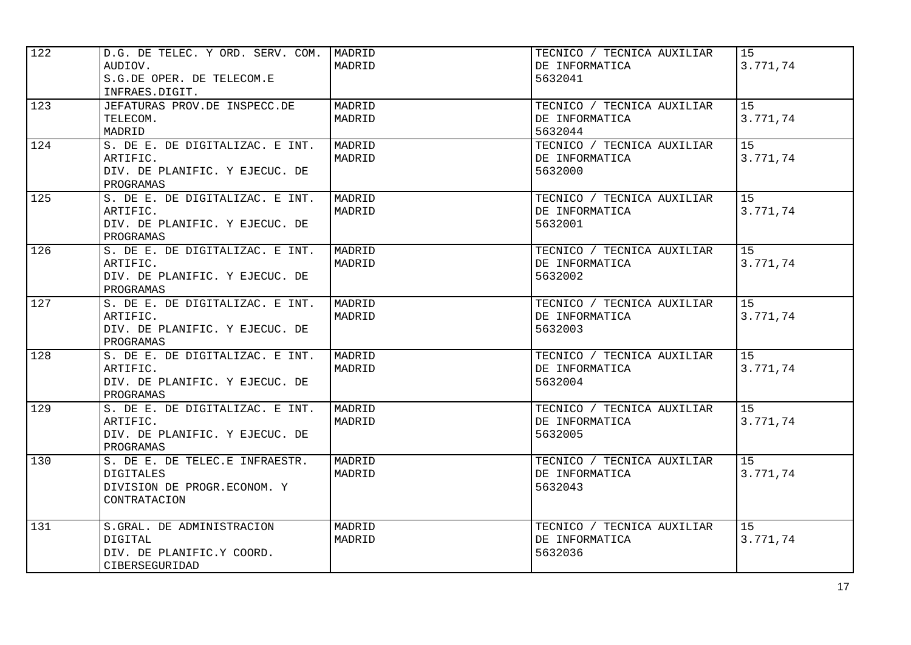| 122 | D.G. DE TELEC. Y ORD. SERV. COM. | MADRID | TECNICO / TECNICA AUXILIAR | 15       |
|-----|----------------------------------|--------|----------------------------|----------|
|     | AUDIOV.                          | MADRID | DE INFORMATICA             | 3.771,74 |
|     | S.G.DE OPER. DE TELECOM.E        |        | 5632041                    |          |
|     | INFRAES.DIGIT.                   |        |                            |          |
| 123 | JEFATURAS PROV.DE INSPECC.DE     | MADRID | TECNICO / TECNICA AUXILIAR | 15       |
|     | TELECOM.                         | MADRID | DE INFORMATICA             | 3.771,74 |
|     | MADRID                           |        | 5632044                    |          |
| 124 | S. DE E. DE DIGITALIZAC. E INT.  | MADRID | TECNICO / TECNICA AUXILIAR | 15       |
|     | ARTIFIC.                         | MADRID | DE INFORMATICA             | 3.771,74 |
|     | DIV. DE PLANIFIC. Y EJECUC. DE   |        | 5632000                    |          |
|     | PROGRAMAS                        |        |                            |          |
| 125 | S. DE E. DE DIGITALIZAC. E INT.  | MADRID | TECNICO / TECNICA AUXILIAR | 15       |
|     | ARTIFIC.                         | MADRID | DE INFORMATICA             | 3.771,74 |
|     | DIV. DE PLANIFIC. Y EJECUC. DE   |        | 5632001                    |          |
|     | PROGRAMAS                        |        |                            |          |
| 126 | S. DE E. DE DIGITALIZAC. E INT.  | MADRID | TECNICO / TECNICA AUXILIAR | 15       |
|     | ARTIFIC.                         | MADRID | DE INFORMATICA             | 3.771,74 |
|     | DIV. DE PLANIFIC. Y EJECUC. DE   |        | 5632002                    |          |
|     | PROGRAMAS                        |        |                            |          |
| 127 | S. DE E. DE DIGITALIZAC. E INT.  | MADRID | TECNICO / TECNICA AUXILIAR | 15       |
|     | ARTIFIC.                         | MADRID | DE INFORMATICA             | 3.771,74 |
|     | DIV. DE PLANIFIC. Y EJECUC. DE   |        | 5632003                    |          |
|     | PROGRAMAS                        |        |                            |          |
| 128 | S. DE E. DE DIGITALIZAC. E INT.  | MADRID | TECNICO / TECNICA AUXILIAR | 15       |
|     | ARTIFIC.                         | MADRID | DE INFORMATICA             | 3.771,74 |
|     | DIV. DE PLANIFIC. Y EJECUC. DE   |        | 5632004                    |          |
|     | PROGRAMAS                        |        |                            |          |
| 129 | S. DE E. DE DIGITALIZAC. E INT.  | MADRID | TECNICO / TECNICA AUXILIAR | 15       |
|     | ARTIFIC.                         | MADRID | DE INFORMATICA             | 3.771,74 |
|     | DIV. DE PLANIFIC. Y EJECUC. DE   |        | 5632005                    |          |
|     | PROGRAMAS                        |        |                            |          |
| 130 | S. DE E. DE TELEC.E INFRAESTR.   | MADRID | TECNICO / TECNICA AUXILIAR | 15       |
|     | <b>DIGITALES</b>                 | MADRID | DE INFORMATICA             | 3.771,74 |
|     | DIVISION DE PROGR.ECONOM. Y      |        | 5632043                    |          |
|     | CONTRATACION                     |        |                            |          |
|     |                                  |        |                            |          |
| 131 | S.GRAL. DE ADMINISTRACION        | MADRID | TECNICO / TECNICA AUXILIAR | 15       |
|     | DIGITAL                          | MADRID | DE INFORMATICA             | 3.771,74 |
|     | DIV. DE PLANIFIC.Y COORD.        |        | 5632036                    |          |
|     | CIBERSEGURIDAD                   |        |                            |          |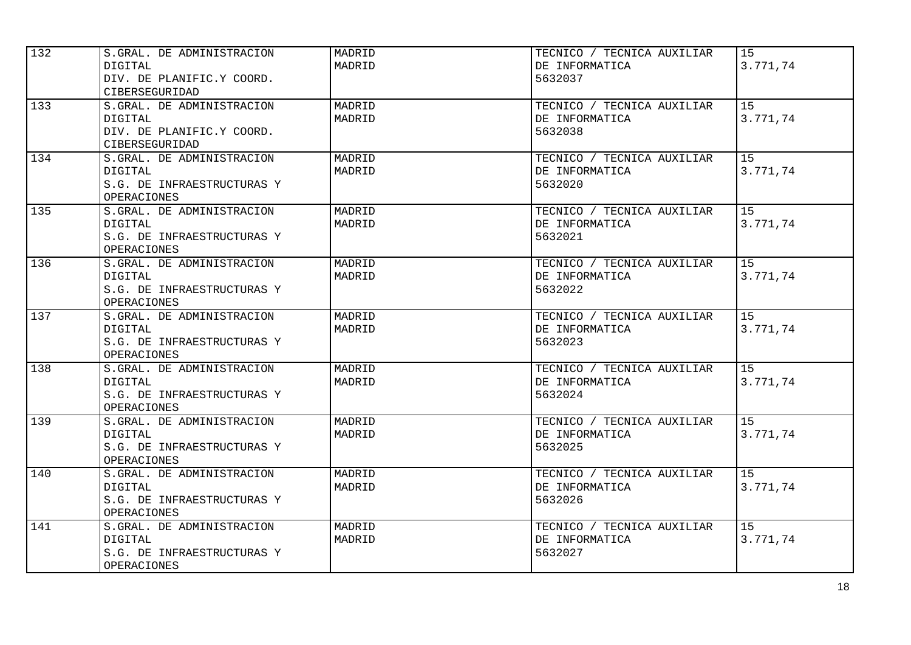| 132 | S.GRAL. DE ADMINISTRACION  | MADRID | TECNICO / TECNICA AUXILIAR | 15       |
|-----|----------------------------|--------|----------------------------|----------|
|     | DIGITAL                    | MADRID | DE INFORMATICA             | 3.771,74 |
|     | DIV. DE PLANIFIC.Y COORD.  |        | 5632037                    |          |
|     | CIBERSEGURIDAD             |        |                            |          |
| 133 | S.GRAL. DE ADMINISTRACION  | MADRID | TECNICO / TECNICA AUXILIAR | 15       |
|     | <b>DIGITAL</b>             | MADRID | DE INFORMATICA             | 3.771,74 |
|     | DIV. DE PLANIFIC.Y COORD.  |        | 5632038                    |          |
|     | CIBERSEGURIDAD             |        |                            |          |
| 134 | S.GRAL. DE ADMINISTRACION  | MADRID | TECNICO / TECNICA AUXILIAR | 15       |
|     | DIGITAL                    | MADRID | DE INFORMATICA             | 3.771,74 |
|     | S.G. DE INFRAESTRUCTURAS Y |        | 5632020                    |          |
|     | OPERACIONES                |        |                            |          |
| 135 | S.GRAL. DE ADMINISTRACION  | MADRID | TECNICO / TECNICA AUXILIAR | 15       |
|     | <b>DIGITAL</b>             | MADRID | DE INFORMATICA             | 3.771,74 |
|     | S.G. DE INFRAESTRUCTURAS Y |        | 5632021                    |          |
|     | <b>OPERACIONES</b>         |        |                            |          |
| 136 | S.GRAL. DE ADMINISTRACION  | MADRID | TECNICO / TECNICA AUXILIAR | 15       |
|     | <b>DIGITAL</b>             | MADRID | DE INFORMATICA             | 3.771,74 |
|     | S.G. DE INFRAESTRUCTURAS Y |        | 5632022                    |          |
|     | <b>OPERACIONES</b>         |        |                            |          |
| 137 | S.GRAL. DE ADMINISTRACION  | MADRID | TECNICO / TECNICA AUXILIAR | 15       |
|     | DIGITAL                    | MADRID | DE INFORMATICA             | 3.771,74 |
|     | S.G. DE INFRAESTRUCTURAS Y |        | 5632023                    |          |
|     | OPERACIONES                |        |                            |          |
| 138 | S.GRAL. DE ADMINISTRACION  | MADRID | TECNICO / TECNICA AUXILIAR | 15       |
|     | DIGITAL                    | MADRID | DE INFORMATICA             | 3.771,74 |
|     | S.G. DE INFRAESTRUCTURAS Y |        | 5632024                    |          |
|     | OPERACIONES                |        |                            |          |
| 139 | S.GRAL. DE ADMINISTRACION  | MADRID | TECNICO / TECNICA AUXILIAR | 15       |
|     | DIGITAL                    | MADRID | DE INFORMATICA             | 3.771,74 |
|     | S.G. DE INFRAESTRUCTURAS Y |        | 5632025                    |          |
|     | <b>OPERACIONES</b>         |        |                            |          |
| 140 | S.GRAL. DE ADMINISTRACION  | MADRID | TECNICO / TECNICA AUXILIAR | 15       |
|     | <b>DIGITAL</b>             | MADRID | DE INFORMATICA             | 3.771,74 |
|     | S.G. DE INFRAESTRUCTURAS Y |        | 5632026                    |          |
|     | <b>OPERACIONES</b>         |        |                            |          |
| 141 | S.GRAL. DE ADMINISTRACION  | MADRID | TECNICO / TECNICA AUXILIAR | 15       |
|     | <b>DIGITAL</b>             | MADRID | DE INFORMATICA             | 3.771,74 |
|     | S.G. DE INFRAESTRUCTURAS Y |        | 5632027                    |          |
|     | OPERACIONES                |        |                            |          |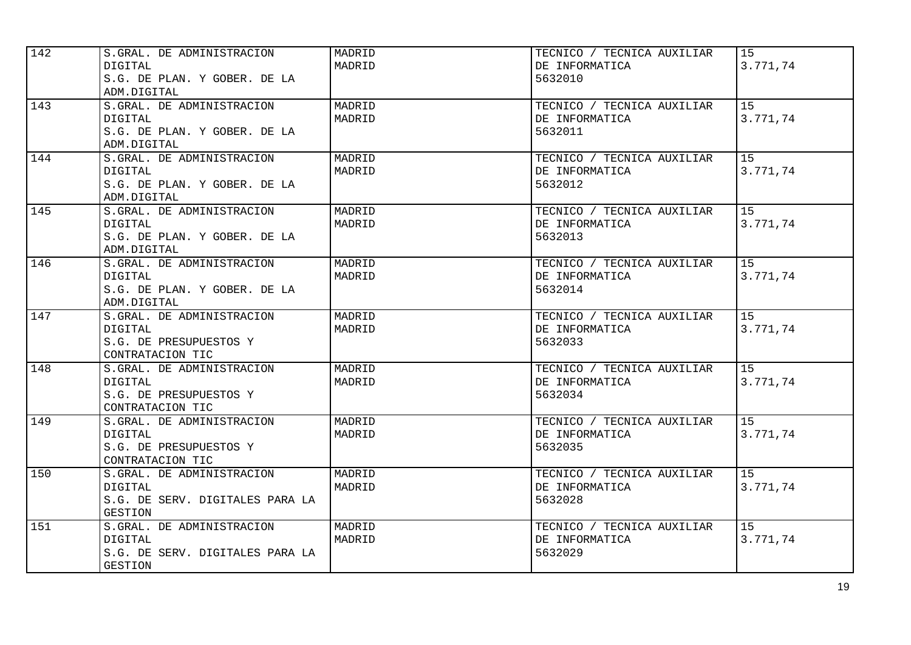| 142 | S.GRAL. DE ADMINISTRACION<br>DIGITAL<br>S.G. DE PLAN. Y GOBER. DE LA<br>ADM.DIGITAL              | MADRID<br>MADRID | TECNICO / TECNICA AUXILIAR<br>DE INFORMATICA<br>5632010 | 15<br>3.771,74 |
|-----|--------------------------------------------------------------------------------------------------|------------------|---------------------------------------------------------|----------------|
| 143 | S.GRAL. DE ADMINISTRACION<br><b>DIGITAL</b><br>S.G. DE PLAN. Y GOBER. DE LA<br>ADM.DIGITAL       | MADRID<br>MADRID | TECNICO / TECNICA AUXILIAR<br>DE INFORMATICA<br>5632011 | 15<br>3.771,74 |
| 144 | S.GRAL. DE ADMINISTRACION<br>DIGITAL<br>S.G. DE PLAN. Y GOBER. DE LA<br>ADM.DIGITAL              | MADRID<br>MADRID | TECNICO / TECNICA AUXILIAR<br>DE INFORMATICA<br>5632012 | 15<br>3.771,74 |
| 145 | S.GRAL. DE ADMINISTRACION<br><b>DIGITAL</b><br>S.G. DE PLAN. Y GOBER. DE LA<br>ADM.DIGITAL       | MADRID<br>MADRID | TECNICO / TECNICA AUXILIAR<br>DE INFORMATICA<br>5632013 | 15<br>3.771,74 |
| 146 | S.GRAL. DE ADMINISTRACION<br><b>DIGITAL</b><br>S.G. DE PLAN. Y GOBER. DE LA<br>ADM.DIGITAL       | MADRID<br>MADRID | TECNICO / TECNICA AUXILIAR<br>DE INFORMATICA<br>5632014 | 15<br>3.771,74 |
| 147 | S.GRAL. DE ADMINISTRACION<br>DIGITAL<br>S.G. DE PRESUPUESTOS Y<br>CONTRATACION TIC               | MADRID<br>MADRID | TECNICO / TECNICA AUXILIAR<br>DE INFORMATICA<br>5632033 | 15<br>3.771,74 |
| 148 | S.GRAL. DE ADMINISTRACION<br>DIGITAL<br>S.G. DE PRESUPUESTOS Y<br>CONTRATACION TIC               | MADRID<br>MADRID | TECNICO / TECNICA AUXILIAR<br>DE INFORMATICA<br>5632034 | 15<br>3.771,74 |
| 149 | S.GRAL. DE ADMINISTRACION<br><b>DIGITAL</b><br>S.G. DE PRESUPUESTOS Y<br>CONTRATACION TIC        | MADRID<br>MADRID | TECNICO / TECNICA AUXILIAR<br>DE INFORMATICA<br>5632035 | 15<br>3.771,74 |
| 150 | S.GRAL. DE ADMINISTRACION<br><b>DIGITAL</b><br>S.G. DE SERV. DIGITALES PARA LA<br><b>GESTION</b> | MADRID<br>MADRID | TECNICO / TECNICA AUXILIAR<br>DE INFORMATICA<br>5632028 | 15<br>3.771,74 |
| 151 | S.GRAL. DE ADMINISTRACION<br>DIGITAL<br>S.G. DE SERV. DIGITALES PARA LA<br><b>GESTION</b>        | MADRID<br>MADRID | TECNICO / TECNICA AUXILIAR<br>DE INFORMATICA<br>5632029 | 15<br>3.771,74 |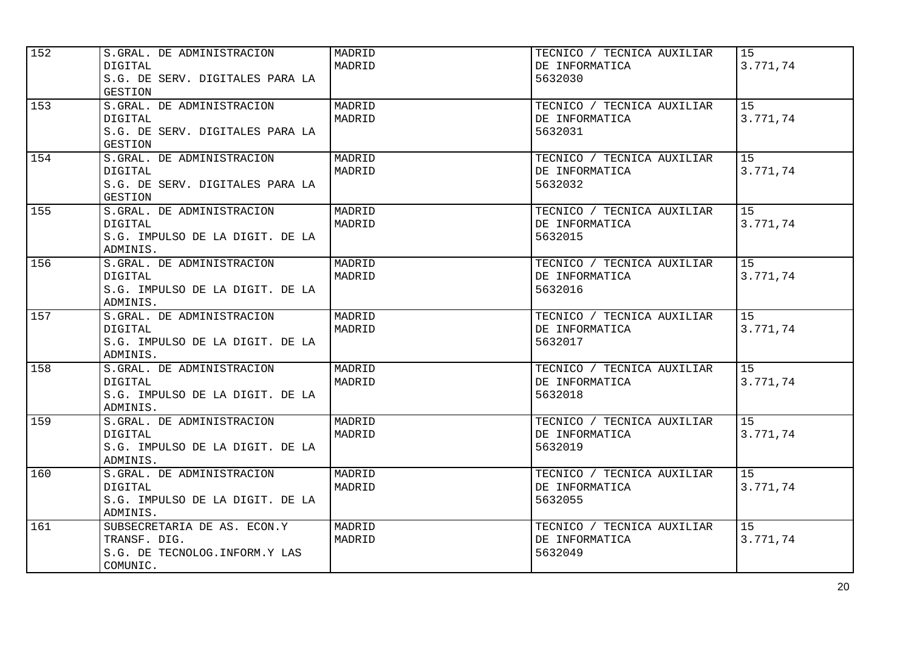| 152 | S.GRAL. DE ADMINISTRACION<br><b>DIGITAL</b><br>S.G. DE SERV. DIGITALES PARA LA<br><b>GESTION</b> | MADRID<br>MADRID | TECNICO / TECNICA AUXILIAR<br>DE INFORMATICA<br>5632030 | 15<br>3.771,74 |
|-----|--------------------------------------------------------------------------------------------------|------------------|---------------------------------------------------------|----------------|
| 153 | S.GRAL. DE ADMINISTRACION<br><b>DIGITAL</b><br>S.G. DE SERV. DIGITALES PARA LA<br>GESTION        | MADRID<br>MADRID | TECNICO / TECNICA AUXILIAR<br>DE INFORMATICA<br>5632031 | 15<br>3.771,74 |
| 154 | S.GRAL. DE ADMINISTRACION<br><b>DIGITAL</b><br>S.G. DE SERV. DIGITALES PARA LA<br>GESTION        | MADRID<br>MADRID | TECNICO / TECNICA AUXILIAR<br>DE INFORMATICA<br>5632032 | 15<br>3.771,74 |
| 155 | S.GRAL. DE ADMINISTRACION<br>DIGITAL<br>S.G. IMPULSO DE LA DIGIT. DE LA<br>ADMINIS.              | MADRID<br>MADRID | TECNICO / TECNICA AUXILIAR<br>DE INFORMATICA<br>5632015 | 15<br>3.771,74 |
| 156 | S.GRAL. DE ADMINISTRACION<br>DIGITAL<br>S.G. IMPULSO DE LA DIGIT. DE LA<br>ADMINIS.              | MADRID<br>MADRID | TECNICO / TECNICA AUXILIAR<br>DE INFORMATICA<br>5632016 | 15<br>3.771,74 |
| 157 | S.GRAL. DE ADMINISTRACION<br>DIGITAL<br>S.G. IMPULSO DE LA DIGIT. DE LA<br>ADMINIS.              | MADRID<br>MADRID | TECNICO / TECNICA AUXILIAR<br>DE INFORMATICA<br>5632017 | 15<br>3.771,74 |
| 158 | S.GRAL. DE ADMINISTRACION<br>DIGITAL<br>S.G. IMPULSO DE LA DIGIT. DE LA<br>ADMINIS.              | MADRID<br>MADRID | TECNICO / TECNICA AUXILIAR<br>DE INFORMATICA<br>5632018 | 15<br>3.771,74 |
| 159 | S.GRAL. DE ADMINISTRACION<br><b>DIGITAL</b><br>S.G. IMPULSO DE LA DIGIT. DE LA<br>ADMINIS.       | MADRID<br>MADRID | TECNICO / TECNICA AUXILIAR<br>DE INFORMATICA<br>5632019 | 15<br>3.771,74 |
| 160 | S.GRAL. DE ADMINISTRACION<br><b>DIGITAL</b><br>S.G. IMPULSO DE LA DIGIT. DE LA<br>ADMINIS.       | MADRID<br>MADRID | TECNICO / TECNICA AUXILIAR<br>DE INFORMATICA<br>5632055 | 15<br>3.771,74 |
| 161 | SUBSECRETARIA DE AS. ECON.Y<br>TRANSF. DIG.<br>S.G. DE TECNOLOG. INFORM. Y LAS<br>COMUNIC.       | MADRID<br>MADRID | TECNICO / TECNICA AUXILIAR<br>DE INFORMATICA<br>5632049 | 15<br>3.771,74 |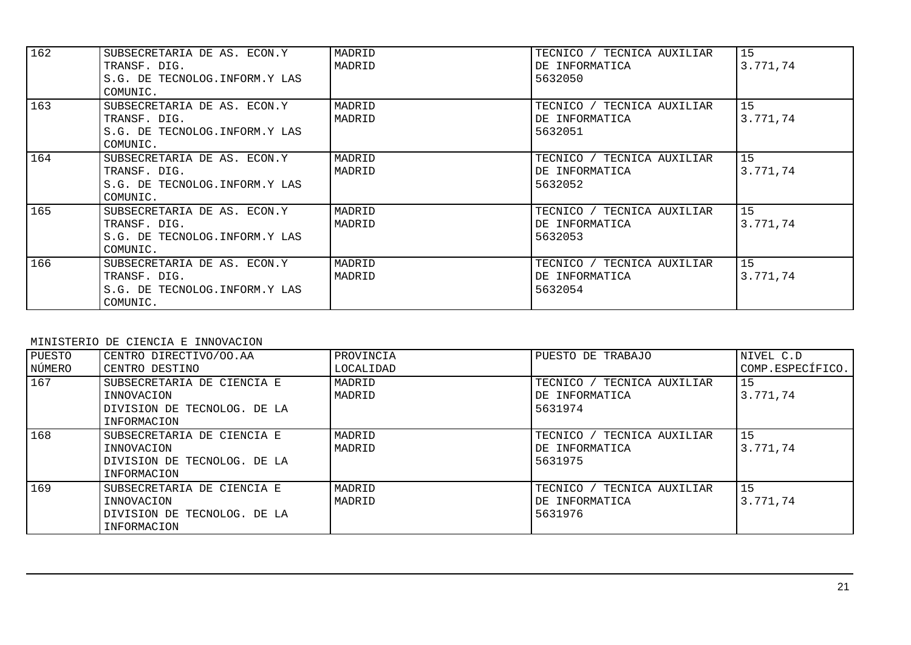| 162 | SUBSECRETARIA DE AS. ECON.Y<br>TRANSF. DIG.<br>S.G. DE TECNOLOG. INFORM.Y LAS<br>COMUNIC.  | MADRID<br>MADRID | TECNICO / TECNICA AUXILIAR<br>DE INFORMATICA<br>5632050 | 15<br>3.771,74 |
|-----|--------------------------------------------------------------------------------------------|------------------|---------------------------------------------------------|----------------|
| 163 | SUBSECRETARIA DE AS. ECON.Y<br>TRANSF. DIG.<br>S.G. DE TECNOLOG. INFORM. Y LAS<br>COMUNIC. | MADRID<br>MADRID | TECNICO / TECNICA AUXILIAR<br>DE INFORMATICA<br>5632051 | 15<br>3.771.74 |
| 164 | SUBSECRETARIA DE AS. ECON.Y<br>TRANSF. DIG.<br>S.G. DE TECNOLOG. INFORM. Y LAS<br>COMUNIC. | MADRID<br>MADRID | TECNICO / TECNICA AUXILIAR<br>DE INFORMATICA<br>5632052 | 15<br>3.771.74 |
| 165 | SUBSECRETARIA DE AS. ECON.Y<br>TRANSF. DIG.<br>S.G. DE TECNOLOG. INFORM.Y LAS<br>COMUNIC.  | MADRID<br>MADRID | TECNICO / TECNICA AUXILIAR<br>DE INFORMATICA<br>5632053 | 15<br>3.771,74 |
| 166 | SUBSECRETARIA DE AS. ECON.Y<br>TRANSF. DIG.<br>S.G. DE TECNOLOG. INFORM. Y LAS<br>COMUNIC. | MADRID<br>MADRID | TECNICO / TECNICA AUXILIAR<br>DE INFORMATICA<br>5632054 | 15<br>3.771,74 |

#### MINISTERIO DE CIENCIA E INNOVACION

| PUESTO<br>NÚMERO | CENTRO DIRECTIVO/OO.AA<br>CENTRO DESTINO                                               | PROVINCIA<br>LOCALIDAD | PUESTO DE TRABAJO                                            | NIVEL C.D<br>COMP.ESPECÍFICO. |
|------------------|----------------------------------------------------------------------------------------|------------------------|--------------------------------------------------------------|-------------------------------|
| 167              | SUBSECRETARIA DE CIENCIA E<br>INNOVACION<br>DIVISION DE TECNOLOG. DE LA<br>INFORMACION | MADRID<br>MADRID       | / TECNICA AUXILIAR<br>TECNICO /<br>DE INFORMATICA<br>5631974 | 15<br>3.771.74                |
| 168              | SUBSECRETARIA DE CIENCIA E<br>INNOVACION<br>DIVISION DE TECNOLOG. DE LA<br>INFORMACION | MADRID<br>MADRID       | TECNICO /<br>/ TECNICA AUXILIAR<br>DE INFORMATICA<br>5631975 | 15<br>3.771.74                |
| 169              | SUBSECRETARIA DE CIENCIA E<br>INNOVACION<br>DIVISION DE TECNOLOG. DE LA<br>INFORMACION | MADRID<br>MADRID       | TECNICO / TECNICA AUXILIAR<br>DE INFORMATICA<br>5631976      | 15<br>3.771.74                |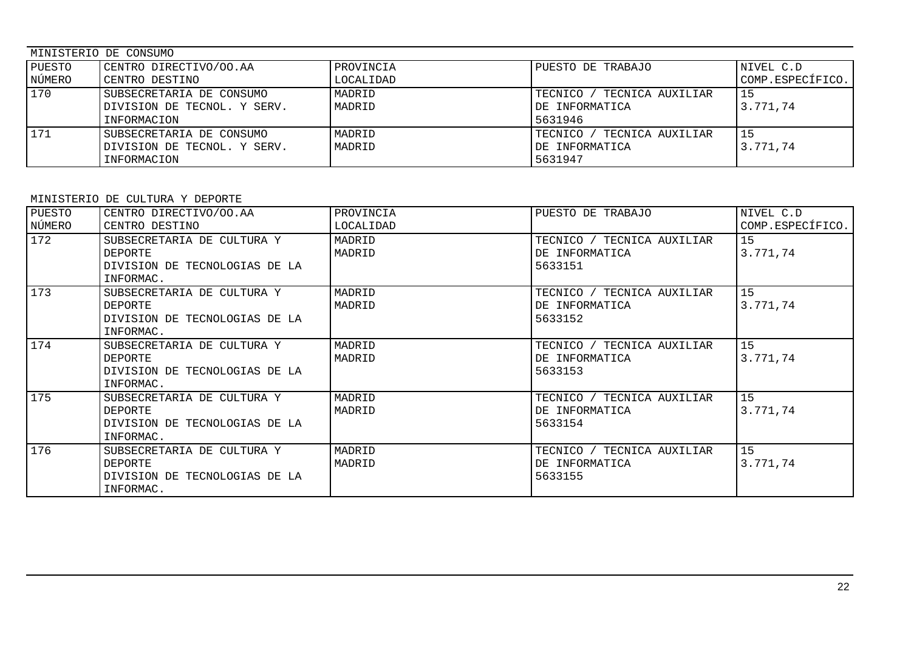| MINISTERIO DE CONSUMO |                             |           |                                 |                  |
|-----------------------|-----------------------------|-----------|---------------------------------|------------------|
| PUESTO                | CENTRO DIRECTIVO/OO.AA      | PROVINCIA | PUESTO DE TRABAJO               | NIVEL C.D        |
| NÚMERO                | CENTRO DESTINO              | LOCALIDAD |                                 | COMP.ESPECÍFICO. |
| 170                   | SUBSECRETARIA DE CONSUMO    | MADRID    | ' TECNICA AUXILIAR<br>TECNICO / |                  |
|                       | DIVISION DE TECNOL. Y SERV. | MADRID    | DE INFORMATICA                  | 3.771.74         |
|                       | INFORMACION                 |           | 5631946                         |                  |
| 171                   | SUBSECRETARIA DE CONSUMO    | MADRID    | TECNICO /<br>' TECNICA AUXILIAR |                  |
|                       | DIVISION DE TECNOL. Y SERV. | MADRID    | DE INFORMATICA                  | 3.771.74         |
|                       | INFORMACION                 |           | 5631947                         |                  |

## MINISTERIO DE CULTURA Y DEPORTE

| PUESTO<br>NÚMERO | CENTRO DIRECTIVO/OO.AA<br>CENTRO DESTINO                                            | PROVINCIA<br>LOCALIDAD | PUESTO DE TRABAJO                                       | NIVEL C.D<br>COMP.ESPECÍFICO. |
|------------------|-------------------------------------------------------------------------------------|------------------------|---------------------------------------------------------|-------------------------------|
| 172              | SUBSECRETARIA DE CULTURA Y<br>DEPORTE<br>DIVISION DE TECNOLOGIAS DE LA<br>INFORMAC. | MADRID<br>MADRID       | TECNICO / TECNICA AUXILIAR<br>DE INFORMATICA<br>5633151 | 15<br>3.771,74                |
| 173              | SUBSECRETARIA DE CULTURA Y<br>DEPORTE<br>DIVISION DE TECNOLOGIAS DE LA<br>INFORMAC. | MADRID<br>MADRID       | TECNICO / TECNICA AUXILIAR<br>DE INFORMATICA<br>5633152 | 15<br>3.771,74                |
| 174              | SUBSECRETARIA DE CULTURA Y<br>DEPORTE<br>DIVISION DE TECNOLOGIAS DE LA<br>INFORMAC. | MADRID<br>MADRID       | TECNICO / TECNICA AUXILIAR<br>DE INFORMATICA<br>5633153 | 15<br>3.771,74                |
| 175              | SUBSECRETARIA DE CULTURA Y<br>DEPORTE<br>DIVISION DE TECNOLOGIAS DE LA<br>INFORMAC. | MADRID<br>MADRID       | TECNICO / TECNICA AUXILIAR<br>DE INFORMATICA<br>5633154 | 15<br>3.771,74                |
| 176              | SUBSECRETARIA DE CULTURA Y<br>DEPORTE<br>DIVISION DE TECNOLOGIAS DE LA<br>INFORMAC. | MADRID<br>MADRID       | TECNICO / TECNICA AUXILIAR<br>DE INFORMATICA<br>5633155 | 15<br>3.771,74                |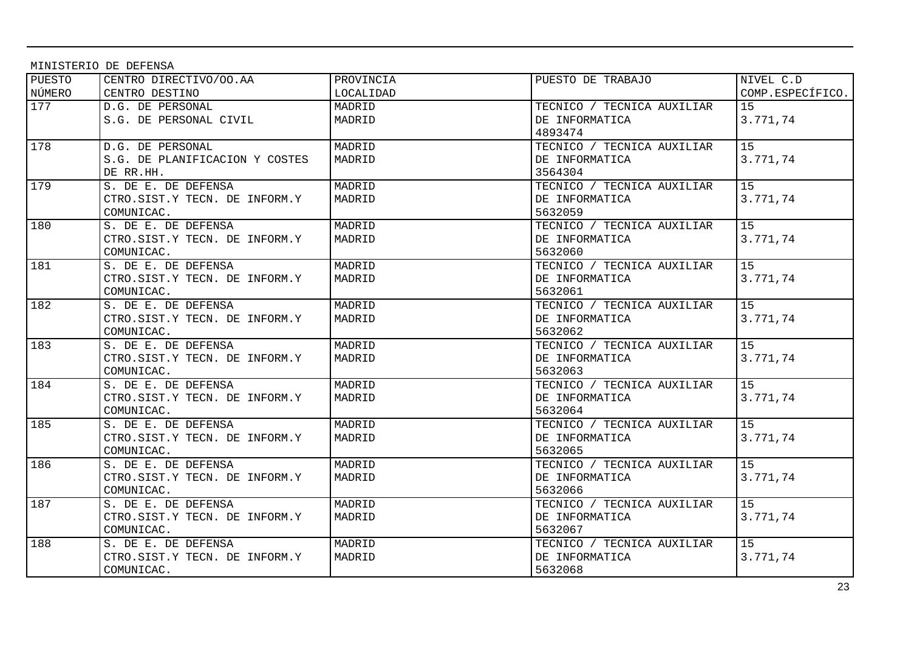MINISTERIO DE DEFENSA

| PUESTO | CENTRO DIRECTIVO/OO.AA         | PROVINCIA | PUESTO DE TRABAJO          | NIVEL C.D        |
|--------|--------------------------------|-----------|----------------------------|------------------|
| NÚMERO | CENTRO DESTINO                 | LOCALIDAD |                            | COMP.ESPECÍFICO. |
| 177    | D.G. DE PERSONAL               | MADRID    | TECNICO / TECNICA AUXILIAR | 15               |
|        | S.G. DE PERSONAL CIVIL         | MADRID    | DE INFORMATICA             | 3.771,74         |
|        |                                |           | 4893474                    |                  |
| 178    | D.G. DE PERSONAL               | MADRID    | TECNICO / TECNICA AUXILIAR | 15               |
|        | S.G. DE PLANIFICACION Y COSTES | MADRID    | DE INFORMATICA             | 3.771,74         |
|        | DE RR.HH.                      |           | 3564304                    |                  |
| 179    | S. DE E. DE DEFENSA            | MADRID    | TECNICO / TECNICA AUXILIAR | 15               |
|        | CTRO.SIST.Y TECN. DE INFORM.Y  | MADRID    | DE INFORMATICA             | 3.771,74         |
|        | COMUNICAC.                     |           | 5632059                    |                  |
| 180    | S. DE E. DE DEFENSA            | MADRID    | TECNICO / TECNICA AUXILIAR | 15               |
|        | CTRO.SIST.Y TECN. DE INFORM.Y  | MADRID    | DE INFORMATICA             | 3.771,74         |
|        | COMUNICAC.                     |           | 5632060                    |                  |
| 181    | S. DE E. DE DEFENSA            | MADRID    | TECNICO / TECNICA AUXILIAR | 15               |
|        | CTRO.SIST.Y TECN. DE INFORM.Y  | MADRID    | DE INFORMATICA             | 3.771,74         |
|        | COMUNICAC.                     |           | 5632061                    |                  |
| 182    | S. DE E. DE DEFENSA            | MADRID    | TECNICO / TECNICA AUXILIAR | 15               |
|        | CTRO.SIST.Y TECN. DE INFORM.Y  | MADRID    | DE INFORMATICA             | 3.771,74         |
|        | COMUNICAC.                     |           | 5632062                    |                  |
| 183    | S. DE E. DE DEFENSA            | MADRID    | TECNICO / TECNICA AUXILIAR | 15 <sub>1</sub>  |
|        | CTRO.SIST.Y TECN. DE INFORM.Y  | MADRID    | DE INFORMATICA             | 3.771,74         |
|        | COMUNICAC.                     |           | 5632063                    |                  |
| 184    | S. DE E. DE DEFENSA            | MADRID    | TECNICO / TECNICA AUXILIAR | 15 <sub>1</sub>  |
|        | CTRO.SIST.Y TECN. DE INFORM.Y  | MADRID    | DE INFORMATICA             | 3.771,74         |
|        | COMUNICAC.                     |           | 5632064                    |                  |
| 185    | S. DE E. DE DEFENSA            | MADRID    | TECNICO / TECNICA AUXILIAR | 15 <sub>1</sub>  |
|        | CTRO.SIST.Y TECN. DE INFORM.Y  | MADRID    | DE INFORMATICA             | 3.771,74         |
|        | COMUNICAC.                     |           | 5632065                    |                  |
| 186    | S. DE E. DE DEFENSA            | MADRID    | TECNICO / TECNICA AUXILIAR | 15               |
|        | CTRO.SIST.Y TECN. DE INFORM.Y  | MADRID    | DE INFORMATICA             | 3.771,74         |
|        | COMUNICAC.                     |           | 5632066                    |                  |
| 187    | S. DE E. DE DEFENSA            | MADRID    | TECNICO / TECNICA AUXILIAR | 15               |
|        | CTRO.SIST.Y TECN. DE INFORM.Y  | MADRID    | DE INFORMATICA             | 3.771,74         |
|        | COMUNICAC.                     |           | 5632067                    |                  |
| 188    | S. DE E. DE DEFENSA            | MADRID    | TECNICO / TECNICA AUXILIAR | 15               |
|        | CTRO.SIST.Y TECN. DE INFORM.Y  | MADRID    | DE INFORMATICA             | 3.771,74         |
|        | COMUNICAC.                     |           | 5632068                    |                  |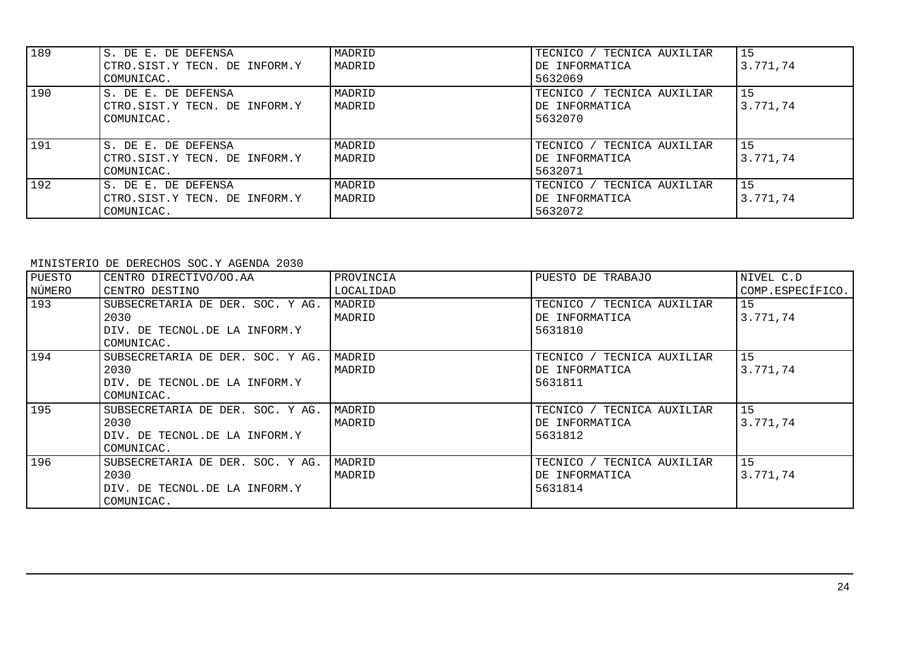| 189 | S. DE E. DE DEFENSA<br>CTRO.SIST.Y TECN. DE INFORM.Y<br>COMUNICAC. | MADRID<br>MADRID | TECNICO /<br>TECNICA AUXILIAR<br>DE INFORMATICA<br>5632069 | 15<br>3.771,74 |
|-----|--------------------------------------------------------------------|------------------|------------------------------------------------------------|----------------|
| 190 | S. DE E. DE DEFENSA<br>CTRO.SIST.Y TECN. DE INFORM.Y<br>COMUNICAC. | MADRID<br>MADRID | TECNICO / TECNICA AUXILIAR<br>DE INFORMATICA<br>5632070    | 15<br>3.771,74 |
| 191 | S. DE E. DE DEFENSA<br>CTRO.SIST.Y TECN. DE INFORM.Y<br>COMUNICAC. | MADRID<br>MADRID | TECNICO / TECNICA AUXILIAR<br>DE INFORMATICA<br>5632071    | 15<br>3.771,74 |
| 192 | S. DE E. DE DEFENSA<br>CTRO.SIST.Y TECN. DE INFORM.Y<br>COMUNICAC. | MADRID<br>MADRID | TECNICO / TECNICA AUXILIAR<br>DE INFORMATICA<br>5632072    | 15<br>3.771.74 |

### MINISTERIO DE DERECHOS SOC.Y AGENDA 2030

| CENTRO DIRECTIVO/OO.AA           | PROVINCIA | PUESTO DE TRABAJO          | NIVEL C.D        |
|----------------------------------|-----------|----------------------------|------------------|
| CENTRO DESTINO                   | LOCALIDAD |                            | COMP.ESPECÍFICO. |
| SUBSECRETARIA DE DER. SOC. Y AG. | MADRID    | TECNICO / TECNICA AUXILIAR | 15               |
| 2030                             | MADRID    | DE INFORMATICA             | 3.771.74         |
| DIV. DE TECNOL.DE LA INFORM.Y    |           | 5631810                    |                  |
| COMUNICAC.                       |           |                            |                  |
| SUBSECRETARIA DE DER. SOC. Y AG. | MADRID    | TECNICO / TECNICA AUXILIAR | 15               |
| 2030                             | MADRID    | DE INFORMATICA             | 3.771,74         |
| DIV. DE TECNOL. DE LA INFORM. Y  |           | 5631811                    |                  |
| COMUNICAC.                       |           |                            |                  |
| SUBSECRETARIA DE DER. SOC. Y AG. | MADRID    | TECNICO / TECNICA AUXILIAR | 15               |
| 2030                             | MADRID    | DE INFORMATICA             | 3.771.74         |
| DIV. DE TECNOL. DE LA INFORM. Y  |           | 5631812                    |                  |
| COMUNICAC.                       |           |                            |                  |
| SUBSECRETARIA DE DER. SOC. Y AG. | MADRID    | TECNICO / TECNICA AUXILIAR | 15               |
| 2030                             | MADRID    | DE INFORMATICA             | 3.771.74         |
| DIV. DE TECNOL. DE LA INFORM. Y  |           | 5631814                    |                  |
| COMUNICAC.                       |           |                            |                  |
|                                  |           |                            |                  |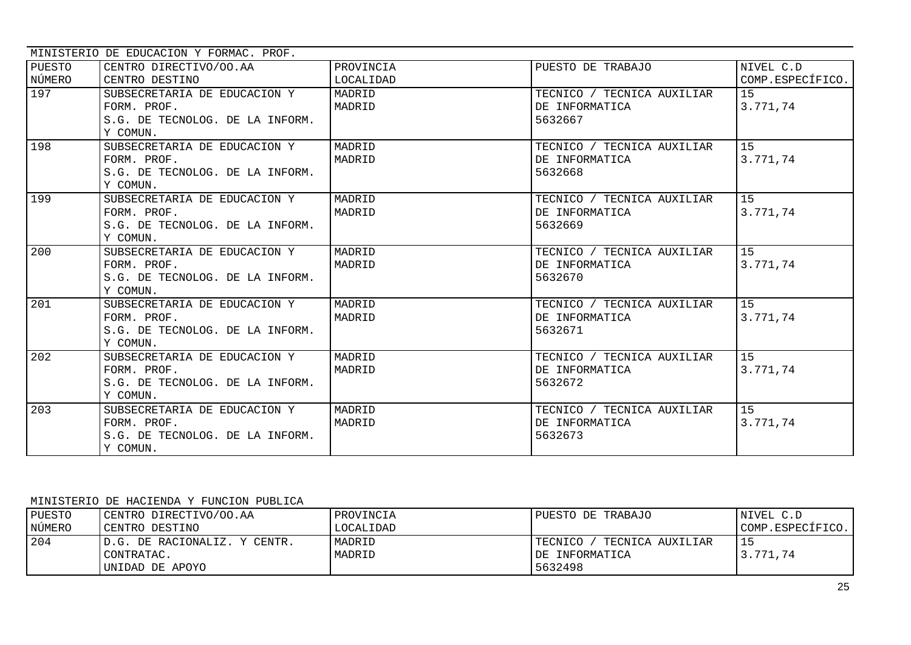|                  | MINISTERIO DE EDUCACION Y FORMAC. PROF.                                                    |                        |                                                         |                               |
|------------------|--------------------------------------------------------------------------------------------|------------------------|---------------------------------------------------------|-------------------------------|
| PUESTO<br>NÚMERO | CENTRO DIRECTIVO/OO.AA<br>CENTRO DESTINO                                                   | PROVINCIA<br>LOCALIDAD | PUESTO DE TRABAJO                                       | NIVEL C.D<br>COMP.ESPECÍFICO. |
| 197              | SUBSECRETARIA DE EDUCACION Y<br>FORM. PROF.<br>S.G. DE TECNOLOG. DE LA INFORM.<br>Y COMUN. | MADRID<br>MADRID       | TECNICO / TECNICA AUXILIAR<br>DE INFORMATICA<br>5632667 | 15<br>3.771,74                |
| 198              | SUBSECRETARIA DE EDUCACION Y<br>FORM, PROF.<br>S.G. DE TECNOLOG. DE LA INFORM.<br>Y COMUN. | MADRID<br>MADRID       | TECNICO / TECNICA AUXILIAR<br>DE INFORMATICA<br>5632668 | 15<br>3.771,74                |
| 199              | SUBSECRETARIA DE EDUCACION Y<br>FORM. PROF.<br>S.G. DE TECNOLOG. DE LA INFORM.<br>Y COMUN. | MADRID<br>MADRID       | TECNICO / TECNICA AUXILIAR<br>DE INFORMATICA<br>5632669 | 15<br>3.771,74                |
| 200              | SUBSECRETARIA DE EDUCACION Y<br>FORM, PROF,<br>S.G. DE TECNOLOG. DE LA INFORM.<br>Y COMUN. | MADRID<br>MADRID       | TECNICO / TECNICA AUXILIAR<br>DE INFORMATICA<br>5632670 | 15<br>3.771,74                |
| 201              | SUBSECRETARIA DE EDUCACION Y<br>FORM. PROF.<br>S.G. DE TECNOLOG. DE LA INFORM.<br>Y COMUN. | MADRID<br>MADRID       | TECNICO / TECNICA AUXILIAR<br>DE INFORMATICA<br>5632671 | 15<br>3.771,74                |
| 202              | SUBSECRETARIA DE EDUCACION Y<br>FORM. PROF.<br>S.G. DE TECNOLOG. DE LA INFORM.<br>Y COMUN. | MADRID<br>MADRID       | TECNICO / TECNICA AUXILIAR<br>DE INFORMATICA<br>5632672 | 15<br>3.771,74                |
| 203              | SUBSECRETARIA DE EDUCACION Y<br>FORM, PROF,<br>S.G. DE TECNOLOG. DE LA INFORM.<br>Y COMUN. | MADRID<br>MADRID       | TECNICO / TECNICA AUXILIAR<br>DE INFORMATICA<br>5632673 | 15<br>3.771,74                |

#### MINISTERIO DE HACIENDA Y FUNCION PUBLICA

| PUESTO | CENTRO DIRECTIVO/OO.AA        | PROVINCIA | PUESTO DE TRABAJO            | INIVEL C.D       |
|--------|-------------------------------|-----------|------------------------------|------------------|
| NÚMERO | CENTRO DESTINO                | LOCALIDAD |                              | COMP.ESPECÍFICO. |
| 204    | ID.G. DE RACIONALIZ. Y CENTR. | MADRID    | TECNICO.<br>TECNICA AUXILIAR |                  |
|        | CONTRATAC.                    | MADRID    | DE INFORMATICA               | 3.771,74         |
|        | UNIDAD DE APOYO               |           | 5632498                      |                  |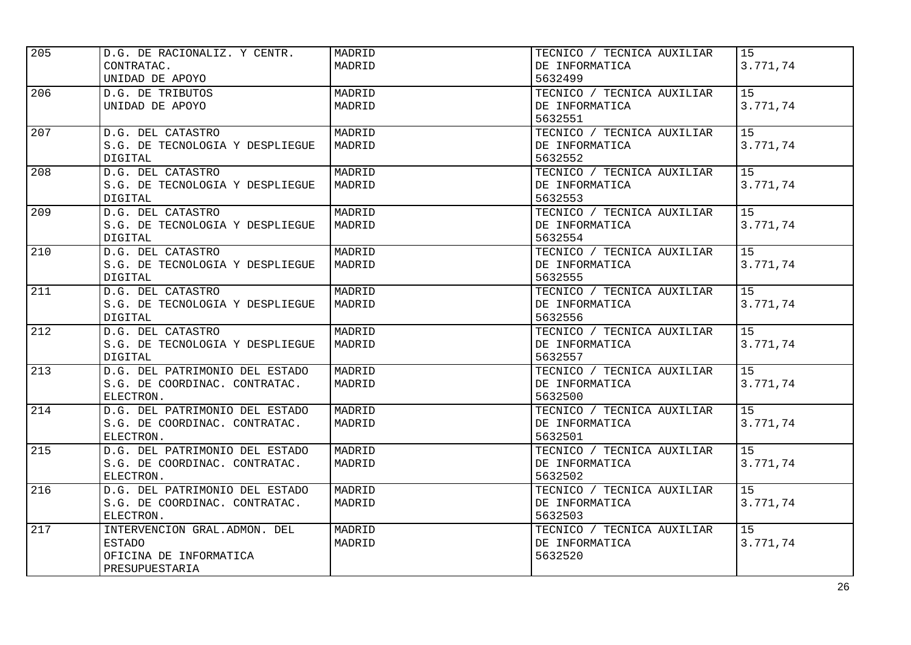| 205 | D.G. DE RACIONALIZ. Y CENTR.    | MADRID | TECNICO / TECNICA AUXILIAR | 15              |
|-----|---------------------------------|--------|----------------------------|-----------------|
|     | CONTRATAC.                      | MADRID | DE INFORMATICA             | 3.771,74        |
|     | UNIDAD DE APOYO                 |        | 5632499                    |                 |
| 206 | D.G. DE TRIBUTOS                | MADRID | TECNICO / TECNICA AUXILIAR | 15              |
|     | UNIDAD DE APOYO                 | MADRID | DE INFORMATICA             | 3.771,74        |
|     |                                 |        | 5632551                    |                 |
| 207 | D.G. DEL CATASTRO               | MADRID | TECNICO / TECNICA AUXILIAR | 15              |
|     | S.G. DE TECNOLOGIA Y DESPLIEGUE | MADRID | DE INFORMATICA             | 3.771,74        |
|     | DIGITAL                         |        | 5632552                    |                 |
| 208 | D.G. DEL CATASTRO               | MADRID | TECNICO / TECNICA AUXILIAR | 15              |
|     | S.G. DE TECNOLOGIA Y DESPLIEGUE | MADRID | DE INFORMATICA             | 3.771,74        |
|     | DIGITAL                         |        | 5632553                    |                 |
| 209 | D.G. DEL CATASTRO               | MADRID | TECNICO / TECNICA AUXILIAR | 15              |
|     | S.G. DE TECNOLOGIA Y DESPLIEGUE | MADRID | DE INFORMATICA             | 3.771,74        |
|     | <b>DIGITAL</b>                  |        | 5632554                    |                 |
| 210 | D.G. DEL CATASTRO               | MADRID | TECNICO / TECNICA AUXILIAR | 15              |
|     | S.G. DE TECNOLOGIA Y DESPLIEGUE | MADRID | DE INFORMATICA             | 3.771,74        |
|     | <b>DIGITAL</b>                  |        | 5632555                    |                 |
| 211 | D.G. DEL CATASTRO               | MADRID | TECNICO / TECNICA AUXILIAR | $\overline{15}$ |
|     | S.G. DE TECNOLOGIA Y DESPLIEGUE | MADRID | DE INFORMATICA             | 3.771,74        |
|     | DIGITAL                         |        | 5632556                    |                 |
| 212 | D.G. DEL CATASTRO               | MADRID | TECNICO / TECNICA AUXILIAR | 15              |
|     | S.G. DE TECNOLOGIA Y DESPLIEGUE | MADRID | DE INFORMATICA             | 3.771,74        |
|     | DIGITAL                         |        | 5632557                    |                 |
| 213 | D.G. DEL PATRIMONIO DEL ESTADO  | MADRID | TECNICO / TECNICA AUXILIAR | 15              |
|     | S.G. DE COORDINAC. CONTRATAC.   | MADRID | DE INFORMATICA             | 3.771,74        |
|     | ELECTRON.                       |        | 5632500                    |                 |
| 214 | D.G. DEL PATRIMONIO DEL ESTADO  | MADRID | TECNICO / TECNICA AUXILIAR | 15              |
|     | S.G. DE COORDINAC. CONTRATAC.   | MADRID | DE INFORMATICA             | 3.771,74        |
|     | ELECTRON.                       |        | 5632501                    |                 |
| 215 | D.G. DEL PATRIMONIO DEL ESTADO  | MADRID | TECNICO / TECNICA AUXILIAR | 15              |
|     | S.G. DE COORDINAC. CONTRATAC.   | MADRID | DE INFORMATICA             | 3.771,74        |
|     | ELECTRON.                       |        | 5632502                    |                 |
| 216 | D.G. DEL PATRIMONIO DEL ESTADO  | MADRID | TECNICO / TECNICA AUXILIAR | 15              |
|     | S.G. DE COORDINAC. CONTRATAC.   | MADRID | DE INFORMATICA             | 3.771,74        |
|     | ELECTRON.                       |        | 5632503                    |                 |
| 217 | INTERVENCION GRAL. ADMON. DEL   | MADRID | TECNICO / TECNICA AUXILIAR | 15              |
|     | <b>ESTADO</b>                   | MADRID | DE INFORMATICA             | 3.771,74        |
|     | OFICINA DE INFORMATICA          |        | 5632520                    |                 |
|     | PRESUPUESTARIA                  |        |                            |                 |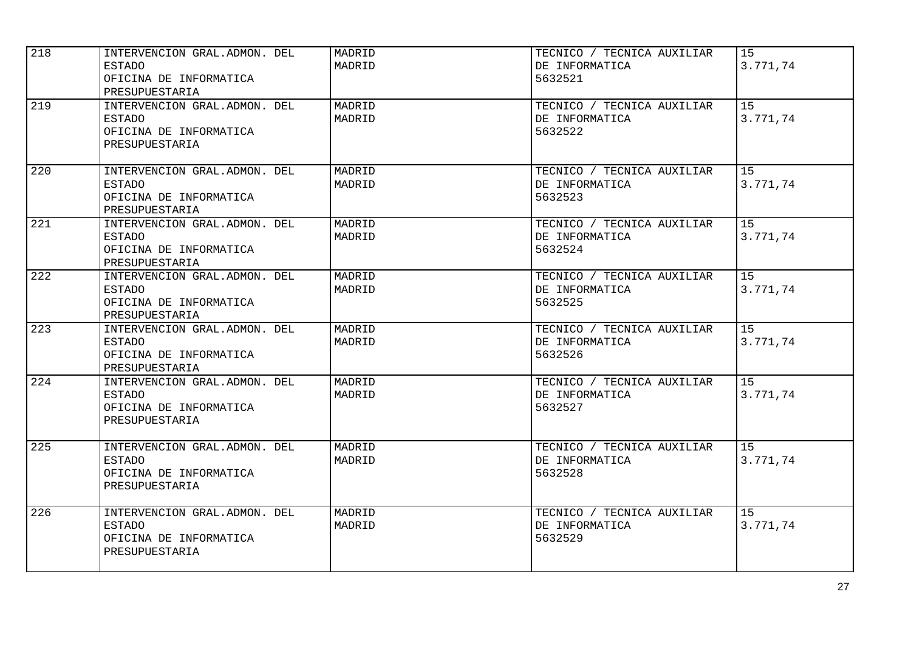| 218 | INTERVENCION GRAL. ADMON. DEL<br><b>ESTADO</b><br>OFICINA DE INFORMATICA<br>PRESUPUESTARIA | MADRID<br>MADRID | TECNICO / TECNICA AUXILIAR<br>DE INFORMATICA<br>5632521 | 15<br>3.771,74              |
|-----|--------------------------------------------------------------------------------------------|------------------|---------------------------------------------------------|-----------------------------|
| 219 | INTERVENCION GRAL. ADMON. DEL<br><b>ESTADO</b><br>OFICINA DE INFORMATICA<br>PRESUPUESTARIA | MADRID<br>MADRID | TECNICO / TECNICA AUXILIAR<br>DE INFORMATICA<br>5632522 | 15<br>3.771,74              |
| 220 | INTERVENCION GRAL. ADMON. DEL<br><b>ESTADO</b><br>OFICINA DE INFORMATICA<br>PRESUPUESTARIA | MADRID<br>MADRID | TECNICO / TECNICA AUXILIAR<br>DE INFORMATICA<br>5632523 | 15<br>3.771,74              |
| 221 | INTERVENCION GRAL. ADMON. DEL<br><b>ESTADO</b><br>OFICINA DE INFORMATICA<br>PRESUPUESTARIA | MADRID<br>MADRID | TECNICO / TECNICA AUXILIAR<br>DE INFORMATICA<br>5632524 | 15<br>3.771,74              |
| 222 | INTERVENCION GRAL. ADMON. DEL<br><b>ESTADO</b><br>OFICINA DE INFORMATICA<br>PRESUPUESTARIA | MADRID<br>MADRID | TECNICO / TECNICA AUXILIAR<br>DE INFORMATICA<br>5632525 | $\overline{15}$<br>3.771,74 |
| 223 | INTERVENCION GRAL. ADMON. DEL<br><b>ESTADO</b><br>OFICINA DE INFORMATICA<br>PRESUPUESTARIA | MADRID<br>MADRID | TECNICO / TECNICA AUXILIAR<br>DE INFORMATICA<br>5632526 | 15<br>3.771,74              |
| 224 | INTERVENCION GRAL. ADMON. DEL<br><b>ESTADO</b><br>OFICINA DE INFORMATICA<br>PRESUPUESTARIA | MADRID<br>MADRID | TECNICO / TECNICA AUXILIAR<br>DE INFORMATICA<br>5632527 | 15<br>3.771,74              |
| 225 | INTERVENCION GRAL. ADMON. DEL<br><b>ESTADO</b><br>OFICINA DE INFORMATICA<br>PRESUPUESTARIA | MADRID<br>MADRID | TECNICO / TECNICA AUXILIAR<br>DE INFORMATICA<br>5632528 | 15 <sub>1</sub><br>3.771,74 |
| 226 | INTERVENCION GRAL. ADMON. DEL<br><b>ESTADO</b><br>OFICINA DE INFORMATICA<br>PRESUPUESTARIA | MADRID<br>MADRID | TECNICO / TECNICA AUXILIAR<br>DE INFORMATICA<br>5632529 | 15<br>3.771,74              |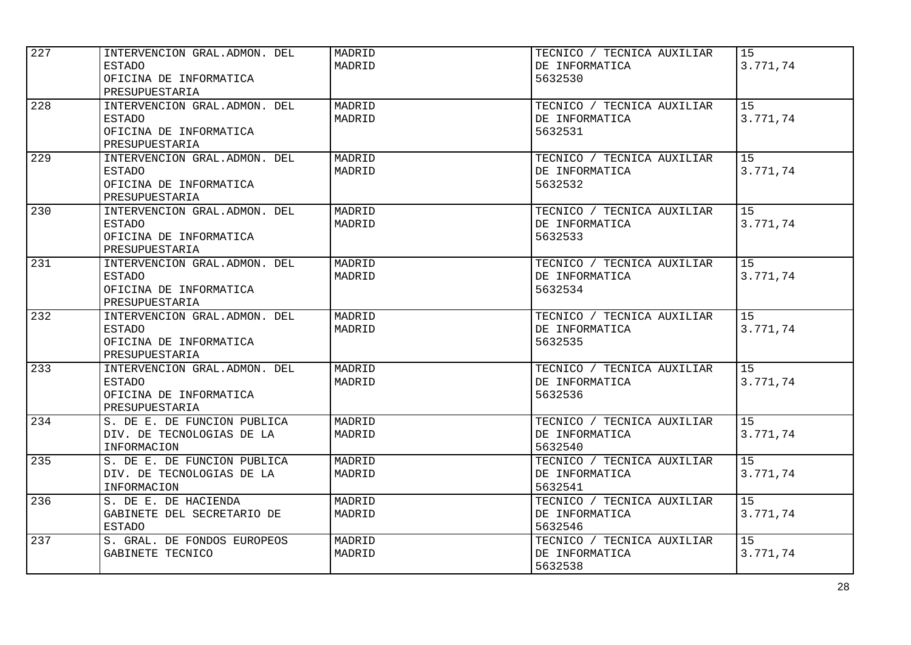| 227 | INTERVENCION GRAL. ADMON. DEL<br><b>ESTADO</b><br>OFICINA DE INFORMATICA<br>PRESUPUESTARIA | MADRID<br>MADRID | TECNICO / TECNICA AUXILIAR<br>DE INFORMATICA<br>5632530 | 15<br>3.771,74              |
|-----|--------------------------------------------------------------------------------------------|------------------|---------------------------------------------------------|-----------------------------|
| 228 | INTERVENCION GRAL. ADMON. DEL<br><b>ESTADO</b><br>OFICINA DE INFORMATICA<br>PRESUPUESTARIA | MADRID<br>MADRID | TECNICO / TECNICA AUXILIAR<br>DE INFORMATICA<br>5632531 | 1.5<br>3.771,74             |
| 229 | INTERVENCION GRAL. ADMON. DEL<br><b>ESTADO</b><br>OFICINA DE INFORMATICA<br>PRESUPUESTARIA | MADRID<br>MADRID | TECNICO / TECNICA AUXILIAR<br>DE INFORMATICA<br>5632532 | 15<br>3.771,74              |
| 230 | INTERVENCION GRAL. ADMON. DEL<br><b>ESTADO</b><br>OFICINA DE INFORMATICA<br>PRESUPUESTARIA | MADRID<br>MADRID | TECNICO / TECNICA AUXILIAR<br>DE INFORMATICA<br>5632533 | 15<br>3.771,74              |
| 231 | INTERVENCION GRAL. ADMON. DEL<br><b>ESTADO</b><br>OFICINA DE INFORMATICA<br>PRESUPUESTARIA | MADRID<br>MADRID | TECNICO / TECNICA AUXILIAR<br>DE INFORMATICA<br>5632534 | $\overline{15}$<br>3.771,74 |
| 232 | INTERVENCION GRAL. ADMON. DEL<br><b>ESTADO</b><br>OFICINA DE INFORMATICA<br>PRESUPUESTARIA | MADRID<br>MADRID | TECNICO / TECNICA AUXILIAR<br>DE INFORMATICA<br>5632535 | 15<br>3.771,74              |
| 233 | INTERVENCION GRAL. ADMON. DEL<br><b>ESTADO</b><br>OFICINA DE INFORMATICA<br>PRESUPUESTARIA | MADRID<br>MADRID | TECNICO / TECNICA AUXILIAR<br>DE INFORMATICA<br>5632536 | 15<br>3.771,74              |
| 234 | S. DE E. DE FUNCION PUBLICA<br>DIV. DE TECNOLOGIAS DE LA<br>INFORMACION                    | MADRID<br>MADRID | TECNICO / TECNICA AUXILIAR<br>DE INFORMATICA<br>5632540 | 15<br>3.771,74              |
| 235 | S. DE E. DE FUNCION PUBLICA<br>DIV. DE TECNOLOGIAS DE LA<br>INFORMACION                    | MADRID<br>MADRID | TECNICO / TECNICA AUXILIAR<br>DE INFORMATICA<br>5632541 | 15<br>3.771,74              |
| 236 | S. DE E. DE HACIENDA<br>GABINETE DEL SECRETARIO DE<br><b>ESTADO</b>                        | MADRID<br>MADRID | TECNICO / TECNICA AUXILIAR<br>DE INFORMATICA<br>5632546 | 15<br>3.771,74              |
| 237 | S. GRAL. DE FONDOS EUROPEOS<br>GABINETE TECNICO                                            | MADRID<br>MADRID | TECNICO / TECNICA AUXILIAR<br>DE INFORMATICA<br>5632538 | 15<br>3.771,74              |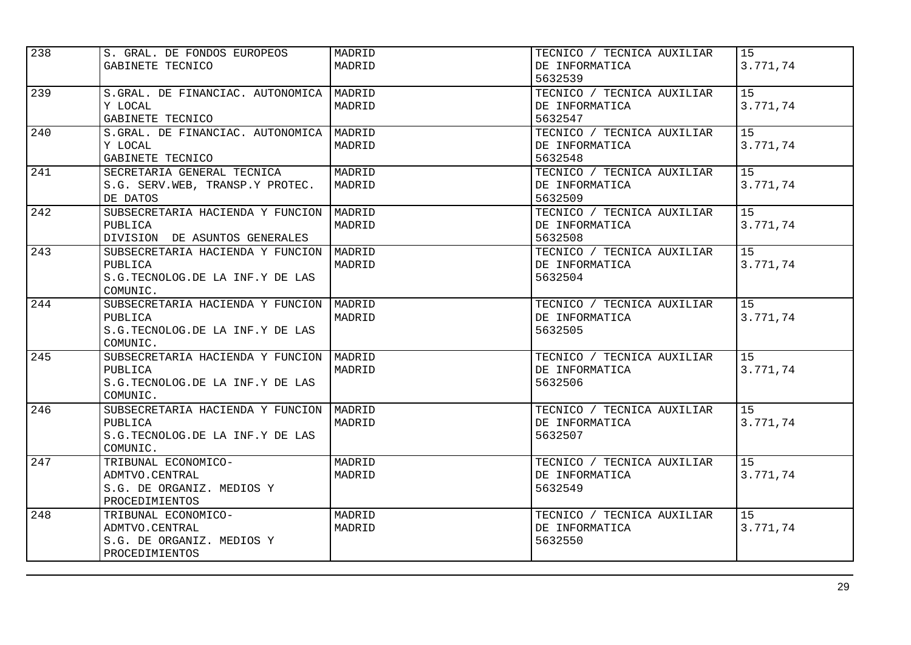| 238 | S. GRAL. DE FONDOS EUROPEOS             | MADRID | TECNICO / TECNICA AUXILIAR | 15       |
|-----|-----------------------------------------|--------|----------------------------|----------|
|     | GABINETE TECNICO                        | MADRID | DE INFORMATICA             | 3.771,74 |
|     |                                         |        | 5632539                    |          |
| 239 | S.GRAL. DE FINANCIAC. AUTONOMICA        | MADRID | TECNICO / TECNICA AUXILIAR | 15       |
|     | Y LOCAL                                 | MADRID | DE INFORMATICA             | 3.771,74 |
|     | GABINETE TECNICO                        |        | 5632547                    |          |
| 240 | S.GRAL. DE FINANCIAC. AUTONOMICA        | MADRID | TECNICO / TECNICA AUXILIAR | 15       |
|     | Y LOCAL                                 | MADRID | DE INFORMATICA             | 3.771,74 |
|     | GABINETE TECNICO                        |        | 5632548                    |          |
| 241 | SECRETARIA GENERAL TECNICA              | MADRID | TECNICO / TECNICA AUXILIAR | 15       |
|     | S.G. SERV.WEB, TRANSP.Y PROTEC.         | MADRID | DE INFORMATICA             | 3.771,74 |
|     | DE DATOS                                |        | 5632509                    |          |
| 242 | SUBSECRETARIA HACIENDA Y FUNCION        | MADRID | TECNICO / TECNICA AUXILIAR | 15       |
|     | PUBLICA                                 | MADRID | DE INFORMATICA             | 3.771,74 |
|     | DIVISION DE ASUNTOS GENERALES           |        | 5632508                    |          |
| 243 | SUBSECRETARIA HACIENDA Y FUNCION        | MADRID | TECNICO / TECNICA AUXILIAR | 15       |
|     | PUBLICA                                 | MADRID | DE INFORMATICA             | 3.771,74 |
|     | S.G.TECNOLOG.DE LA INF.Y DE LAS         |        | 5632504                    |          |
|     | COMUNIC.                                |        |                            |          |
| 244 | SUBSECRETARIA HACIENDA Y FUNCION        | MADRID | TECNICO / TECNICA AUXILIAR | 15       |
|     | PUBLICA                                 | MADRID | DE INFORMATICA             | 3.771,74 |
|     | S.G.TECNOLOG.DE LA INF.Y DE LAS         |        | 5632505                    |          |
|     | COMUNIC.                                |        |                            |          |
| 245 | SUBSECRETARIA HACIENDA Y FUNCION MADRID |        | TECNICO / TECNICA AUXILIAR | 15       |
|     | PUBLICA                                 | MADRID | DE INFORMATICA             | 3.771,74 |
|     | S.G.TECNOLOG.DE LA INF.Y DE LAS         |        | 5632506                    |          |
|     | COMUNIC.                                |        |                            |          |
| 246 | SUBSECRETARIA HACIENDA Y FUNCION        | MADRID | TECNICO / TECNICA AUXILIAR | 15       |
|     | PUBLICA                                 | MADRID | DE INFORMATICA             | 3.771,74 |
|     | S.G.TECNOLOG.DE LA INF.Y DE LAS         |        | 5632507                    |          |
|     | COMUNIC.                                |        |                            |          |
| 247 | TRIBUNAL ECONOMICO-                     | MADRID | TECNICO / TECNICA AUXILIAR | 15       |
|     | ADMTVO.CENTRAL                          | MADRID | DE INFORMATICA             | 3.771,74 |
|     | S.G. DE ORGANIZ. MEDIOS Y               |        | 5632549                    |          |
|     | PROCEDIMIENTOS                          |        |                            |          |
| 248 | TRIBUNAL ECONOMICO-                     | MADRID | TECNICO / TECNICA AUXILIAR | 15       |
|     | ADMTVO.CENTRAL                          | MADRID | DE INFORMATICA             | 3.771,74 |
|     | S.G. DE ORGANIZ. MEDIOS Y               |        | 5632550                    |          |
|     | PROCEDIMIENTOS                          |        |                            |          |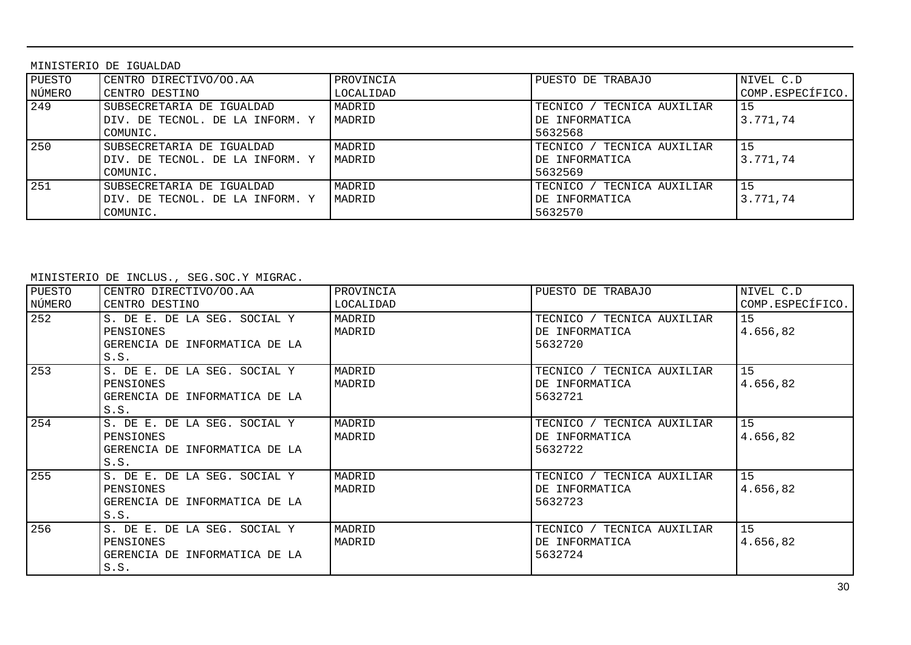MINISTERIO DE IGUALDAD

| PUESTO | CENTRO DIRECTIVO/OO.AA          | PROVINCIA | PUESTO DE TRABAJO          | NIVEL C.D        |
|--------|---------------------------------|-----------|----------------------------|------------------|
|        |                                 |           |                            |                  |
| NÚMERO | CENTRO DESTINO                  | LOCALIDAD |                            | COMP.ESPECÍFICO. |
| 249    | SUBSECRETARIA DE IGUALDAD       | MADRID    | TECNICO / TECNICA AUXILIAR | 15               |
|        | DIV. DE TECNOL. DE LA INFORM. Y | MADRID    | DE INFORMATICA             | 3.771.74         |
|        | COMUNIC.                        |           | 5632568                    |                  |
| 250    | SUBSECRETARIA DE IGUALDAD       | MADRID    | TECNICO / TECNICA AUXILIAR | 15               |
|        | DIV. DE TECNOL. DE LA INFORM. Y | MADRID    | DE INFORMATICA             | 3.771.74         |
|        | COMUNIC.                        |           | 5632569                    |                  |
| 251    | SUBSECRETARIA DE IGUALDAD       | MADRID    | TECNICO / TECNICA AUXILIAR | 15               |
|        | DIV. DE TECNOL. DE LA INFORM. Y | MADRID    | DE INFORMATICA             | 3.771.74         |
|        | COMUNIC.                        |           | 5632570                    |                  |

| PUESTO<br>NÚMERO | CENTRO DIRECTIVO/OO.AA<br>CENTRO DESTINO                                           | PROVINCIA<br>LOCALIDAD | PUESTO DE TRABAJO                                          | NIVEL C.D<br>COMP.ESPECÍFICO. |
|------------------|------------------------------------------------------------------------------------|------------------------|------------------------------------------------------------|-------------------------------|
| 252              | S. DE E. DE LA SEG. SOCIAL Y<br>PENSIONES<br>GERENCIA DE INFORMATICA DE LA<br>S.S. | MADRID<br>MADRID       | TECNICO / TECNICA AUXILIAR<br>DE INFORMATICA<br>5632720    | 15<br>4.656,82                |
| 253              | S. DE E. DE LA SEG. SOCIAL Y<br>PENSIONES<br>GERENCIA DE INFORMATICA DE LA<br>S.S. | MADRID<br>MADRID       | TECNICO / TECNICA AUXILIAR<br>DE INFORMATICA<br>5632721    | 15<br>4.656,82                |
| 254              | S. DE E. DE LA SEG. SOCIAL Y<br>PENSIONES<br>GERENCIA DE INFORMATICA DE LA<br>S.S. | MADRID<br>MADRID       | TECNICO / TECNICA AUXILIAR<br>DE INFORMATICA<br>5632722    | 15<br>4.656,82                |
| 255              | S. DE E. DE LA SEG. SOCIAL Y<br>PENSIONES<br>GERENCIA DE INFORMATICA DE LA<br>S.S. | MADRID<br>MADRID       | TECNICA AUXILIAR<br>TECNICO /<br>DE INFORMATICA<br>5632723 | 15<br>4.656,82                |
| 256              | S. DE E. DE LA SEG. SOCIAL Y<br>PENSIONES<br>GERENCIA DE INFORMATICA DE LA<br>S.S. | MADRID<br>MADRID       | TECNICO / TECNICA AUXILIAR<br>DE INFORMATICA<br>5632724    | 15<br>4.656,82                |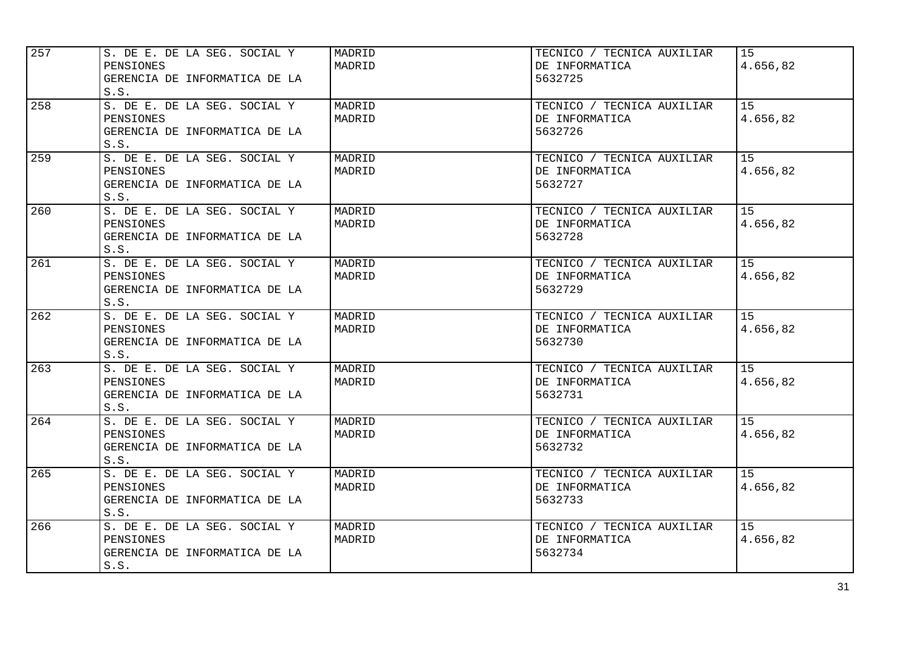| 257 | S. DE E. DE LA SEG. SOCIAL Y<br>PENSIONES<br>GERENCIA DE INFORMATICA DE LA<br>S.S. | MADRID<br>MADRID | TECNICO / TECNICA AUXILIAR<br>DE INFORMATICA<br>5632725 | 15<br>4.656,82 |
|-----|------------------------------------------------------------------------------------|------------------|---------------------------------------------------------|----------------|
| 258 | S. DE E. DE LA SEG. SOCIAL Y<br>PENSIONES<br>GERENCIA DE INFORMATICA DE LA<br>S.S. | MADRID<br>MADRID | TECNICO / TECNICA AUXILIAR<br>DE INFORMATICA<br>5632726 | 15<br>4.656,82 |
| 259 | S. DE E. DE LA SEG. SOCIAL Y<br>PENSIONES<br>GERENCIA DE INFORMATICA DE LA<br>S.S. | MADRID<br>MADRID | TECNICO / TECNICA AUXILIAR<br>DE INFORMATICA<br>5632727 | 15<br>4.656,82 |
| 260 | S. DE E. DE LA SEG. SOCIAL Y<br>PENSIONES<br>GERENCIA DE INFORMATICA DE LA<br>S.S. | MADRID<br>MADRID | TECNICO / TECNICA AUXILIAR<br>DE INFORMATICA<br>5632728 | 15<br>4.656,82 |
| 261 | S. DE E. DE LA SEG. SOCIAL Y<br>PENSIONES<br>GERENCIA DE INFORMATICA DE LA<br>S.S. | MADRID<br>MADRID | TECNICO / TECNICA AUXILIAR<br>DE INFORMATICA<br>5632729 | 15<br>4.656,82 |
| 262 | S. DE E. DE LA SEG. SOCIAL Y<br>PENSIONES<br>GERENCIA DE INFORMATICA DE LA<br>S.S. | MADRID<br>MADRID | TECNICO / TECNICA AUXILIAR<br>DE INFORMATICA<br>5632730 | 15<br>4.656,82 |
| 263 | S. DE E. DE LA SEG. SOCIAL Y<br>PENSIONES<br>GERENCIA DE INFORMATICA DE LA<br>S.S. | MADRID<br>MADRID | TECNICO / TECNICA AUXILIAR<br>DE INFORMATICA<br>5632731 | 15<br>4.656,82 |
| 264 | S. DE E. DE LA SEG. SOCIAL Y<br>PENSIONES<br>GERENCIA DE INFORMATICA DE LA<br>S.S. | MADRID<br>MADRID | TECNICO / TECNICA AUXILIAR<br>DE INFORMATICA<br>5632732 | 15<br>4.656,82 |
| 265 | S. DE E. DE LA SEG. SOCIAL Y<br>PENSIONES<br>GERENCIA DE INFORMATICA DE LA<br>S.S. | MADRID<br>MADRID | TECNICO / TECNICA AUXILIAR<br>DE INFORMATICA<br>5632733 | 15<br>4.656,82 |
| 266 | S. DE E. DE LA SEG. SOCIAL Y<br>PENSIONES<br>GERENCIA DE INFORMATICA DE LA<br>S.S. | MADRID<br>MADRID | TECNICO / TECNICA AUXILIAR<br>DE INFORMATICA<br>5632734 | 15<br>4.656,82 |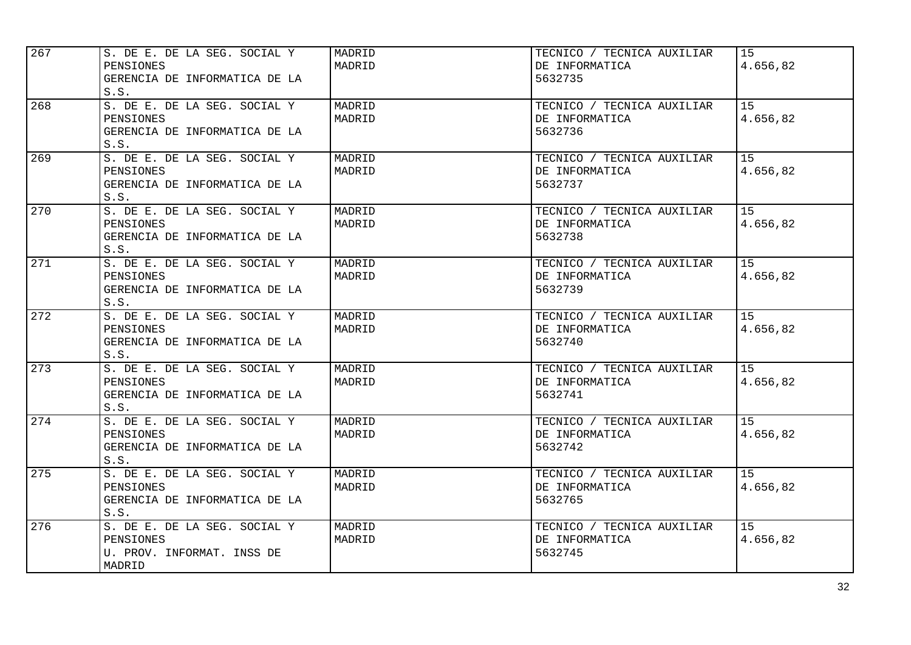| 267 | S. DE E. DE LA SEG. SOCIAL Y<br>PENSIONES<br>GERENCIA DE INFORMATICA DE LA<br>S.S. | MADRID<br>MADRID | TECNICO / TECNICA AUXILIAR<br>DE INFORMATICA<br>5632735 | 15<br>4.656,82 |
|-----|------------------------------------------------------------------------------------|------------------|---------------------------------------------------------|----------------|
| 268 | S. DE E. DE LA SEG. SOCIAL Y<br>PENSIONES<br>GERENCIA DE INFORMATICA DE LA<br>S.S. | MADRID<br>MADRID | TECNICO / TECNICA AUXILIAR<br>DE INFORMATICA<br>5632736 | 15<br>4.656,82 |
| 269 | S. DE E. DE LA SEG. SOCIAL Y<br>PENSIONES<br>GERENCIA DE INFORMATICA DE LA<br>S.S. | MADRID<br>MADRID | TECNICO / TECNICA AUXILIAR<br>DE INFORMATICA<br>5632737 | 15<br>4.656,82 |
| 270 | S. DE E. DE LA SEG. SOCIAL Y<br>PENSIONES<br>GERENCIA DE INFORMATICA DE LA<br>S.S. | MADRID<br>MADRID | TECNICO / TECNICA AUXILIAR<br>DE INFORMATICA<br>5632738 | 15<br>4.656,82 |
| 271 | S. DE E. DE LA SEG. SOCIAL Y<br>PENSIONES<br>GERENCIA DE INFORMATICA DE LA<br>S.S. | MADRID<br>MADRID | TECNICO / TECNICA AUXILIAR<br>DE INFORMATICA<br>5632739 | 15<br>4.656,82 |
| 272 | S. DE E. DE LA SEG. SOCIAL Y<br>PENSIONES<br>GERENCIA DE INFORMATICA DE LA<br>S.S. | MADRID<br>MADRID | TECNICO / TECNICA AUXILIAR<br>DE INFORMATICA<br>5632740 | 15<br>4.656,82 |
| 273 | S. DE E. DE LA SEG. SOCIAL Y<br>PENSIONES<br>GERENCIA DE INFORMATICA DE LA<br>S.S. | MADRID<br>MADRID | TECNICO / TECNICA AUXILIAR<br>DE INFORMATICA<br>5632741 | 15<br>4.656,82 |
| 274 | S. DE E. DE LA SEG. SOCIAL Y<br>PENSIONES<br>GERENCIA DE INFORMATICA DE LA<br>S.S. | MADRID<br>MADRID | TECNICO / TECNICA AUXILIAR<br>DE INFORMATICA<br>5632742 | 15<br>4.656,82 |
| 275 | S. DE E. DE LA SEG. SOCIAL Y<br>PENSIONES<br>GERENCIA DE INFORMATICA DE LA<br>S.S. | MADRID<br>MADRID | TECNICO / TECNICA AUXILIAR<br>DE INFORMATICA<br>5632765 | 15<br>4.656,82 |
| 276 | S. DE E. DE LA SEG. SOCIAL Y<br>PENSIONES<br>U. PROV. INFORMAT. INSS DE<br>MADRID  | MADRID<br>MADRID | TECNICO / TECNICA AUXILIAR<br>DE INFORMATICA<br>5632745 | 15<br>4.656,82 |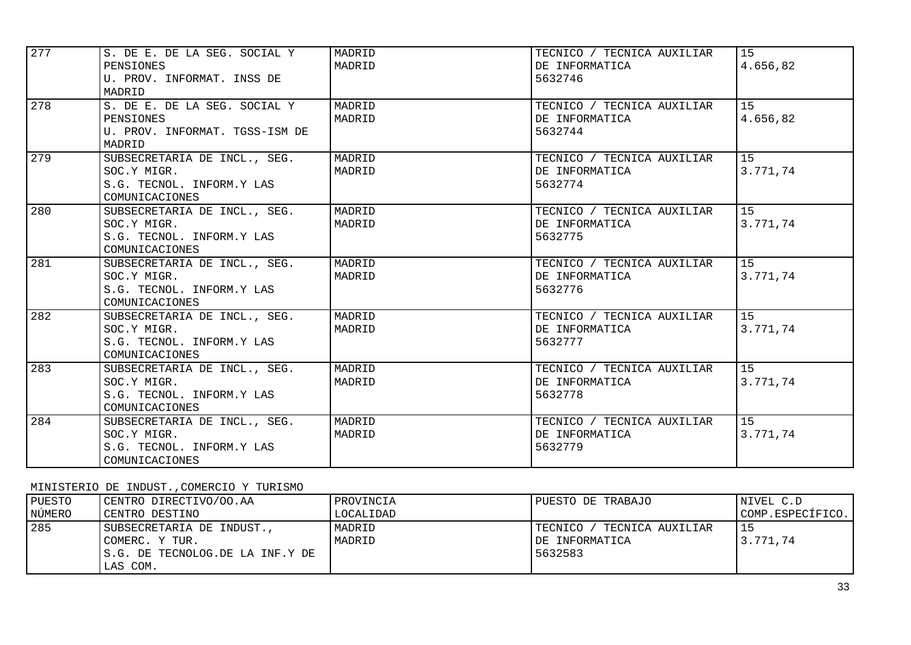| 277 | S. DE E. DE LA SEG. SOCIAL Y   | MADRID | TECNICO / TECNICA AUXILIAR | 15       |
|-----|--------------------------------|--------|----------------------------|----------|
|     | PENSIONES                      | MADRID | DE INFORMATICA             | 4.656,82 |
|     | U. PROV. INFORMAT. INSS DE     |        | 5632746                    |          |
|     | MADRID                         |        |                            |          |
| 278 | S. DE E. DE LA SEG. SOCIAL Y   | MADRID | TECNICO / TECNICA AUXILIAR | 15       |
|     | PENSIONES                      | MADRID | DE INFORMATICA             | 4.656,82 |
|     | U. PROV. INFORMAT. TGSS-ISM DE |        | 5632744                    |          |
|     | MADRID                         |        |                            |          |
| 279 | SUBSECRETARIA DE INCL., SEG.   | MADRID | TECNICO / TECNICA AUXILIAR | 15       |
|     | SOC.Y MIGR.                    | MADRID | DE INFORMATICA             | 3.771,74 |
|     | S.G. TECNOL. INFORM.Y LAS      |        | 5632774                    |          |
|     | COMUNICACIONES                 |        |                            |          |
| 280 | SUBSECRETARIA DE INCL., SEG.   | MADRID | TECNICO / TECNICA AUXILIAR | 15       |
|     | SOC.Y MIGR.                    | MADRID | DE INFORMATICA             | 3.771,74 |
|     | S.G. TECNOL. INFORM.Y LAS      |        | 5632775                    |          |
|     | COMUNICACIONES                 |        |                            |          |
| 281 | SUBSECRETARIA DE INCL., SEG.   | MADRID | TECNICO / TECNICA AUXILIAR | 15       |
|     | SOC.Y MIGR.                    | MADRID | DE INFORMATICA             | 3.771,74 |
|     | S.G. TECNOL. INFORM.Y LAS      |        | 5632776                    |          |
|     | COMUNICACIONES                 |        |                            |          |
| 282 | SUBSECRETARIA DE INCL., SEG.   | MADRID | TECNICO / TECNICA AUXILIAR | 15       |
|     | SOC.Y MIGR.                    | MADRID | DE INFORMATICA             | 3.771,74 |
|     | S.G. TECNOL. INFORM.Y LAS      |        | 5632777                    |          |
|     | COMUNICACIONES                 |        |                            |          |
| 283 | SUBSECRETARIA DE INCL., SEG.   | MADRID | TECNICO / TECNICA AUXILIAR | 15       |
|     | SOC.Y MIGR.                    | MADRID | DE INFORMATICA             | 3.771,74 |
|     | S.G. TECNOL. INFORM.Y LAS      |        | 5632778                    |          |
|     | COMUNICACIONES                 |        |                            |          |
| 284 | SUBSECRETARIA DE INCL., SEG.   | MADRID | TECNICO / TECNICA AUXILIAR | 15       |
|     | SOC.Y MIGR.                    | MADRID | DE INFORMATICA             | 3.771,74 |
|     | S.G. TECNOL. INFORM.Y LAS      |        | 5632779                    |          |
|     | COMUNICACIONES                 |        |                            |          |

## MINISTERIO DE INDUST.,COMERCIO Y TURISMO

| PUESTO | CENTRO DIRECTIVO/OO.AA                                                                      | PROVINCIA        | PUESTO DE TRABAJO                                            | NIVEL C.D        |
|--------|---------------------------------------------------------------------------------------------|------------------|--------------------------------------------------------------|------------------|
| NÚMERO | CENTRO DESTINO                                                                              | LOCALIDAD        |                                                              | COMP.ESPECÍFICO. |
| 285    | SUBSECRETARIA DE INDUST.,<br>COMERC. Y TUR.<br>IS.G. DE TECNOLOG.DE LA INF.Y DE<br>LAS COM. | MADRID<br>MADRID | TECNICO /<br>/ TECNICA AUXILIAR<br>DE INFORMATICA<br>5632583 | 3.771.74         |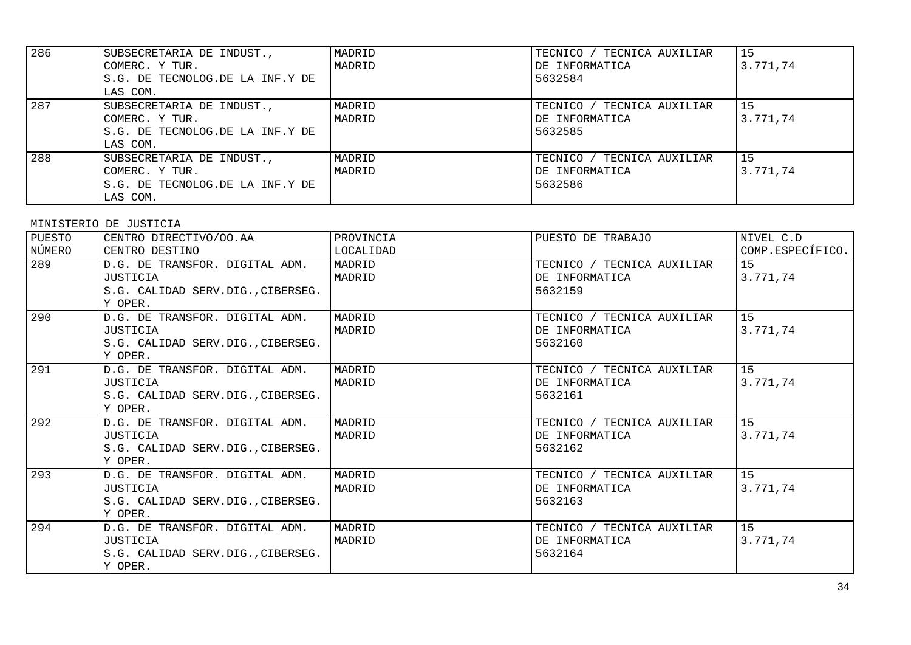| 286 | SUBSECRETARIA DE INDUST.,        | MADRID | TECNICO / TECNICA AUXILIAR | 15        |
|-----|----------------------------------|--------|----------------------------|-----------|
|     | COMERC. Y TUR.                   | MADRID | DE INFORMATICA             | 3.771,74  |
|     | IS.G. DE TECNOLOG.DE LA INF.Y DE |        | 5632584                    |           |
|     | LAS COM.                         |        |                            |           |
| 287 | SUBSECRETARIA DE INDUST.,        | MADRID | TECNICO / TECNICA AUXILIAR | l 15      |
|     | COMERC. Y TUR.                   | MADRID | DE INFORMATICA             | 3.771.74  |
|     | S.G. DE TECNOLOG.DE LA INF.Y DE  |        | 5632585                    |           |
|     | LAS COM.                         |        |                            |           |
| 288 | SUBSECRETARIA DE INDUST.,        | MADRID | TECNICO / TECNICA AUXILIAR | <b>15</b> |
|     | COMERC. Y TUR.                   | MADRID | DE INFORMATICA             | 3.771.74  |
|     | S.G. DE TECNOLOG.DE LA INF.Y DE  |        | 5632586                    |           |
|     | LAS COM.                         |        |                            |           |

### MINISTERIO DE JUSTICIA

| PUESTO<br>NÚMERO | CENTRO DIRECTIVO/OO.AA<br>CENTRO DESTINO                                                          | PROVINCIA<br>LOCALIDAD | PUESTO DE TRABAJO                                       | NIVEL C.D<br>COMP.ESPECÍFICO. |
|------------------|---------------------------------------------------------------------------------------------------|------------------------|---------------------------------------------------------|-------------------------------|
| 289              | D.G. DE TRANSFOR. DIGITAL ADM.<br>JUSTICIA<br>S.G. CALIDAD SERV.DIG., CIBERSEG.<br>Y OPER.        | MADRID<br>MADRID       | TECNICO / TECNICA AUXILIAR<br>DE INFORMATICA<br>5632159 | 15<br>3.771,74                |
| 290              | D.G. DE TRANSFOR. DIGITAL ADM.<br><b>JUSTICIA</b><br>S.G. CALIDAD SERV.DIG., CIBERSEG.<br>Y OPER. | MADRID<br>MADRID       | TECNICO / TECNICA AUXILIAR<br>DE INFORMATICA<br>5632160 | 15<br>3.771,74                |
| 291              | D.G. DE TRANSFOR. DIGITAL ADM.<br>JUSTICIA<br>S.G. CALIDAD SERV.DIG., CIBERSEG.<br>Y OPER.        | MADRID<br>MADRID       | TECNICO / TECNICA AUXILIAR<br>DE INFORMATICA<br>5632161 | 15<br>3.771,74                |
| 292              | D.G. DE TRANSFOR. DIGITAL ADM.<br>JUSTICIA<br>S.G. CALIDAD SERV.DIG., CIBERSEG.<br>Y OPER.        | MADRID<br>MADRID       | TECNICO / TECNICA AUXILIAR<br>DE INFORMATICA<br>5632162 | 15<br>3.771,74                |
| 293              | D.G. DE TRANSFOR. DIGITAL ADM.<br>JUSTICIA<br>S.G. CALIDAD SERV.DIG., CIBERSEG.<br>Y OPER.        | MADRID<br>MADRID       | TECNICO / TECNICA AUXILIAR<br>DE INFORMATICA<br>5632163 | 15<br>3.771,74                |
| 294              | D.G. DE TRANSFOR. DIGITAL ADM.<br>JUSTICIA<br>S.G. CALIDAD SERV.DIG., CIBERSEG.<br>Y OPER.        | MADRID<br>MADRID       | TECNICO / TECNICA AUXILIAR<br>DE INFORMATICA<br>5632164 | 15<br>3.771,74                |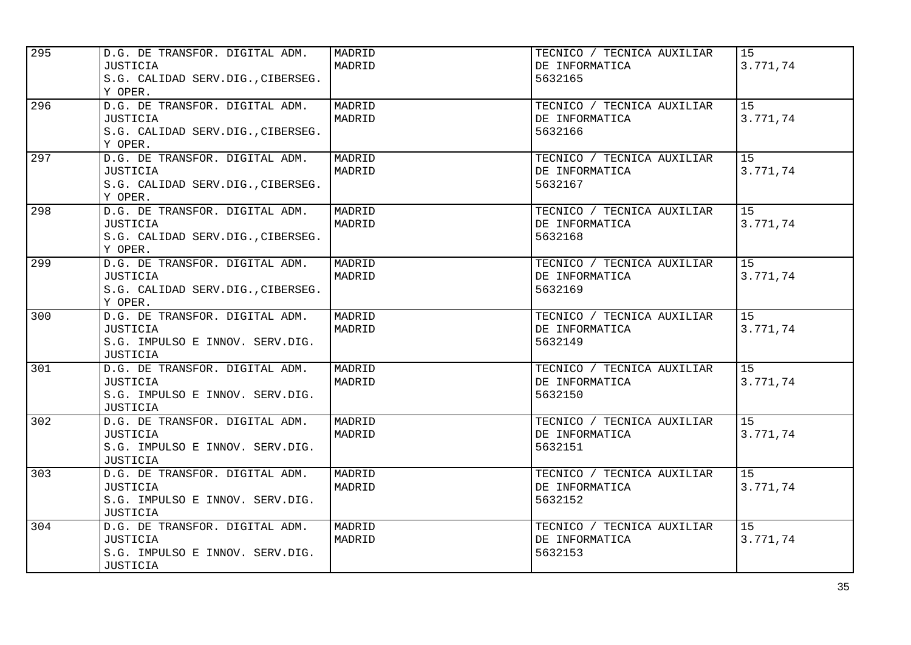| 295 | D.G. DE TRANSFOR. DIGITAL ADM.<br>JUSTICIA<br>S.G. CALIDAD SERV.DIG., CIBERSEG.<br>Y OPER.              | MADRID<br>MADRID | TECNICO / TECNICA AUXILIAR<br>DE INFORMATICA<br>5632165 | 15<br>3.771,74 |
|-----|---------------------------------------------------------------------------------------------------------|------------------|---------------------------------------------------------|----------------|
| 296 | D.G. DE TRANSFOR. DIGITAL ADM.<br><b>JUSTICIA</b><br>S.G. CALIDAD SERV.DIG., CIBERSEG.<br>Y OPER.       | MADRID<br>MADRID | TECNICO / TECNICA AUXILIAR<br>DE INFORMATICA<br>5632166 | 15<br>3.771,74 |
| 297 | D.G. DE TRANSFOR. DIGITAL ADM.<br>JUSTICIA<br>S.G. CALIDAD SERV.DIG., CIBERSEG.<br>Y OPER.              | MADRID<br>MADRID | TECNICO / TECNICA AUXILIAR<br>DE INFORMATICA<br>5632167 | 15<br>3.771,74 |
| 298 | D.G. DE TRANSFOR. DIGITAL ADM.<br>JUSTICIA<br>S.G. CALIDAD SERV.DIG., CIBERSEG.<br>Y OPER.              | MADRID<br>MADRID | TECNICO / TECNICA AUXILIAR<br>DE INFORMATICA<br>5632168 | 15<br>3.771,74 |
| 299 | D.G. DE TRANSFOR. DIGITAL ADM.<br><b>JUSTICIA</b><br>S.G. CALIDAD SERV.DIG., CIBERSEG.<br>Y OPER.       | MADRID<br>MADRID | TECNICO / TECNICA AUXILIAR<br>DE INFORMATICA<br>5632169 | 15<br>3.771,74 |
| 300 | D.G. DE TRANSFOR. DIGITAL ADM.<br>JUSTICIA<br>S.G. IMPULSO E INNOV. SERV.DIG.<br>JUSTICIA               | MADRID<br>MADRID | TECNICO / TECNICA AUXILIAR<br>DE INFORMATICA<br>5632149 | 15<br>3.771,74 |
| 301 | D.G. DE TRANSFOR. DIGITAL ADM.<br>JUSTICIA<br>S.G. IMPULSO E INNOV. SERV.DIG.<br>JUSTICIA               | MADRID<br>MADRID | TECNICO / TECNICA AUXILIAR<br>DE INFORMATICA<br>5632150 | 15<br>3.771,74 |
| 302 | D.G. DE TRANSFOR. DIGITAL ADM.<br>JUSTICIA<br>S.G. IMPULSO E INNOV. SERV.DIG.<br><b>JUSTICIA</b>        | MADRID<br>MADRID | TECNICO / TECNICA AUXILIAR<br>DE INFORMATICA<br>5632151 | 15<br>3.771,74 |
| 303 | D.G. DE TRANSFOR. DIGITAL ADM.<br><b>JUSTICIA</b><br>S.G. IMPULSO E INNOV. SERV.DIG.<br>JUSTICIA        | MADRID<br>MADRID | TECNICO / TECNICA AUXILIAR<br>DE INFORMATICA<br>5632152 | 15<br>3.771,74 |
| 304 | D.G. DE TRANSFOR. DIGITAL ADM.<br><b>JUSTICIA</b><br>S.G. IMPULSO E INNOV. SERV.DIG.<br><b>JUSTICIA</b> | MADRID<br>MADRID | TECNICO / TECNICA AUXILIAR<br>DE INFORMATICA<br>5632153 | 15<br>3.771,74 |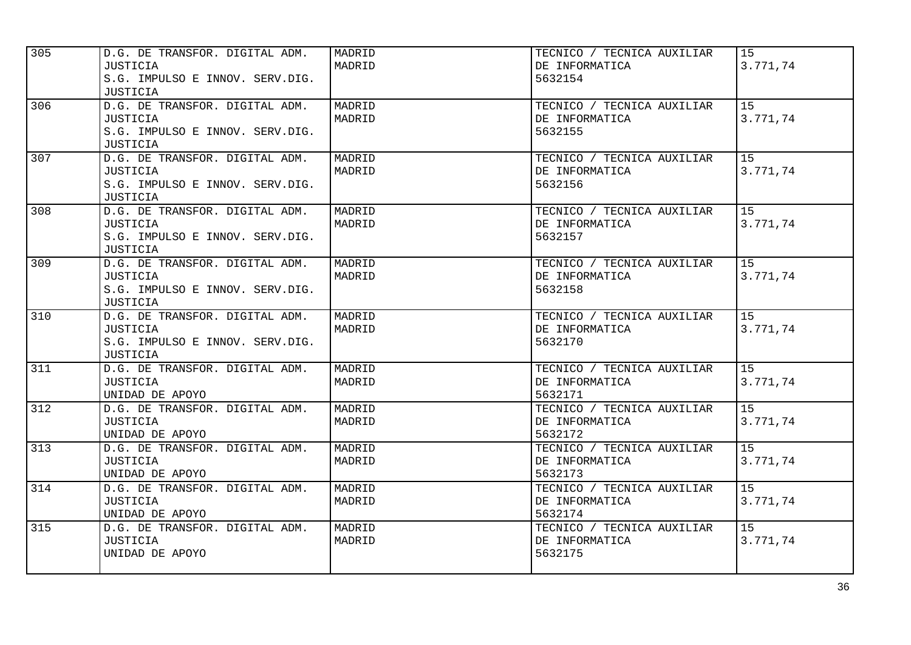| 305 | D.G. DE TRANSFOR. DIGITAL ADM.<br>JUSTICIA<br>S.G. IMPULSO E INNOV. SERV.DIG.<br><b>JUSTICIA</b> | MADRID<br>MADRID | TECNICO / TECNICA AUXILIAR<br>DE INFORMATICA<br>5632154 | 15<br>3.771,74 |
|-----|--------------------------------------------------------------------------------------------------|------------------|---------------------------------------------------------|----------------|
| 306 | D.G. DE TRANSFOR. DIGITAL ADM.<br>JUSTICIA<br>S.G. IMPULSO E INNOV. SERV.DIG.<br>JUSTICIA        | MADRID<br>MADRID | TECNICO / TECNICA AUXILIAR<br>DE INFORMATICA<br>5632155 | 15<br>3.771,74 |
| 307 | D.G. DE TRANSFOR. DIGITAL ADM.<br>JUSTICIA<br>S.G. IMPULSO E INNOV. SERV.DIG.<br><b>JUSTICIA</b> | MADRID<br>MADRID | TECNICO / TECNICA AUXILIAR<br>DE INFORMATICA<br>5632156 | 15<br>3.771,74 |
| 308 | D.G. DE TRANSFOR. DIGITAL ADM.<br>JUSTICIA<br>S.G. IMPULSO E INNOV. SERV.DIG.<br>JUSTICIA        | MADRID<br>MADRID | TECNICO / TECNICA AUXILIAR<br>DE INFORMATICA<br>5632157 | 15<br>3.771,74 |
| 309 | D.G. DE TRANSFOR. DIGITAL ADM.<br>JUSTICIA<br>S.G. IMPULSO E INNOV. SERV.DIG.<br><b>JUSTICIA</b> | MADRID<br>MADRID | TECNICO / TECNICA AUXILIAR<br>DE INFORMATICA<br>5632158 | 15<br>3.771,74 |
| 310 | D.G. DE TRANSFOR. DIGITAL ADM.<br><b>JUSTICIA</b><br>S.G. IMPULSO E INNOV. SERV.DIG.<br>JUSTICIA | MADRID<br>MADRID | TECNICO / TECNICA AUXILIAR<br>DE INFORMATICA<br>5632170 | 15<br>3.771,74 |
| 311 | D.G. DE TRANSFOR. DIGITAL ADM.<br>JUSTICIA<br>UNIDAD DE APOYO                                    | MADRID<br>MADRID | TECNICO / TECNICA AUXILIAR<br>DE INFORMATICA<br>5632171 | 15<br>3.771,74 |
| 312 | D.G. DE TRANSFOR. DIGITAL ADM.<br><b>JUSTICIA</b><br>UNIDAD DE APOYO                             | MADRID<br>MADRID | TECNICO / TECNICA AUXILIAR<br>DE INFORMATICA<br>5632172 | 15<br>3.771,74 |
| 313 | D.G. DE TRANSFOR. DIGITAL ADM.<br><b>JUSTICIA</b><br>UNIDAD DE APOYO                             | MADRID<br>MADRID | TECNICO / TECNICA AUXILIAR<br>DE INFORMATICA<br>5632173 | 15<br>3.771,74 |
| 314 | D.G. DE TRANSFOR. DIGITAL ADM.<br>JUSTICIA<br>UNIDAD DE APOYO                                    | MADRID<br>MADRID | TECNICO / TECNICA AUXILIAR<br>DE INFORMATICA<br>5632174 | 15<br>3.771,74 |
| 315 | D.G. DE TRANSFOR. DIGITAL ADM.<br>JUSTICIA<br>UNIDAD DE APOYO                                    | MADRID<br>MADRID | TECNICO / TECNICA AUXILIAR<br>DE INFORMATICA<br>5632175 | 15<br>3.771,74 |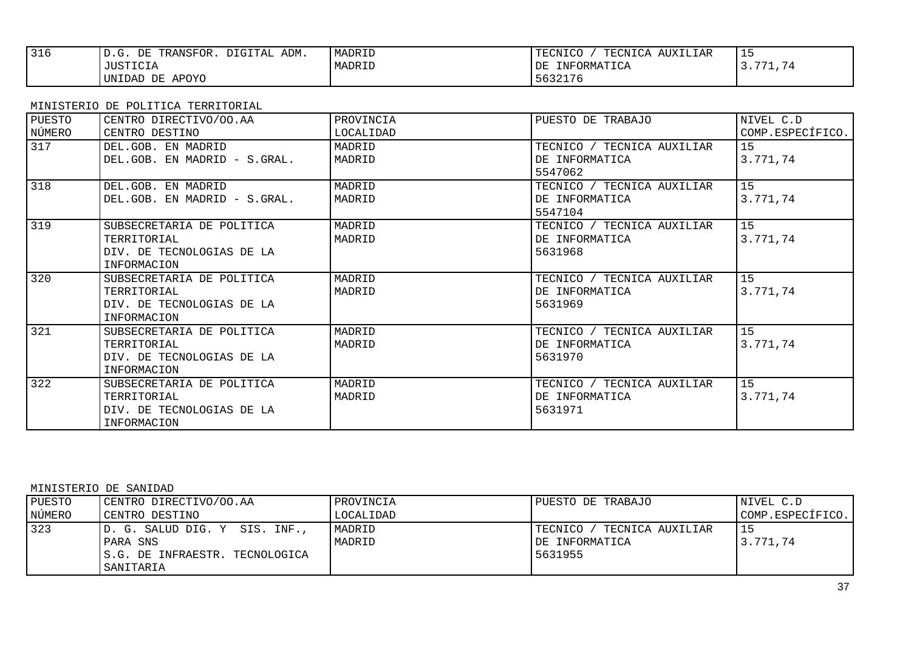| 316 | DIGITAL ADM.<br>TRANSFOR.<br>DE<br>D.G. | MADRID | TECNICA AUXILIAR<br>TECNICO | --       |
|-----|-----------------------------------------|--------|-----------------------------|----------|
|     | JUSTICIA                                | MADRID | INFORMATICA<br>DE           | 3.771.74 |
|     | UNIDAD DE APOYO                         |        | 5632176                     |          |

| PUESTO | CENTRO DIRECTIVO/OO.AA       | PROVINCIA | PUESTO DE TRABAJO          | NIVEL C.D        |
|--------|------------------------------|-----------|----------------------------|------------------|
| NÚMERO | CENTRO DESTINO               | LOCALIDAD |                            | COMP.ESPECÍFICO. |
| 317    | DEL.GOB. EN MADRID           | MADRID    | TECNICO / TECNICA AUXILIAR | 15               |
|        | DEL.GOB. EN MADRID - S.GRAL. | MADRID    | DE INFORMATICA             | 3.771,74         |
|        |                              |           | 5547062                    |                  |
| 318    | DEL.GOB. EN MADRID           | MADRID    | TECNICO / TECNICA AUXILIAR | 15               |
|        | DEL.GOB. EN MADRID - S.GRAL. | MADRID    | DE INFORMATICA             | 3.771,74         |
|        |                              |           | 5547104                    |                  |
| 319    | SUBSECRETARIA DE POLITICA    | MADRID    | TECNICO / TECNICA AUXILIAR | 15               |
|        | TERRITORIAL                  | MADRID    | DE INFORMATICA             | 3.771,74         |
|        | DIV. DE TECNOLOGIAS DE LA    |           | 5631968                    |                  |
|        | INFORMACION                  |           |                            |                  |
| 320    | SUBSECRETARIA DE POLITICA    | MADRID    | TECNICO / TECNICA AUXILIAR | 15               |
|        | TERRITORIAL                  | MADRID    | DE INFORMATICA             | 3.771,74         |
|        | DIV. DE TECNOLOGIAS DE LA    |           | 5631969                    |                  |
|        | INFORMACION                  |           |                            |                  |
| 321    | SUBSECRETARIA DE POLITICA    | MADRID    | TECNICO / TECNICA AUXILIAR | 15               |
|        | TERRITORIAL                  | MADRID    | DE INFORMATICA             | 3.771,74         |
|        | DIV. DE TECNOLOGIAS DE LA    |           | 5631970                    |                  |
|        | INFORMACION                  |           |                            |                  |
| 322    | SUBSECRETARIA DE POLITICA    | MADRID    | TECNICO / TECNICA AUXILIAR | 15               |
|        | TERRITORIAL                  | MADRID    | DE INFORMATICA             | 3.771,74         |
|        | DIV. DE TECNOLOGIAS DE LA    |           | 5631971                    |                  |
|        | <b>INFORMACION</b>           |           |                            |                  |

MINISTERIO DE SANIDAD

| PUESTO | CENTRO DIRECTIVO/OO.AA         | PROVINCIA | PUESTO DE TRABAJO           | NIVEL C.D        |
|--------|--------------------------------|-----------|-----------------------------|------------------|
| NÚMERO | CENTRO DESTINO                 | LOCALIDAD |                             | COMP.ESPECÍFICO. |
| 323    | D. G. SALUD DIG. Y SIS. INF.,  | MADRID    | TECNICO<br>TECNICA AUXILIAR |                  |
|        | PARA SNS                       | MADRID    | DE INFORMATICA              | 3.771.74         |
|        | S.G. DE INFRAESTR. TECNOLOGICA |           | 5631955                     |                  |
|        | SANITARIA                      |           |                             |                  |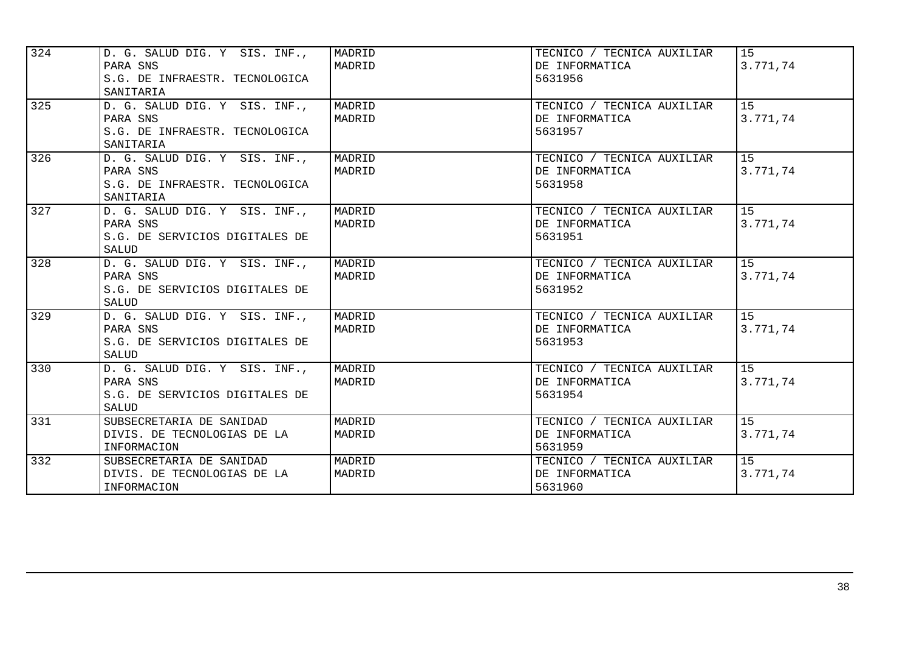| 324 | D. G. SALUD DIG. Y SIS. INF.,<br>PARA SNS<br>S.G. DE INFRAESTR. TECNOLOGICA<br>SANITARIA | MADRID<br>MADRID | TECNICO / TECNICA AUXILIAR<br>DE INFORMATICA<br>5631956 | 15<br>3.771,74 |
|-----|------------------------------------------------------------------------------------------|------------------|---------------------------------------------------------|----------------|
| 325 | D. G. SALUD DIG. Y SIS. INF.,<br>PARA SNS<br>S.G. DE INFRAESTR. TECNOLOGICA<br>SANITARIA | MADRID<br>MADRID | TECNICO / TECNICA AUXILIAR<br>DE INFORMATICA<br>5631957 | 15<br>3.771,74 |
| 326 | D. G. SALUD DIG. Y SIS. INF.,<br>PARA SNS<br>S.G. DE INFRAESTR. TECNOLOGICA<br>SANITARIA | MADRID<br>MADRID | TECNICO / TECNICA AUXILIAR<br>DE INFORMATICA<br>5631958 | 15<br>3.771,74 |
| 327 | D. G. SALUD DIG. Y SIS. INF.,<br>PARA SNS<br>S.G. DE SERVICIOS DIGITALES DE<br>SALUD     | MADRID<br>MADRID | TECNICO / TECNICA AUXILIAR<br>DE INFORMATICA<br>5631951 | 15<br>3.771,74 |
| 328 | D. G. SALUD DIG. Y SIS. INF.,<br>PARA SNS<br>S.G. DE SERVICIOS DIGITALES DE<br>SALUD     | MADRID<br>MADRID | TECNICO / TECNICA AUXILIAR<br>DE INFORMATICA<br>5631952 | 15<br>3.771,74 |
| 329 | D. G. SALUD DIG. Y SIS. INF.,<br>PARA SNS<br>S.G. DE SERVICIOS DIGITALES DE<br>SALUD     | MADRID<br>MADRID | TECNICO / TECNICA AUXILIAR<br>DE INFORMATICA<br>5631953 | 15<br>3.771,74 |
| 330 | D. G. SALUD DIG. Y SIS. INF.,<br>PARA SNS<br>S.G. DE SERVICIOS DIGITALES DE<br>SALUD     | MADRID<br>MADRID | TECNICO / TECNICA AUXILIAR<br>DE INFORMATICA<br>5631954 | 15<br>3.771,74 |
| 331 | SUBSECRETARIA DE SANIDAD<br>DIVIS. DE TECNOLOGIAS DE LA<br>INFORMACION                   | MADRID<br>MADRID | TECNICO / TECNICA AUXILIAR<br>DE INFORMATICA<br>5631959 | 15<br>3.771,74 |
| 332 | SUBSECRETARIA DE SANIDAD<br>DIVIS. DE TECNOLOGIAS DE LA<br>INFORMACION                   | MADRID<br>MADRID | TECNICO / TECNICA AUXILIAR<br>DE INFORMATICA<br>5631960 | 15<br>3.771,74 |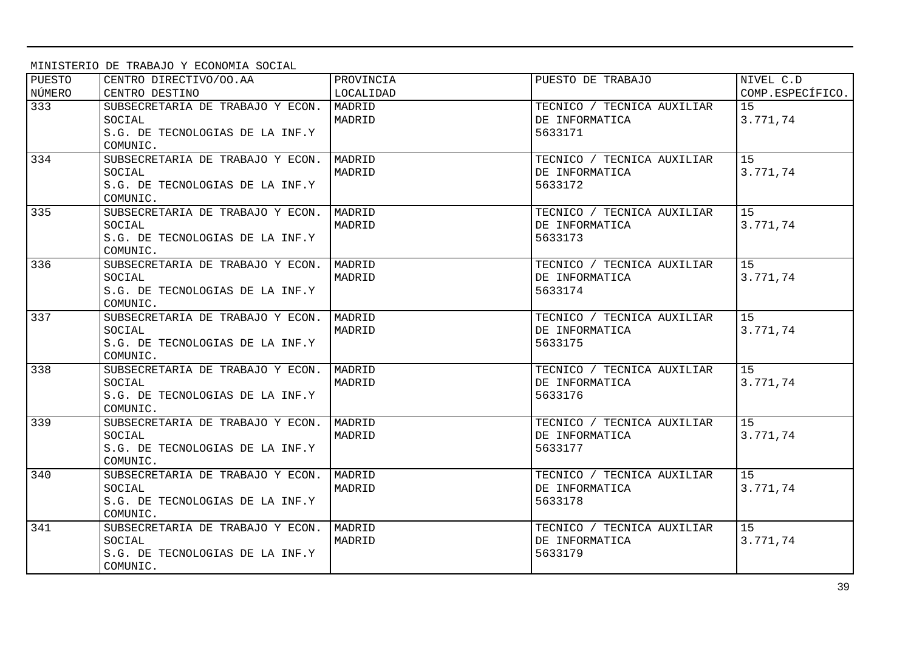MINISTERIO DE TRABAJO Y ECONOMIA SOCIAL

| PUESTO | CENTRO DIRECTIVO/OO.AA           | PROVINCIA | PUESTO DE TRABAJO          | NIVEL C.D        |
|--------|----------------------------------|-----------|----------------------------|------------------|
| NÚMERO | CENTRO DESTINO                   | LOCALIDAD |                            | COMP.ESPECÍFICO. |
| 333    | SUBSECRETARIA DE TRABAJO Y ECON. | MADRID    | TECNICO / TECNICA AUXILIAR | 1.5              |
|        | SOCIAL                           | MADRID    | DE INFORMATICA             | 3.771,74         |
|        | S.G. DE TECNOLOGIAS DE LA INF.Y  |           | 5633171                    |                  |
|        | COMUNIC.                         |           |                            |                  |
| 334    | SUBSECRETARIA DE TRABAJO Y ECON. | MADRID    | TECNICO / TECNICA AUXILIAR | 15 <sub>1</sub>  |
|        | SOCIAL                           | MADRID    | DE INFORMATICA             | 3.771,74         |
|        | S.G. DE TECNOLOGIAS DE LA INF.Y  |           | 5633172                    |                  |
|        | COMUNIC.                         |           |                            |                  |
| 335    | SUBSECRETARIA DE TRABAJO Y ECON. | MADRID    | TECNICO / TECNICA AUXILIAR | 15               |
|        | SOCIAL                           | MADRID    | DE INFORMATICA             | 3.771,74         |
|        | S.G. DE TECNOLOGIAS DE LA INF.Y  |           | 5633173                    |                  |
|        | COMUNIC.                         |           |                            |                  |
| 336    | SUBSECRETARIA DE TRABAJO Y ECON. | MADRID    | TECNICO / TECNICA AUXILIAR | 15               |
|        | SOCIAL                           | MADRID    | DE INFORMATICA             | 3.771,74         |
|        | S.G. DE TECNOLOGIAS DE LA INF.Y  |           | 5633174                    |                  |
|        | COMUNIC.                         |           |                            |                  |
| 337    | SUBSECRETARIA DE TRABAJO Y ECON. | MADRID    | TECNICO / TECNICA AUXILIAR | 15               |
|        | SOCIAL                           | MADRID    | DE INFORMATICA             | 3.771,74         |
|        | S.G. DE TECNOLOGIAS DE LA INF.Y  |           | 5633175                    |                  |
|        | COMUNIC.                         |           |                            |                  |
| 338    | SUBSECRETARIA DE TRABAJO Y ECON. | MADRID    | TECNICO / TECNICA AUXILIAR | 15               |
|        | SOCIAL                           | MADRID    | DE INFORMATICA             | 3.771,74         |
|        | S.G. DE TECNOLOGIAS DE LA INF.Y  |           | 5633176                    |                  |
|        | COMUNIC.                         |           |                            |                  |
| 339    | SUBSECRETARIA DE TRABAJO Y ECON. | MADRID    | TECNICO / TECNICA AUXILIAR | 15               |
|        | SOCIAL                           | MADRID    | DE INFORMATICA             | 3.771,74         |
|        | S.G. DE TECNOLOGIAS DE LA INF.Y  |           | 5633177                    |                  |
|        | COMUNIC.                         |           |                            |                  |
| 340    | SUBSECRETARIA DE TRABAJO Y ECON. | MADRID    | TECNICO / TECNICA AUXILIAR | 15               |
|        | SOCIAL                           | MADRID    | DE INFORMATICA             | 3.771,74         |
|        | S.G. DE TECNOLOGIAS DE LA INF.Y  |           | 5633178                    |                  |
|        | COMUNIC.                         |           |                            |                  |
| 341    | SUBSECRETARIA DE TRABAJO Y ECON. | MADRID    | TECNICO / TECNICA AUXILIAR | 15               |
|        | SOCIAL                           | MADRID    | DE INFORMATICA             | 3.771,74         |
|        | S.G. DE TECNOLOGIAS DE LA INF.Y  |           | 5633179                    |                  |
|        | COMUNIC.                         |           |                            |                  |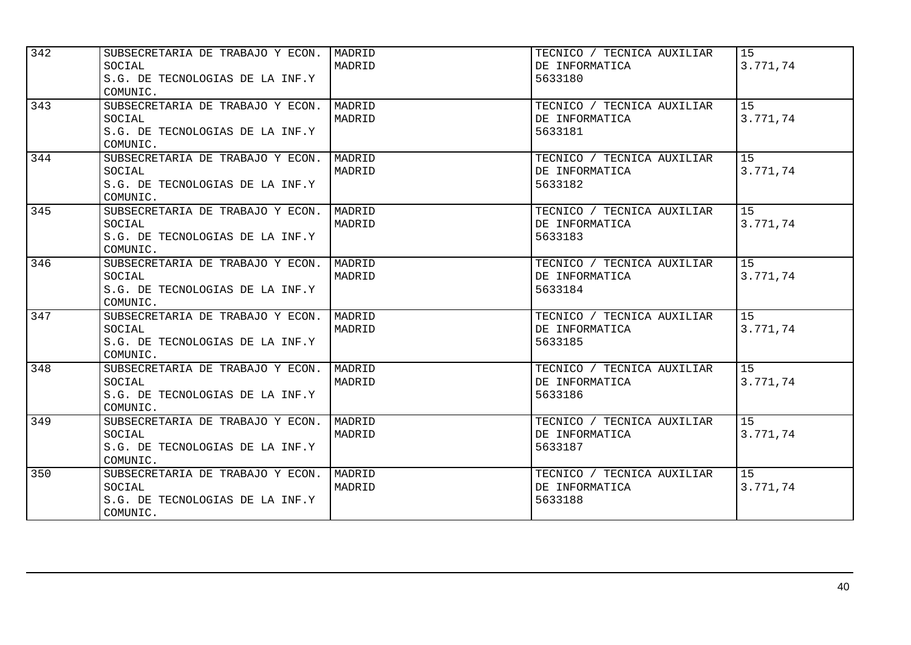| 342              | SUBSECRETARIA DE TRABAJO Y ECON.<br>SOCIAL<br>S.G. DE TECNOLOGIAS DE LA INF.Y<br>COMUNIC. | MADRID<br>MADRID | TECNICO / TECNICA AUXILIAR<br>DE INFORMATICA<br>5633180 | 15<br>3.771,74  |
|------------------|-------------------------------------------------------------------------------------------|------------------|---------------------------------------------------------|-----------------|
| 343              | SUBSECRETARIA DE TRABAJO Y ECON.<br>SOCIAL<br>S.G. DE TECNOLOGIAS DE LA INF.Y<br>COMUNIC. | MADRID<br>MADRID | TECNICO / TECNICA AUXILIAR<br>DE INFORMATICA<br>5633181 | 1.5<br>3.771,74 |
| 344              | SUBSECRETARIA DE TRABAJO Y ECON.<br>SOCIAL<br>S.G. DE TECNOLOGIAS DE LA INF.Y<br>COMUNIC. | MADRID<br>MADRID | TECNICO / TECNICA AUXILIAR<br>DE INFORMATICA<br>5633182 | 15<br>3.771,74  |
| 345              | SUBSECRETARIA DE TRABAJO Y ECON.<br>SOCIAL<br>S.G. DE TECNOLOGIAS DE LA INF.Y<br>COMUNIC. | MADRID<br>MADRID | TECNICO / TECNICA AUXILIAR<br>DE INFORMATICA<br>5633183 | 15<br>3.771,74  |
| $\overline{346}$ | SUBSECRETARIA DE TRABAJO Y ECON.<br>SOCIAL<br>S.G. DE TECNOLOGIAS DE LA INF.Y<br>COMUNIC. | MADRID<br>MADRID | TECNICO / TECNICA AUXILIAR<br>DE INFORMATICA<br>5633184 | 15<br>3.771,74  |
| 347              | SUBSECRETARIA DE TRABAJO Y ECON.<br>SOCIAL<br>S.G. DE TECNOLOGIAS DE LA INF.Y<br>COMUNIC. | MADRID<br>MADRID | TECNICO / TECNICA AUXILIAR<br>DE INFORMATICA<br>5633185 | 15<br>3.771,74  |
| 348              | SUBSECRETARIA DE TRABAJO Y ECON.<br>SOCIAL<br>S.G. DE TECNOLOGIAS DE LA INF.Y<br>COMUNIC. | MADRID<br>MADRID | TECNICO / TECNICA AUXILIAR<br>DE INFORMATICA<br>5633186 | 15<br>3.771,74  |
| 349              | SUBSECRETARIA DE TRABAJO Y ECON.<br>SOCIAL<br>S.G. DE TECNOLOGIAS DE LA INF.Y<br>COMUNIC. | MADRID<br>MADRID | TECNICO / TECNICA AUXILIAR<br>DE INFORMATICA<br>5633187 | 15<br>3.771,74  |
| 350              | SUBSECRETARIA DE TRABAJO Y ECON.<br>SOCIAL<br>S.G. DE TECNOLOGIAS DE LA INF.Y<br>COMUNIC. | MADRID<br>MADRID | TECNICO / TECNICA AUXILIAR<br>DE INFORMATICA<br>5633188 | 15<br>3.771,74  |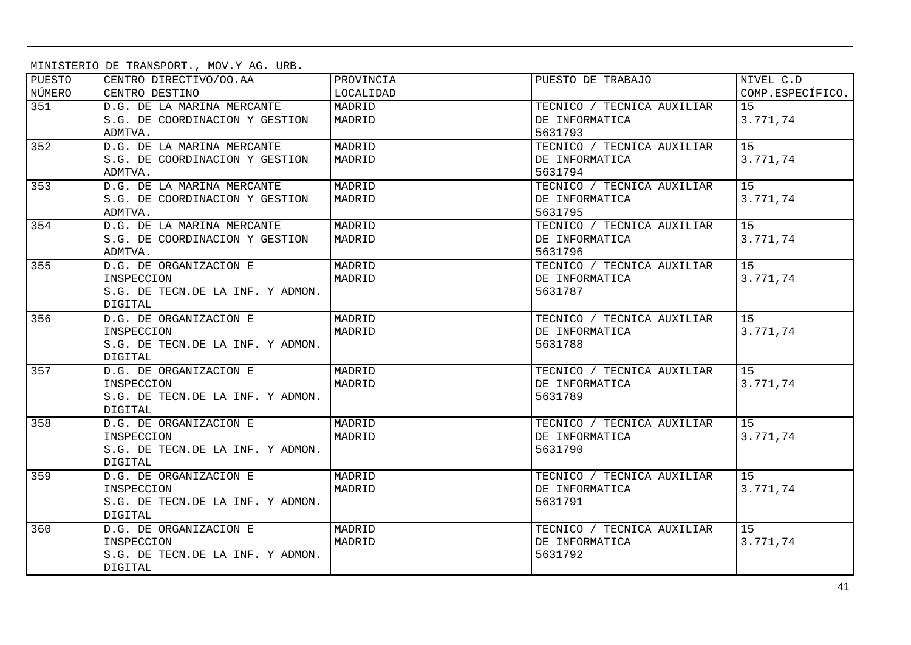MINISTERIO DE TRANSPORT., MOV.Y AG. URB.

| PUESTO | CENTRO DIRECTIVO/OO.AA           | PROVINCIA | PUESTO DE TRABAJO          | NIVEL C.D        |
|--------|----------------------------------|-----------|----------------------------|------------------|
| NÚMERO | CENTRO DESTINO                   | LOCALIDAD |                            | COMP.ESPECÍFICO. |
| 351    | D.G. DE LA MARINA MERCANTE       | MADRID    | TECNICO / TECNICA AUXILIAR | 15               |
|        | S.G. DE COORDINACION Y GESTION   | MADRID    | DE INFORMATICA             | 3.771,74         |
|        | ADMTVA.                          |           | 5631793                    |                  |
| 352    | D.G. DE LA MARINA MERCANTE       | MADRID    | TECNICO / TECNICA AUXILIAR | 15 <sub>1</sub>  |
|        | S.G. DE COORDINACION Y GESTION   | MADRID    | DE INFORMATICA             | 3.771,74         |
|        | ADMTVA.                          |           | 5631794                    |                  |
| 353    | D.G. DE LA MARINA MERCANTE       | MADRID    | TECNICO / TECNICA AUXILIAR | 15               |
|        | S.G. DE COORDINACION Y GESTION   | MADRID    | DE INFORMATICA             | 3.771,74         |
|        | ADMTVA.                          |           | 5631795                    |                  |
| 354    | D.G. DE LA MARINA MERCANTE       | MADRID    | TECNICO / TECNICA AUXILIAR | 15 <sub>1</sub>  |
|        | S.G. DE COORDINACION Y GESTION   | MADRID    | DE INFORMATICA             | 3.771,74         |
|        | ADMTVA.                          |           | 5631796                    |                  |
| 355    | D.G. DE ORGANIZACION E           | MADRID    | TECNICO / TECNICA AUXILIAR | 15               |
|        | INSPECCION                       | MADRID    | DE INFORMATICA             | 3.771,74         |
|        | S.G. DE TECN.DE LA INF. Y ADMON. |           | 5631787                    |                  |
|        | <b>DIGITAL</b>                   |           |                            |                  |
| 356    | D.G. DE ORGANIZACION E           | MADRID    | TECNICO / TECNICA AUXILIAR | 15               |
|        | INSPECCION                       | MADRID    | DE INFORMATICA             | 3.771,74         |
|        | S.G. DE TECN.DE LA INF. Y ADMON. |           | 5631788                    |                  |
|        | DIGITAL                          |           |                            |                  |
| 357    | D.G. DE ORGANIZACION E           | MADRID    | TECNICO / TECNICA AUXILIAR | 15               |
|        | INSPECCION                       | MADRID    | DE INFORMATICA             | 3.771,74         |
|        | S.G. DE TECN.DE LA INF. Y ADMON. |           | 5631789                    |                  |
|        | DIGITAL                          |           |                            |                  |
| 358    | D.G. DE ORGANIZACION E           | MADRID    | TECNICO / TECNICA AUXILIAR | 15 <sub>1</sub>  |
|        | INSPECCION                       | MADRID    | DE INFORMATICA             | 3.771,74         |
|        | S.G. DE TECN.DE LA INF. Y ADMON. |           | 5631790                    |                  |
|        | DIGITAL                          |           |                            |                  |
| 359    | D.G. DE ORGANIZACION E           | MADRID    | TECNICO / TECNICA AUXILIAR | 15               |
|        | INSPECCION                       | MADRID    | DE INFORMATICA             | 3.771,74         |
|        | S.G. DE TECN.DE LA INF. Y ADMON. |           | 5631791                    |                  |
|        | DIGITAL                          |           |                            |                  |
| 360    | D.G. DE ORGANIZACION E           | MADRID    | TECNICO / TECNICA AUXILIAR | 15               |
|        | INSPECCION                       | MADRID    | DE INFORMATICA             | 3.771,74         |
|        | S.G. DE TECN.DE LA INF. Y ADMON. |           | 5631792                    |                  |
|        | DIGITAL                          |           |                            |                  |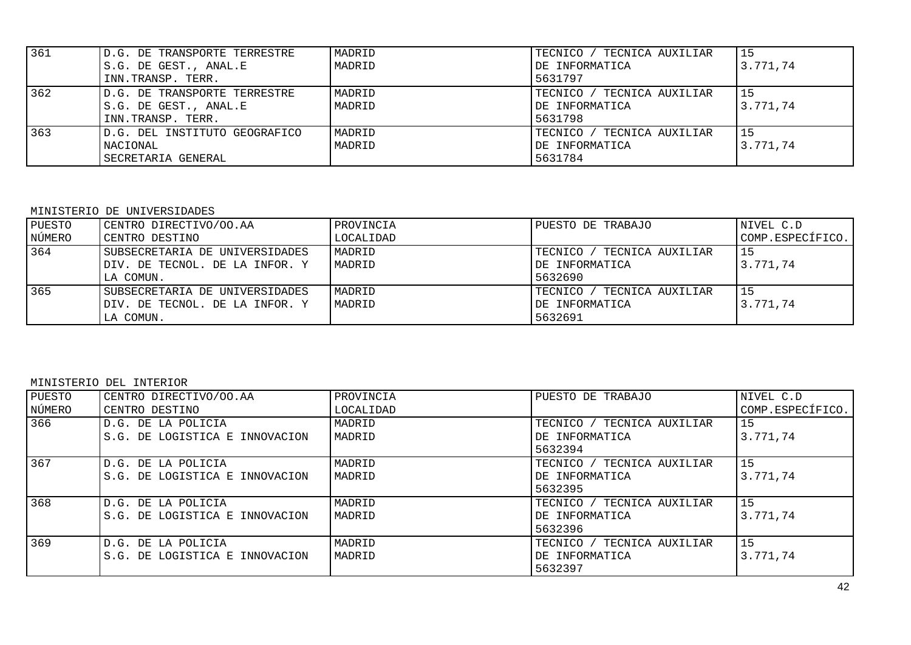| 361 | ID.G. DE TRANSPORTE TERRESTRE  | MADRID | TECNICO / TECNICA AUXILIAR | '15      |
|-----|--------------------------------|--------|----------------------------|----------|
|     | IS.G. DE GEST., ANAL.E         | MADRID | DE INFORMATICA             | 3.771,74 |
|     | INN.TRANSP. TERR.              |        | 5631797                    |          |
| 362 | D.G. DE TRANSPORTE TERRESTRE   | MADRID | TECNICO / TECNICA AUXILIAR | 15       |
|     | S.G. DE GEST., ANAL.E          | MADRID | IDE INFORMATICA            | 3.771.74 |
|     | INN.TRANSP. TERR.              |        | 5631798                    |          |
| 363 | ID.G. DEL INSTITUTO GEOGRAFICO | MADRID | TECNICO / TECNICA AUXILIAR | '15      |
|     | NACIONAL                       | MADRID | <b>IDE INFORMATICA</b>     | 3.771.74 |
|     | SECRETARIA GENERAL             |        | 5631784                    |          |

### MINISTERIO DE UNIVERSIDADES

| PUESTO | CENTRO DIRECTIVO/OO.AA         | PROVINCIA | PUESTO DE TRABAJO           | NIVEL C.D        |
|--------|--------------------------------|-----------|-----------------------------|------------------|
| NÚMERO | CENTRO DESTINO                 | LOCALIDAD |                             | COMP.ESPECÍFICO. |
| 364    | SUBSECRETARIA DE UNIVERSIDADES | MADRID    | TECNICO<br>TECNICA AUXILIAR | l 15             |
|        | DIV. DE TECNOL. DE LA INFOR. Y | MADRID    | DE INFORMATICA              | 3.771,74         |
|        | LA COMUN.                      |           | 5632690                     |                  |
| 365    | SUBSECRETARIA DE UNIVERSIDADES | MADRID    | TECNICO<br>TECNICA AUXILIAR | l 15             |
|        | DIV. DE TECNOL. DE LA INFOR. Y | MADRID    | DE INFORMATICA              | 3.771.74         |
|        | LA COMUN.                      |           | 5632691                     |                  |

#### MINISTERIO DEL INTERIOR

| PUESTO<br>NÚMERO | CENTRO DIRECTIVO/OO.AA<br>CENTRO DESTINO              | PROVINCIA<br>LOCALIDAD | PUESTO DE TRABAJO                                       | NIVEL C.D<br>COMP.ESPECÍFICO. |
|------------------|-------------------------------------------------------|------------------------|---------------------------------------------------------|-------------------------------|
| 366              | D.G. DE LA POLICIA<br>S.G. DE LOGISTICA E INNOVACION  | MADRID<br>MADRID       | TECNICO / TECNICA AUXILIAR<br>DE INFORMATICA<br>5632394 | 15<br>3.771,74                |
| 367              | ID.G. DE LA POLICIA<br>S.G. DE LOGISTICA E INNOVACION | MADRID<br>MADRID       | TECNICO / TECNICA AUXILIAR<br>DE INFORMATICA<br>5632395 | 15<br>3.771.74                |
| 368              | D.G. DE LA POLICIA<br>S.G. DE LOGISTICA E INNOVACION  | MADRID<br>MADRID       | TECNICO / TECNICA AUXILIAR<br>DE INFORMATICA<br>5632396 | 15<br>3.771.74                |
| 369              | D.G. DE LA POLICIA<br>S.G. DE LOGISTICA E INNOVACION  | MADRID<br>MADRID       | TECNICO / TECNICA AUXILIAR<br>DE INFORMATICA<br>5632397 | 15<br>3.771.74                |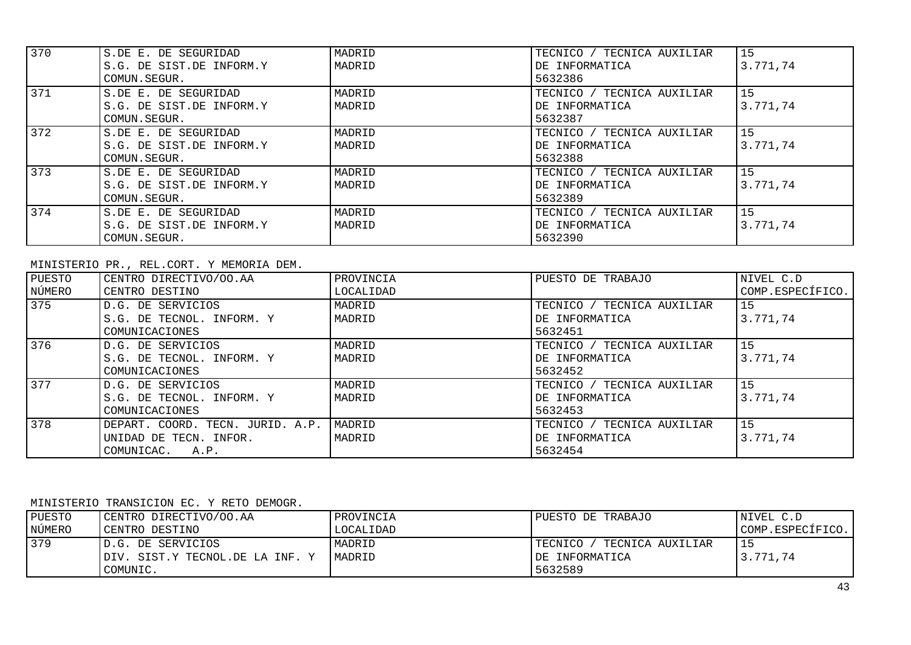| 370 | S.DE E. DE SEGURIDAD     | MADRID | TECNICO / TECNICA AUXILIAR | 15       |
|-----|--------------------------|--------|----------------------------|----------|
|     | S.G. DE SIST.DE INFORM.Y | MADRID | DE INFORMATICA             | 3.771,74 |
|     | COMUN.SEGUR.             |        | 5632386                    |          |
| 371 | S.DE E. DE SEGURIDAD     | MADRID | TECNICO / TECNICA AUXILIAR | 15       |
|     | S.G. DE SIST.DE INFORM.Y | MADRID | DE INFORMATICA             | 3.771,74 |
|     | COMUN.SEGUR.             |        | 5632387                    |          |
| 372 | S.DE E. DE SEGURIDAD     | MADRID | TECNICO / TECNICA AUXILIAR | 15       |
|     | S.G. DE SIST.DE INFORM.Y | MADRID | DE INFORMATICA             | 3.771.74 |
|     | COMUN.SEGUR.             |        | 5632388                    |          |
| 373 | S.DE E. DE SEGURIDAD     | MADRID | TECNICO / TECNICA AUXILIAR | 15       |
|     | S.G. DE SIST.DE INFORM.Y | MADRID | DE INFORMATICA             | 3.771.74 |
|     | COMUN.SEGUR.             |        | 5632389                    |          |
| 374 | S.DE E. DE SEGURIDAD     | MADRID | TECNICO / TECNICA AUXILIAR | 15       |
|     | S.G. DE SIST.DE INFORM.Y | MADRID | DE INFORMATICA             | 3.771.74 |
|     | COMUN.SEGUR.             |        | 5632390                    |          |

MINISTERIO PR., REL.CORT. Y MEMORIA DEM.

| PUESTO | CENTRO DIRECTIVO/OO.AA           | PROVINCIA | PUESTO DE TRABAJO               | NIVEL C.D        |
|--------|----------------------------------|-----------|---------------------------------|------------------|
| NÚMERO | CENTRO DESTINO                   | LOCALIDAD |                                 | COMP.ESPECÍFICO. |
| 375    | D.G. DE SERVICIOS                | MADRID    | TECNICO / TECNICA AUXILIAR      | 15               |
|        | S.G. DE TECNOL. INFORM. Y        | MADRID    | DE INFORMATICA                  | 3.771,74         |
|        | COMUNICACIONES                   |           | 5632451                         |                  |
| 376    | D.G. DE SERVICIOS                | MADRID    | TECNICO / TECNICA AUXILIAR      | 15               |
|        | S.G. DE TECNOL. INFORM. Y        | MADRID    | DE INFORMATICA                  | 3.771.74         |
|        | COMUNICACIONES                   |           | 5632452                         |                  |
| 377    | D.G. DE SERVICIOS                | MADRID    | TECNICO / TECNICA AUXILIAR      | 15               |
|        | S.G. DE TECNOL. INFORM. Y        | MADRID    | DE INFORMATICA                  | 3.771.74         |
|        | COMUNICACIONES                   |           | 5632453                         |                  |
| 378    | DEPART. COORD. TECN. JURID. A.P. | MADRID    | TECNICO /<br>' TECNICA AUXILIAR | 15               |
|        | UNIDAD DE TECN. INFOR.           | MADRID    | DE INFORMATICA                  | 3.771.74         |
|        | COMUNICAC. A.P.                  |           | 5632454                         |                  |

## MINISTERIO TRANSICION EC. Y RETO DEMOGR.

| PUESTO | CENTRO DIRECTIVO/OO.AA           | PROVINCIA | PUESTO DE TRABAJO           | NIVEL C.D        |
|--------|----------------------------------|-----------|-----------------------------|------------------|
| NÚMERO | CENTRO DESTINO                   | LOCALIDAD |                             | COMP.ESPECÍFICO. |
| 379    | ID.G. DE SERVICIOS               | MADRID    | TECNICO<br>TECNICA AUXILIAR |                  |
|        | IDIV. SIST.Y TECNOL.DE LA INF. Y | MADRID    | IDE INFORMATICA             | 3.771.74         |
|        | COMUNIC.                         |           | 5632589                     |                  |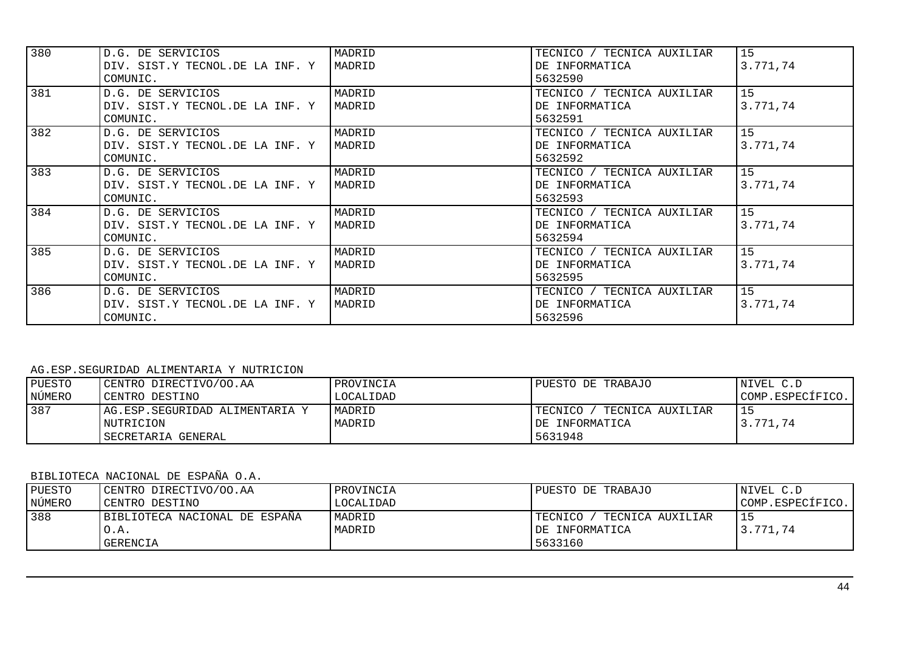| 380 | D.G. DE SERVICIOS               | MADRID | TECNICO / TECNICA AUXILIAR    | 15       |
|-----|---------------------------------|--------|-------------------------------|----------|
|     | DIV. SIST.Y TECNOL.DE LA INF. Y | MADRID | DE INFORMATICA                | 3.771,74 |
|     | COMUNIC.                        |        | 5632590                       |          |
| 381 | D.G. DE SERVICIOS               | MADRID | TECNICO / TECNICA AUXILIAR    | 15       |
|     | DIV. SIST.Y TECNOL.DE LA INF. Y | MADRID | DE INFORMATICA                | 3.771,74 |
|     | COMUNIC.                        |        | 5632591                       |          |
| 382 | D.G. DE SERVICIOS               | MADRID | TECNICO / TECNICA AUXILIAR    | 15       |
|     | DIV. SIST.Y TECNOL.DE LA INF. Y | MADRID | DE INFORMATICA                | 3.771,74 |
|     | COMUNIC.                        |        | 5632592                       |          |
| 383 | D.G. DE SERVICIOS               | MADRID | TECNICO / TECNICA AUXILIAR    | 15       |
|     | DIV. SIST.Y TECNOL.DE LA INF. Y | MADRID | DE INFORMATICA                | 3.771,74 |
|     | COMUNIC.                        |        | 5632593                       |          |
| 384 | D.G. DE SERVICIOS               | MADRID | TECNICO / TECNICA AUXILIAR    | 15       |
|     | DIV. SIST.Y TECNOL.DE LA INF. Y | MADRID | DE INFORMATICA                | 3.771,74 |
|     | COMUNIC.                        |        | 5632594                       |          |
| 385 | D.G. DE SERVICIOS               | MADRID | TECNICO / TECNICA AUXILIAR    | 15       |
|     | DIV. SIST.Y TECNOL.DE LA INF. Y | MADRID | DE INFORMATICA                | 3.771,74 |
|     | COMUNIC.                        |        | 5632595                       |          |
| 386 | D.G. DE SERVICIOS               | MADRID | TECNICA AUXILIAR<br>TECNICO / | 15       |
|     | DIV. SIST.Y TECNOL.DE LA INF. Y | MADRID | DE INFORMATICA                | 3.771,74 |
|     | COMUNIC.                        |        | 5632596                       |          |

#### AG.ESP.SEGURIDAD ALIMENTARIA Y NUTRICION

| PUESTO | CENTRO DIRECTIVO/OO.AA                                            | PROVINCIA        | PUESTO DE TRABAJO                                         | NIVEL C.D        |
|--------|-------------------------------------------------------------------|------------------|-----------------------------------------------------------|------------------|
| NÚMERO | CENTRO DESTINO                                                    | LOCALIDAD        |                                                           | COMP.ESPECÍFICO. |
| 387    | AG.ESP.SEGURIDAD ALIMENTARIA Y<br>NUTRICION<br>SECRETARIA GENERAL | MADRID<br>MADRID | TECNICO<br>TECNICA AUXILIAR<br>IDE INFORMATICA<br>5631948 | 3.771,74         |

# BIBLIOTECA NACIONAL DE ESPAÑA O.A.

| PUESTO | CENTRO DIRECTIVO/OO.AA        | PROVINCIA | PUESTO DE TRABAJO           | NIVEL C.D        |
|--------|-------------------------------|-----------|-----------------------------|------------------|
| NÚMERO | CENTRO DESTINO                | LOCALIDAD |                             | COMP.ESPECÍFICO. |
| 388    | BIBLIOTECA NACIONAL DE ESPAÑA | MADRID    | TECNICO<br>TECNICA AUXILIAR |                  |
|        | O.A.                          | MADRID    | IDE INFORMATICA             | 3.771.74         |
|        | GERENCIA                      |           | 5633160                     |                  |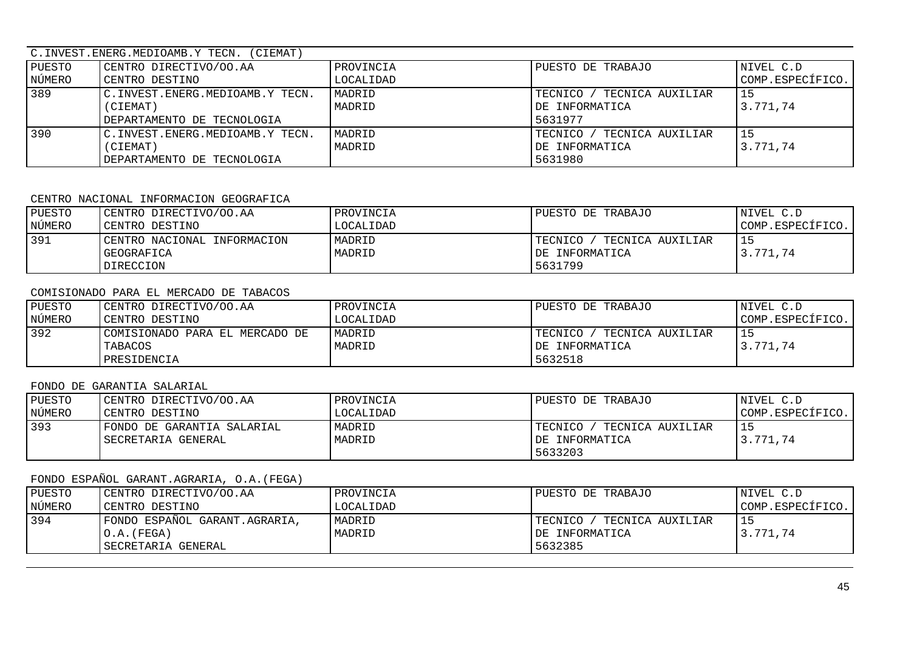### C.INVEST.ENERG.MEDIOAMB.Y TECN. (CIEMAT)

| PUESTO | CENTRO DIRECTIVO/OO.AA          | PROVINCIA | PUESTO DE TRABAJO               | NIVEL C.D        |
|--------|---------------------------------|-----------|---------------------------------|------------------|
| NÚMERO | CENTRO DESTINO                  | LOCALIDAD |                                 | COMP.ESPECÍFICO. |
| 389    | C.INVEST.ENERG.MEDIOAMB.Y TECN. | MADRID    | TECNICO /<br>' TECNICA AUXILIAR |                  |
|        | (CIEMAT)                        | MADRID    | DE INFORMATICA                  | 3.771.74         |
|        | DEPARTAMENTO DE TECNOLOGIA      |           | 5631977                         |                  |
| 390    | C.INVEST.ENERG.MEDIOAMB.Y TECN. | MADRID    | TECNICO /<br>TECNICA AUXILIAR   |                  |
|        | (CIEMAT)                        | MADRID    | DE INFORMATICA                  | 3.771.74         |
|        | DEPARTAMENTO DE TECNOLOGIA      |           | 5631980                         |                  |

#### CENTRO NACIONAL INFORMACION GEOGRAFICA

| PUESTO | CENTRO DIRECTIVO/OO.AA      | PROVINCIA | PUESTO DE TRABAJO           | NIVEL C.D        |
|--------|-----------------------------|-----------|-----------------------------|------------------|
| NÚMERO | CENTRO DESTINO              | LOCALIDAD |                             | COMP.ESPECÍFICO. |
| 391    | CENTRO NACIONAL INFORMACION | MADRID    | TECNICO<br>TECNICA AUXILIAR |                  |
|        | GEOGRAFICA                  | MADRID    | IDE INFORMATICA             | 3.771.74         |
|        | DIRECCION                   |           | 5631799                     |                  |

#### COMISIONADO PARA EL MERCADO DE TABACOS

| PUESTO | CENTRO DIRECTIVO/OO.AA         | PROVINCIA | PUESTO DE TRABAJO           | NIVEL C.D        |
|--------|--------------------------------|-----------|-----------------------------|------------------|
| NÚMERO | CENTRO DESTINO                 | LOCALIDAD |                             | COMP.ESPECÍFICO. |
| 392    | COMISIONADO PARA EL MERCADO DE | MADRID    | TECNICO<br>TECNICA AUXILIAR |                  |
|        | TABACOS                        | MADRID    | DE INFORMATICA              | 3.771.74         |
|        | PRESIDENCIA                    |           | 5632518                     |                  |

### FONDO DE GARANTIA SALARIAL

| PUESTO | CENTRO DIRECTIVO/OO.AA     | PROVINCIA | PUESTO DE TRABAJO             | NIVEL C.D        |
|--------|----------------------------|-----------|-------------------------------|------------------|
| NÚMERO | CENTRO DESTINO             | LOCALIDAD |                               | COMP.ESPECIFICO. |
| 393    | FONDO DE GARANTIA SALARIAL | MADRID    | TECNICA AUXILIAR<br>TECNICO / |                  |
|        | SECRETARIA GENERAL         | MADRID    | IDE INFORMATICA               | 3.771.74         |
|        |                            |           | 5633203                       |                  |

# FONDO ESPAÑOL GARANT.AGRARIA, O.A.(FEGA)

| PUESTO | CENTRO DIRECTIVO/OO.AA                                                 | PROVINCIA        | PUESTO DE TRABAJO                                        | NIVEL C.D        |
|--------|------------------------------------------------------------------------|------------------|----------------------------------------------------------|------------------|
| NÚMERO | CENTRO DESTINO                                                         | LOCALIDAD        |                                                          | COMP.ESPECÍFICO. |
| 394    | FONDO ESPAÑOL GARANT. AGRARIA,<br>$O.A.$ (FEGA)<br>ISECRETARIA GENERAL | MADRID<br>MADRID | TECNICA AUXILIAR<br>TECNICO<br>DE INFORMATICA<br>5632385 | 3.771.74         |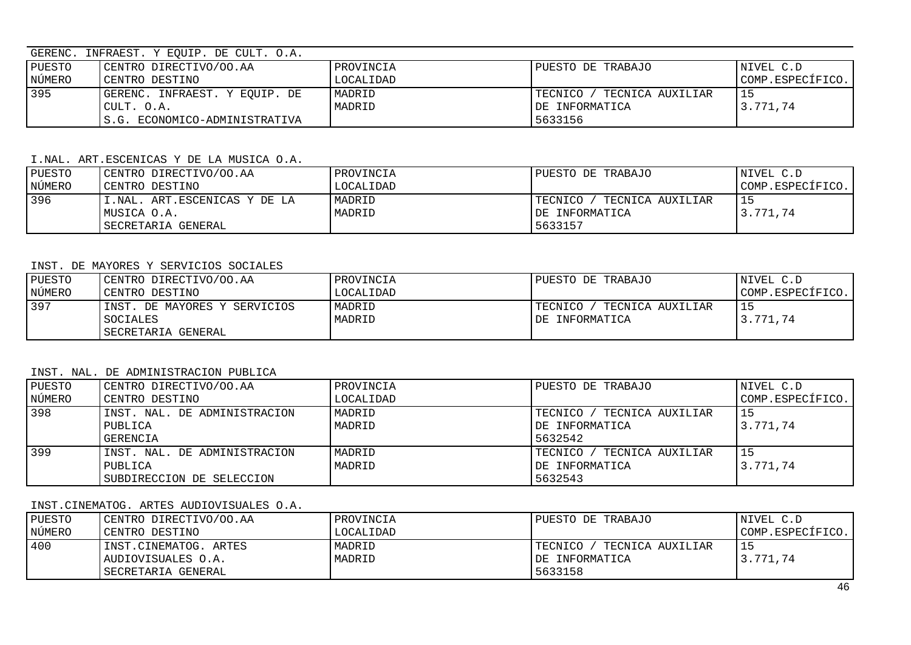### GERENC. INFRAEST. Y EQUIP. DE CULT. O.A.

| PUESTO | CENTRO DIRECTIVO/OO.AA        | PROVINCIA | PUESTO DE TRABAJO               | NIVEL C.D        |
|--------|-------------------------------|-----------|---------------------------------|------------------|
| NÚMERO | CENTRO DESTINO                | LOCALIDAD |                                 | COMP.ESPECÍFICO. |
| 395    | GERENC. INFRAEST. Y EOUIP. DE | MADRID    | TECNICO /<br>' TECNICA AUXILIAR |                  |
|        | CULT. O.A.                    | MADRID    | IDE INFORMATICA                 | 3.771.74         |
|        | S.G. ECONOMICO-ADMINISTRATIVA |           | 5633156                         |                  |

#### I.NAL. ART.ESCENICAS Y DE LA MUSICA O.A.

| PUESTO | CENTRO DIRECTIVO/OO.AA        | PROVINCIA | PUESTO DE TRABAJO             | NIVEL C.D        |
|--------|-------------------------------|-----------|-------------------------------|------------------|
| NÚMERO | CENTRO DESTINO                | LOCALIDAD |                               | COMP.ESPECÍFICO. |
| 396    | II.NAL. ART.ESCENICAS Y DE LA | MADRID    | TECNICO /<br>TECNICA AUXILIAR |                  |
|        | IMUSICA O.A.                  | MADRID    | IDE INFORMATICA               | 3.771.74         |
|        | SECRETARIA GENERAL            |           | 5633157                       |                  |

### INST. DE MAYORES Y SERVICIOS SOCIALES

| PUESTO          | CENTRO DIRECTIVO/OO.AA       | PROVINCIA | PUESTO DE TRABAJO             | NIVEL C.D        |
|-----------------|------------------------------|-----------|-------------------------------|------------------|
| NÚMERO          | CENTRO DESTINO               | LOCALIDAD |                               | COMP.ESPECIFICO. |
| $\frac{1}{397}$ | INST. DE MAYORES Y SERVICIOS | MADRID    | TECNICA AUXILIAR<br>TECNICO / |                  |
|                 | SOCIALES                     | MADRID    | DE INFORMATICA                | 3.771.74         |
|                 | SECRETARIA GENERAL           |           |                               |                  |

#### INST. NAL. DE ADMINISTRACION PUBLICA

| PUESTO | CENTRO DIRECTIVO/OO.AA       | PROVINCIA | PUESTO DE TRABAJO               | NIVEL C.D        |
|--------|------------------------------|-----------|---------------------------------|------------------|
| NÚMERO | CENTRO DESTINO               | LOCALIDAD |                                 | COMP.ESPECÍFICO. |
| 398    | INST. NAL. DE ADMINISTRACION | MADRID    | TECNICO /<br>' TECNICA AUXILIAR |                  |
|        | PUBLICA                      | MADRID    | DE INFORMATICA                  | 3.771.74         |
|        | GERENCIA                     |           | 5632542                         |                  |
| 399    | INST. NAL. DE ADMINISTRACION | MADRID    | TECNICO<br>TECNICA AUXILIAR     |                  |
|        | PUBLICA                      | MADRID    | DE INFORMATICA                  | 3.771,74         |
|        | SUBDIRECCION DE SELECCION    |           | 5632543                         |                  |

### INST.CINEMATOG. ARTES AUDIOVISUALES O.A.

| PUESTO | CENTRO DIRECTIVO/OO.AA | PROVINCIA | PUESTO DE TRABAJO             | NIVEL C.D        |
|--------|------------------------|-----------|-------------------------------|------------------|
| NÚMERO | CENTRO DESTINO         | LOCALIDAD |                               | COMP.ESPECÍFICO. |
| 400    | INST.CINEMATOG. ARTES  | MADRID    | TECNICO /<br>TECNICA AUXILIAR |                  |
|        | AUDIOVISUALES O.A.     | MADRID    | DE INFORMATICA                | 3.771.74         |
|        | SECRETARIA GENERAL     |           | 5633158                       |                  |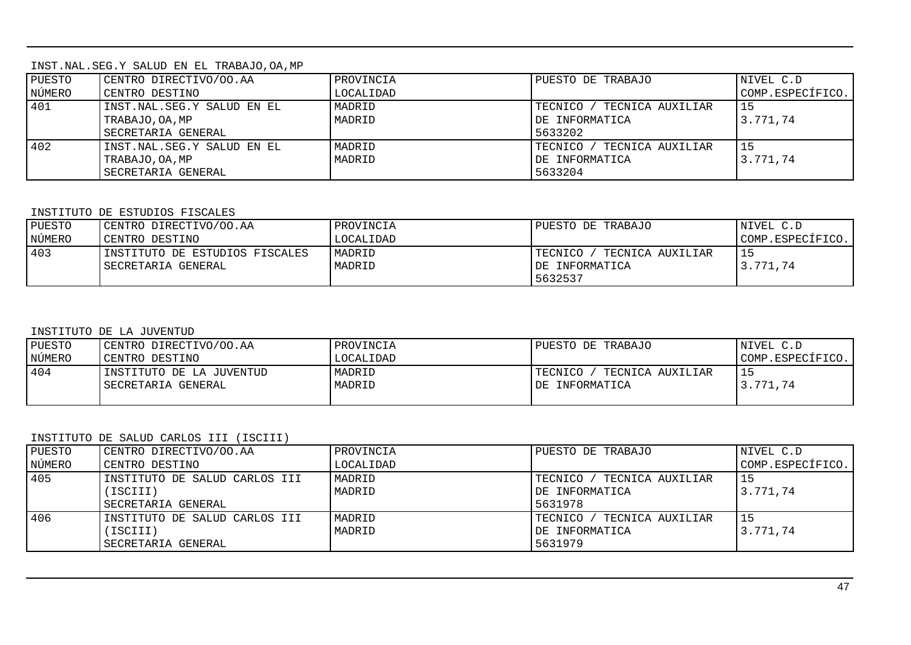INST.NAL.SEG.Y SALUD EN EL TRABAJO,OA,MP

| PUESTO | CENTRO DIRECTIVO/OO.AA     | PROVINCIA | PUESTO DE TRABAJO               | NIVEL C.D        |
|--------|----------------------------|-----------|---------------------------------|------------------|
| NÚMERO | CENTRO DESTINO             | LOCALIDAD |                                 | COMP.ESPECÍFICO. |
| 401    | INST.NAL.SEG.Y SALUD EN EL | MADRID    | TECNICO /<br>' TECNICA AUXILIAR |                  |
|        | TRABAJO, OA, MP            | MADRID    | DE INFORMATICA                  | 3.771,74         |
|        | SECRETARIA GENERAL         |           | 5633202                         |                  |
| 402    | INST.NAL.SEG.Y SALUD EN EL | MADRID    | TECNICO /<br>' TECNICA AUXILIAR |                  |
|        | TRABAJO, OA, MP            | MADRID    | DE INFORMATICA                  | 3.771.74         |
|        | SECRETARIA GENERAL         |           | 5633204                         |                  |

### INSTITUTO DE ESTUDIOS FISCALES

| PUESTO | CENTRO DIRECTIVO/OO.AA          | PROVINCIA | PUESTO DE TRABAJO            | NIVEL C.D        |
|--------|---------------------------------|-----------|------------------------------|------------------|
| NÚMERO | CENTRO DESTINO                  | LOCALIDAD |                              | COMP.ESPECÍFICO. |
| 403    | IINSTITUTO DE ESTUDIOS FISCALES | MADRID    | TECNICO.<br>TECNICA AUXILIAR |                  |
|        | SECRETARIA GENERAL              | MADRID    | DE INFORMATICA               | 3.771,74         |
|        |                                 |           | 5632537                      |                  |

### INSTITUTO DE LA JUVENTUD

| PUESTO | CENTRO DIRECTIVO/OO.AA   | PROVINCIA | PUESTO DE TRABAJO           | NIVEL C.D        |
|--------|--------------------------|-----------|-----------------------------|------------------|
| NÚMERO | CENTRO DESTINO           | LOCALIDAD |                             | COMP.ESPECÍFICO. |
| 404    | INSTITUTO DE LA JUVENTUD | MADRID    | TECNICO<br>TECNICA AUXILIAR |                  |
|        | SECRETARIA GENERAL       | MADRID    | IDE INFORMATICA             | 3.771.74         |
|        |                          |           |                             |                  |

## INSTITUTO DE SALUD CARLOS III (ISCIII)

| PUESTO | CENTRO DIRECTIVO/OO.AA        | PROVINCIA | PUESTO DE TRABAJO               | NIVEL C.D        |
|--------|-------------------------------|-----------|---------------------------------|------------------|
| NÚMERO | CENTRO DESTINO                | LOCALIDAD |                                 | COMP.ESPECÍFICO. |
| 405    | INSTITUTO DE SALUD CARLOS III | MADRID    | TECNICO /<br>/ TECNICA AUXILIAR | l 15             |
|        | ISCIII)                       | MADRID    | DE INFORMATICA                  | 3.771.74         |
|        | SECRETARIA GENERAL            |           | 5631978                         |                  |
| 406    | INSTITUTO DE SALUD CARLOS III | MADRID    | TECNICO /<br>' TECNICA AUXILIAR | l 15             |
|        | ISCIII)                       | MADRID    | DE INFORMATICA                  | 3.771.74         |
|        | SECRETARIA GENERAL            |           | 5631979                         |                  |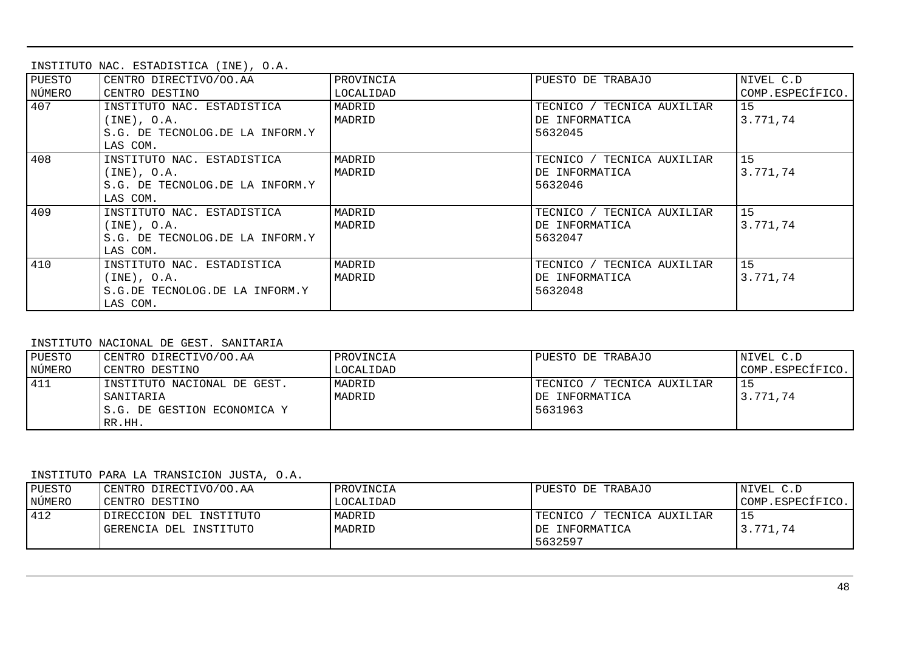|  | INSTITUTO NAC. ESTADISTICA (INE), O.A. |  |
|--|----------------------------------------|--|
|  |                                        |  |

| PUESTO | CENTRO DIRECTIVO/OO.AA          | PROVINCIA | PUESTO DE TRABAJO          | NIVEL C.D        |
|--------|---------------------------------|-----------|----------------------------|------------------|
| NÚMERO | CENTRO DESTINO                  | LOCALIDAD |                            | COMP.ESPECÍFICO. |
| 407    | INSTITUTO NAC. ESTADISTICA      | MADRID    | TECNICO / TECNICA AUXILIAR | 15               |
|        | $(\text{INE})$ , $\text{O.A.}$  | MADRID    | DE INFORMATICA             | 3.771.74         |
|        | S.G. DE TECNOLOG.DE LA INFORM.Y |           | 5632045                    |                  |
|        | LAS COM.                        |           |                            |                  |
| 408    | INSTITUTO NAC. ESTADISTICA      | MADRID    | TECNICO / TECNICA AUXILIAR | 15               |
|        | (INE), O.A.                     | MADRID    | DE INFORMATICA             | 3.771.74         |
|        | S.G. DE TECNOLOG.DE LA INFORM.Y |           | 5632046                    |                  |
|        | LAS COM.                        |           |                            |                  |
| 409    | INSTITUTO NAC. ESTADISTICA      | MADRID    | TECNICO / TECNICA AUXILIAR | 15 <sub>1</sub>  |
|        | (INE), O.A.                     | MADRID    | DE INFORMATICA             | 3.771,74         |
|        | S.G. DE TECNOLOG.DE LA INFORM.Y |           | 5632047                    |                  |
|        | LAS COM.                        |           |                            |                  |
| 410    | INSTITUTO NAC. ESTADISTICA      | MADRID    | TECNICO / TECNICA AUXILIAR | 15               |
|        | $(INE)$ , O.A.                  | MADRID    | DE INFORMATICA             | 3.771,74         |
|        | S.G.DE TECNOLOG.DE LA INFORM.Y  |           | 5632048                    |                  |
|        | LAS COM.                        |           |                            |                  |

#### INSTITUTO NACIONAL DE GEST. SANITARIA

| PUESTO | CENTRO DIRECTIVO/OO.AA                                                            | PROVINCIA        | PUESTO DE TRABAJO                                             | NIVEL C.D        |
|--------|-----------------------------------------------------------------------------------|------------------|---------------------------------------------------------------|------------------|
| NÚMERO | CENTRO DESTINO                                                                    | LOCALIDAD        |                                                               | COMP.ESPECÍFICO. |
| 411    | INSTITUTO NACIONAL DE GEST.<br>SANITARIA<br>S.G. DE GESTION ECONOMICA Y<br>RR.HH. | MADRID<br>MADRID | TECNICO /<br>' TECNICA AUXILIAR<br>IDE INFORMATICA<br>5631963 | 3.771.74         |

### INSTITUTO PARA LA TRANSICION JUSTA, O.A.

| PUESTO | CENTRO DIRECTIVO/OO.AA  | PROVINCIA | PUESTO DE TRABAJO               | NIVEL C.D        |
|--------|-------------------------|-----------|---------------------------------|------------------|
| NÚMERO | CENTRO DESTINO          | LOCALIDAD |                                 | COMP.ESPECÍFICO. |
| 412    | DIRECCION DEL INSTITUTO | MADRID    | TECNICO /<br>' TECNICA AUXILIAR |                  |
|        | GERENCIA DEL INSTITUTO  | MADRID    | IDE INFORMATICA                 | 3.771.74         |
|        |                         |           | 5632597                         |                  |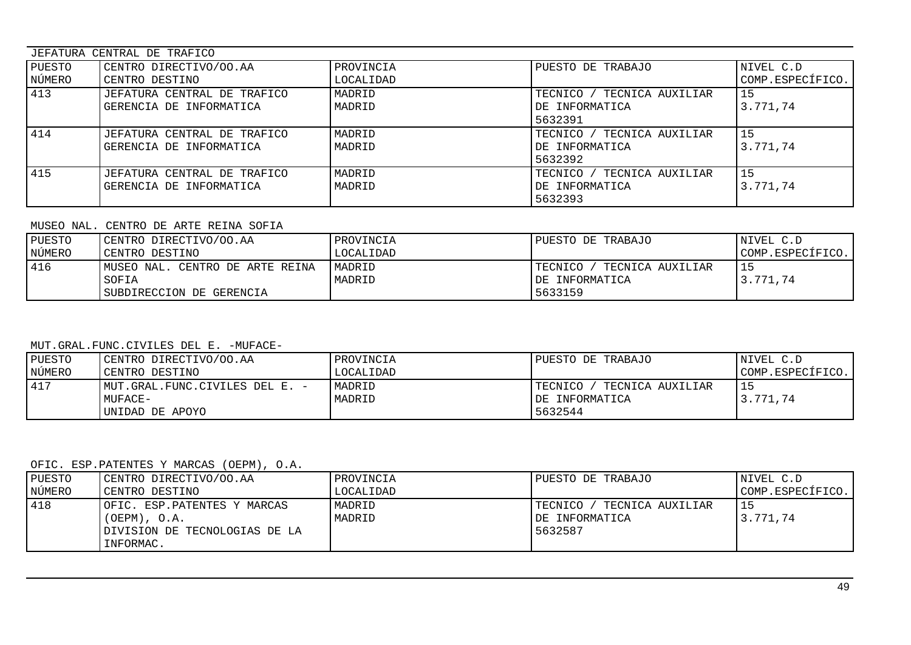| JEFATURA CENTRAL DE TRAFICO |                             |           |                                 |                  |  |
|-----------------------------|-----------------------------|-----------|---------------------------------|------------------|--|
| PUESTO                      | CENTRO DIRECTIVO/OO.AA      | PROVINCIA | PUESTO DE TRABAJO               | NIVEL C.D        |  |
| NÚMERO                      | CENTRO DESTINO              | LOCALIDAD |                                 | COMP.ESPECÍFICO. |  |
| 413                         | JEFATURA CENTRAL DE TRAFICO | MADRID    | TECNICO /<br>' TECNICA AUXILIAR | l 15             |  |
|                             | GERENCIA DE INFORMATICA     | MADRID    | DE INFORMATICA                  | 3.771,74         |  |
|                             |                             |           | 5632391                         |                  |  |
| 414                         | JEFATURA CENTRAL DE TRAFICO | MADRID    | TECNICO / TECNICA AUXILIAR      | l 15             |  |
|                             | GERENCIA DE INFORMATICA     | MADRID    | DE INFORMATICA                  | 3.771.74         |  |
|                             |                             |           | 5632392                         |                  |  |
| 415                         | JEFATURA CENTRAL DE TRAFICO | MADRID    | TECNICO /<br>' TECNICA AUXILIAR | l 15             |  |
|                             | GERENCIA DE INFORMATICA     | MADRID    | DE INFORMATICA                  | 3.771.74         |  |
|                             |                             |           | 5632393                         |                  |  |

#### MUSEO NAL. CENTRO DE ARTE REINA SOFIA

| PUESTO<br>NÚMERO | CENTRO DIRECTIVO/OO.AA<br>CENTRO DESTINO | PROVINCIA<br>LOCALIDAD | PUESTO DE TRABAJO             | NIVEL C.D<br>COMP.ESPECÍFICO. |
|------------------|------------------------------------------|------------------------|-------------------------------|-------------------------------|
| 416              | IMUSEO NAL. CENTRO DE ARTE REINA         | MADRID                 | TECNICO /<br>TECNICA AUXILIAR |                               |
|                  | SOFIA<br>SUBDIRECCION DE GERENCIA        | MADRID                 | DE INFORMATICA<br>5633159     | 3.771.74                      |

## MUT.GRAL.FUNC.CIVILES DEL E. -MUFACE-

| PUESTO | CENTRO DIRECTIVO/OO.AA         | PROVINCIA | PUESTO DE TRABAJO             | NIVEL C.D        |
|--------|--------------------------------|-----------|-------------------------------|------------------|
| NÚMERO | CENTRO DESTINO                 | LOCALIDAD |                               | COMP.ESPECÍFICO. |
| 417    | MUT.GRAL.FUNC.CIVILES DEL E. - | MADRID    | TECNICO /<br>TECNICA AUXILIAR |                  |
|        | MUFACE-                        | MADRID    | IDE INFORMATICA               | 3.771.74         |
|        | UNIDAD DE APOYO                |           | 5632544                       |                  |

### OFIC. ESP.PATENTES Y MARCAS (OEPM), O.A.

| PUESTO<br>NÚMERO | CENTRO DIRECTIVO/OO.AA<br>CENTRO DESTINO         | PROVINCIA<br>LOCALIDAD | PUESTO DE TRABAJO                             | NIVEL C.D<br>COMP.ESPECÍFICO. |
|------------------|--------------------------------------------------|------------------------|-----------------------------------------------|-------------------------------|
| 418              | OFIC. ESP.PATENTES Y MARCAS<br>$(OEPM)$ , $O.A.$ | MADRID<br>MADRID       | TECNICO<br>TECNICA AUXILIAR<br>DE INFORMATICA | 3.771.74                      |
|                  | DIVISION DE TECNOLOGIAS DE LA<br>INFORMAC.       |                        | 5632587                                       |                               |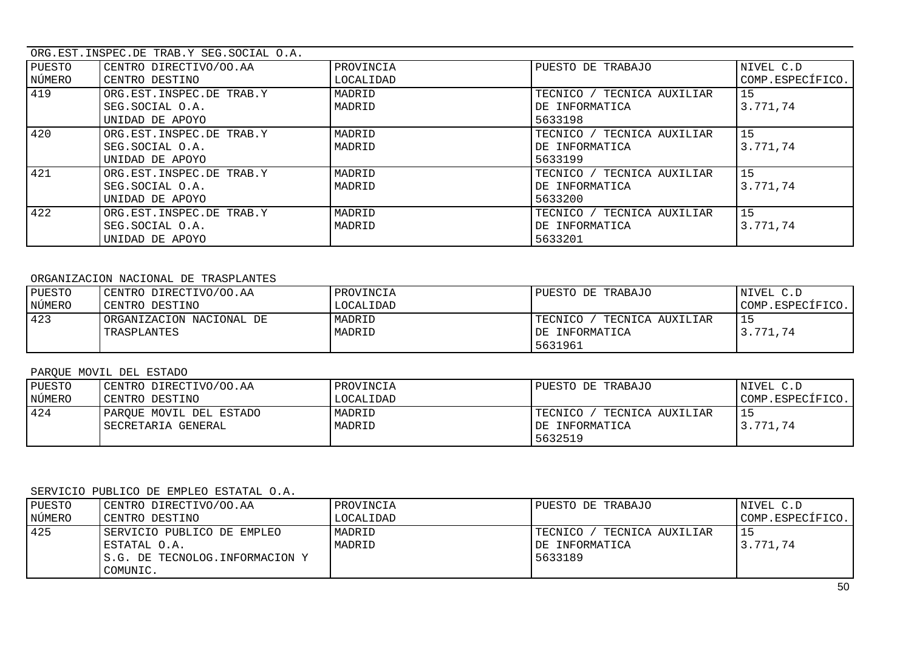|        | ORG.EST.INSPEC.DE TRAB.Y SEG.SOCIAL O.A. |           |                            |                  |  |
|--------|------------------------------------------|-----------|----------------------------|------------------|--|
| PUESTO | CENTRO DIRECTIVO/OO.AA                   | PROVINCIA | PUESTO DE TRABAJO          | NIVEL C.D        |  |
| NÚMERO | CENTRO DESTINO                           | LOCALIDAD |                            | COMP.ESPECÍFICO. |  |
| 419    | ORG.EST.INSPEC.DE TRAB.Y                 | MADRID    | TECNICO / TECNICA AUXILIAR | 15               |  |
|        | SEG.SOCIAL O.A.                          | MADRID    | DE INFORMATICA             | 3.771,74         |  |
|        | UNIDAD DE APOYO                          |           | 5633198                    |                  |  |
| 420    | ORG.EST.INSPEC.DE TRAB.Y                 | MADRID    | TECNICO / TECNICA AUXILIAR | 15               |  |
|        | SEG.SOCIAL O.A.                          | MADRID    | DE INFORMATICA             | 3.771.74         |  |
|        | UNIDAD DE APOYO                          |           | 5633199                    |                  |  |
| 421    | ORG.EST.INSPEC.DE TRAB.Y                 | MADRID    | TECNICO / TECNICA AUXILIAR | 15               |  |
|        | SEG.SOCIAL O.A.                          | MADRID    | DE INFORMATICA             | 3.771,74         |  |
|        | UNIDAD DE APOYO                          |           | 5633200                    |                  |  |
| 422    | ORG.EST.INSPEC.DE TRAB.Y                 | MADRID    | TECNICO / TECNICA AUXILIAR | 15               |  |
|        | SEG.SOCIAL O.A.                          | MADRID    | DE INFORMATICA             | 3.771.74         |  |
|        | UNIDAD DE APOYO                          |           | 5633201                    |                  |  |

### ORGANIZACION NACIONAL DE TRASPLANTES

| PUESTO | CENTRO DIRECTIVO/OO.AA   | PROVINCIA | PUESTO DE TRABAJO           | NIVEL C.D        |
|--------|--------------------------|-----------|-----------------------------|------------------|
| NÚMERO | CENTRO DESTINO           | LOCALIDAD |                             | COMP.ESPECÍFICO. |
| 423    | ORGANIZACION NACIONAL DE | MADRID    | TECNICO<br>TECNICA AUXILIAR |                  |
|        | TRASPLANTES              | MADRID    | IDE INFORMATICA             | 3.771.74         |
|        |                          |           | 5631961                     |                  |

## PARQUE MOVIL DEL ESTADO

| PUESTO | CENTRO DIRECTIVO/OO.AA  | PROVINCIA | PUESTO DE TRABAJO             | NIVEL C.D        |
|--------|-------------------------|-----------|-------------------------------|------------------|
| NÚMERO | CENTRO DESTINO          | LOCALIDAD |                               | COMP.ESPECÍFICO. |
| 424    | PAROUE MOVIL DEL ESTADO | MADRID    | TECNICO /<br>TECNICA AUXILIAR |                  |
|        | SECRETARIA GENERAL      | MADRID    | IDE INFORMATICA               | 3.771,74         |
|        |                         |           | 5632519                       |                  |

## SERVICIO PUBLICO DE EMPLEO ESTATAL O.A.

| PUESTO | CENTRO DIRECTIVO/OO.AA                                                                   | PROVINCIA        | PUESTO DE TRABAJO                                          | NIVEL C.D        |
|--------|------------------------------------------------------------------------------------------|------------------|------------------------------------------------------------|------------------|
| NÚMERO | CENTRO DESTINO                                                                           | LOCALIDAD        |                                                            | COMP.ESPECÍFICO. |
| 425    | SERVICIO PUBLICO DE EMPLEO<br>ESTATAL O.A.<br>S.G. DE TECNOLOG.INFORMACION Y<br>COMUNIC. | MADRID<br>MADRID | TECNICA AUXILIAR<br>TECNICO /<br>DE INFORMATICA<br>5633189 | 3.771,74         |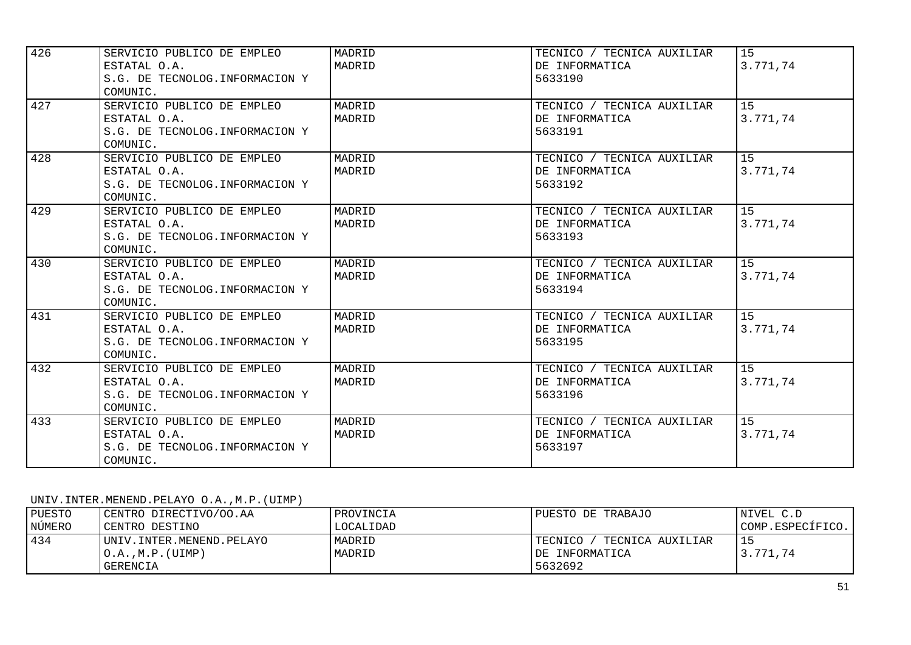| 426 | SERVICIO PUBLICO DE EMPLEO      | MADRID | TECNICO / TECNICA AUXILIAR | 15       |
|-----|---------------------------------|--------|----------------------------|----------|
|     | ESTATAL O.A.                    | MADRID | DE INFORMATICA             | 3.771,74 |
|     | S.G. DE TECNOLOG. INFORMACION Y |        | 5633190                    |          |
|     | COMUNIC.                        |        |                            |          |
| 427 | SERVICIO PUBLICO DE EMPLEO      | MADRID | TECNICO / TECNICA AUXILIAR | 15       |
|     | ESTATAL O.A.                    | MADRID | DE INFORMATICA             | 3.771,74 |
|     | S.G. DE TECNOLOG. INFORMACION Y |        | 5633191                    |          |
|     | COMUNIC.                        |        |                            |          |
| 428 | SERVICIO PUBLICO DE EMPLEO      | MADRID | TECNICO / TECNICA AUXILIAR | 15       |
|     | ESTATAL O.A.                    | MADRID | DE INFORMATICA             | 3.771,74 |
|     | S.G. DE TECNOLOG. INFORMACION Y |        | 5633192                    |          |
|     | COMUNIC.                        |        |                            |          |
| 429 | SERVICIO PUBLICO DE EMPLEO      | MADRID | TECNICO / TECNICA AUXILIAR | 15       |
|     | ESTATAL O.A.                    | MADRID | DE INFORMATICA             | 3.771,74 |
|     | S.G. DE TECNOLOG. INFORMACION Y |        | 5633193                    |          |
|     | COMUNIC.                        |        |                            |          |
| 430 | SERVICIO PUBLICO DE EMPLEO      | MADRID | TECNICO / TECNICA AUXILIAR | 15       |
|     | ESTATAL O.A.                    | MADRID | DE INFORMATICA             | 3.771,74 |
|     | S.G. DE TECNOLOG. INFORMACION Y |        | 5633194                    |          |
|     | COMUNIC.                        |        |                            |          |
| 431 | SERVICIO PUBLICO DE EMPLEO      | MADRID | TECNICO / TECNICA AUXILIAR | 15       |
|     | ESTATAL O.A.                    | MADRID | DE INFORMATICA             | 3.771,74 |
|     | S.G. DE TECNOLOG. INFORMACION Y |        | 5633195                    |          |
|     | COMUNIC.                        |        |                            |          |
| 432 | SERVICIO PUBLICO DE EMPLEO      | MADRID | TECNICO / TECNICA AUXILIAR | 15       |
|     | ESTATAL O.A.                    | MADRID | DE INFORMATICA             | 3.771,74 |
|     | S.G. DE TECNOLOG. INFORMACION Y |        | 5633196                    |          |
|     | COMUNIC.                        |        |                            |          |
| 433 | SERVICIO PUBLICO DE EMPLEO      | MADRID | TECNICO / TECNICA AUXILIAR | 15       |
|     | ESTATAL O.A.                    | MADRID | DE INFORMATICA             | 3.771,74 |
|     | S.G. DE TECNOLOG. INFORMACION Y |        | 5633197                    |          |
|     | COMUNIC.                        |        |                            |          |

### UNIV.INTER.MENEND.PELAYO O.A.,M.P.(UIMP)

| PUESTO | CENTRO DIRECTIVO/OO.AA   | PROVINCIA | PUESTO DE TRABAJO           | NIVEL C.D        |
|--------|--------------------------|-----------|-----------------------------|------------------|
| NÚMERO | CENTRO DESTINO           | LOCALIDAD |                             | COMP.ESPECÍFICO. |
| 434    | UNIV.INTER.MENEND.PELAYO | MADRID    | TECNICO<br>TECNICA AUXILIAR |                  |
|        | O.A., M.P. (UIMP)        | MADRID    | IDE INFORMATICA             | 3.771,74         |
|        | GERENCIA                 |           | 5632692                     |                  |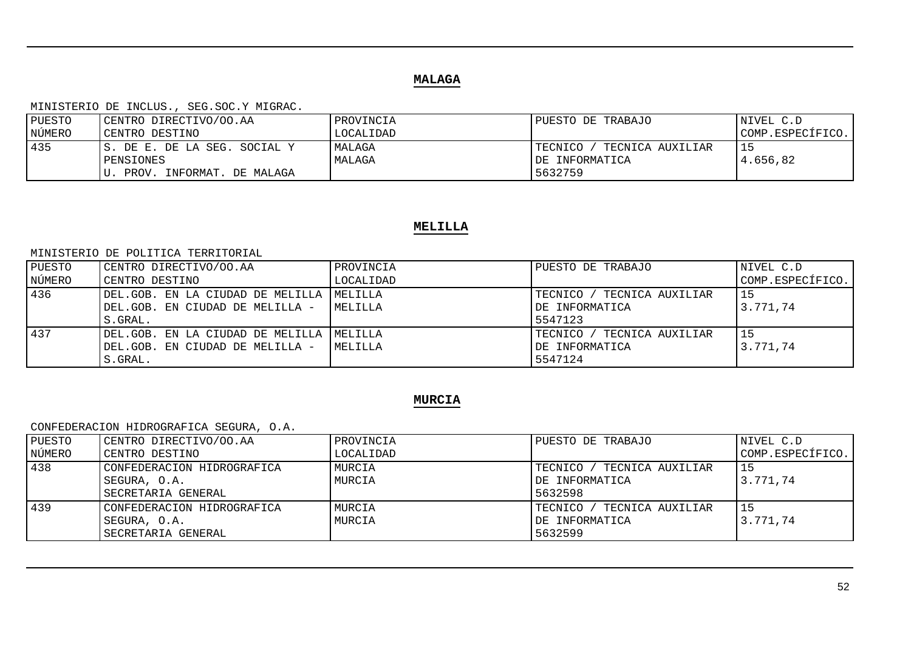## **MALAGA**

#### MINISTERIO DE INCLUS., SEG.SOC.Y MIGRAC.

| PUESTO | CENTRO DIRECTIVO/OO.AA        | PROVINCIA | PUESTO DE TRABAJO           | NIVEL C.D        |
|--------|-------------------------------|-----------|-----------------------------|------------------|
| NÚMERO | CENTRO DESTINO                | LOCALIDAD |                             | COMP.ESPECÍFICO. |
| 435    | IS. DE E. DE LA SEG. SOCIAL Y | MALAGA    | TECNICA AUXILIAR<br>TECNICO |                  |
|        | PENSIONES                     | MALAGA    | IDE INFORMATICA             | 4.656,82         |
|        | PROV. INFORMAT. DE MALAGA     |           | 5632759                     |                  |

## **MELILLA**

#### MINISTERIO DE POLITICA TERRITORIAL

| PUESTO | CENTRO DIRECTIVO/OO.AA                      | <i><b>IPROVINCIA</b></i> | PUESTO DE TRABAJO               | NIVEL C.D        |
|--------|---------------------------------------------|--------------------------|---------------------------------|------------------|
| NÚMERO | CENTRO DESTINO                              | LOCALIDAD                |                                 | COMP.ESPECÍFICO. |
| 436    | DEL.GOB. EN LA CIUDAD DE MELILLA    MELILLA |                          | TECNICO /<br>/ TECNICA AUXILIAR | 15               |
|        | DEL.GOB. EN CIUDAD DE MELILLA -             | MELILLA                  | DE INFORMATICA                  | 3.771.74         |
|        | S.GRAL.                                     |                          | 5547123                         |                  |
| 437    | DEL.GOB. EN LA CIUDAD DE MELILLA   MELILLA  |                          | TECNICO /<br>/ TECNICA AUXILIAR | 15               |
|        | DEL.GOB. EN CIUDAD DE MELILLA -             | MELILLA                  | DE INFORMATICA                  | 3.771.74         |
|        | S.GRAL.                                     |                          | 5547124                         |                  |

## **MURCIA**

### CONFEDERACION HIDROGRAFICA SEGURA, O.A.

| PUESTO | CENTRO DIRECTIVO/OO.AA     | PROVINCIA | PUESTO DE TRABAJO               | NIVEL C.D        |
|--------|----------------------------|-----------|---------------------------------|------------------|
| NÚMERO | CENTRO DESTINO             | LOCALIDAD |                                 | COMP.ESPECÍFICO. |
| 438    | CONFEDERACION HIDROGRAFICA | MURCIA    | TECNICO /<br>/ TECNICA AUXILIAR | 15               |
|        | SEGURA, O.A.               | MURCIA    | DE INFORMATICA                  | 3.771,74         |
|        | SECRETARIA GENERAL         |           | 5632598                         |                  |
| 439    | CONFEDERACION HIDROGRAFICA | MURCIA    | ' TECNICA AUXILIAR<br>TECNICO   | 15               |
|        | SEGURA, O.A.               | MURCIA    | DE INFORMATICA                  | 3.771,74         |
|        | SECRETARIA GENERAL         |           | 5632599                         |                  |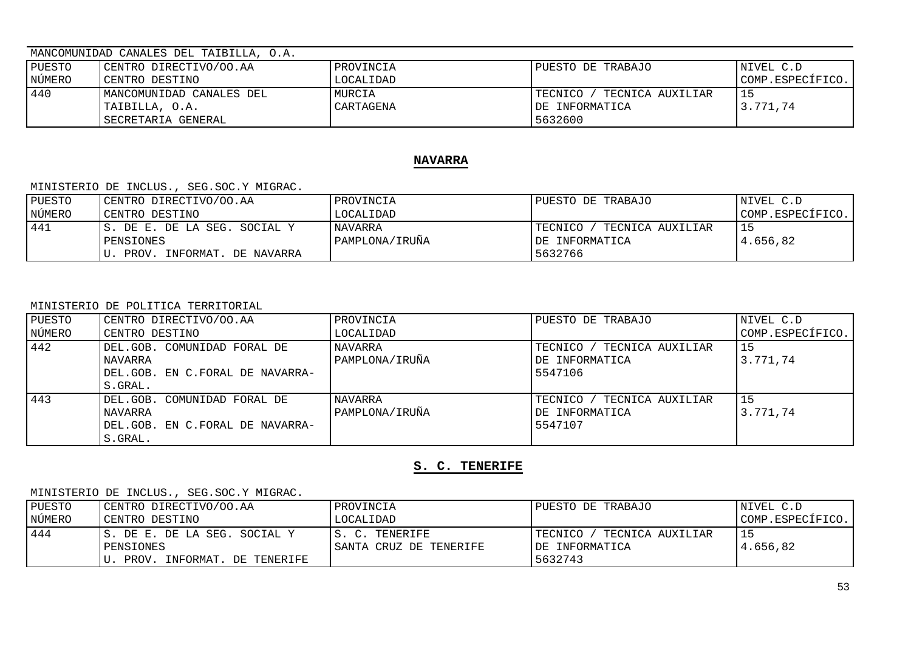## MANCOMUNIDAD CANALES DEL TAIBILLA, O.A.

| PUESTO | CENTRO DIRECTIVO/OO.AA                                           | PROVINCIA           | PUESTO DE TRABAJO                                         | NIVEL C.D        |
|--------|------------------------------------------------------------------|---------------------|-----------------------------------------------------------|------------------|
| NÚMERO | CENTRO DESTINO                                                   | LOCALIDAD           |                                                           | COMP.ESPECÍFICO. |
| 440    | MANCOMUNIDAD CANALES DEL<br>TAIBILLA, O.A.<br>SECRETARIA GENERAL | MURCIA<br>CARTAGENA | TECNICA AUXILIAR<br>TECNICO<br>IDE INFORMATICA<br>5632600 | 15<br>3.771.74   |

## **NAVARRA**

#### MINISTERIO DE INCLUS., SEG.SOC.Y MIGRAC.

| PUESTO | CENTRO DIRECTIVO/OO.AA        | PROVINCIA      | PUESTO DE TRABAJO           | NIVEL C.D        |
|--------|-------------------------------|----------------|-----------------------------|------------------|
| NÚMERO | CENTRO DESTINO                | LOCALIDAD      |                             | COMP.ESPECÍFICO. |
| 441    | IS. DE E. DE LA SEG. SOCIAL Y | <b>NAVARRA</b> | TECNICO<br>TECNICA AUXILIAR |                  |
|        | PENSIONES                     | PAMPLONA/IRUÑA | IDE INFORMATICA             | 4.656.82         |
|        | PROV. INFORMAT. DE NAVARRA    |                | 5632766                     |                  |

#### MINISTERIO DE POLITICA TERRITORIAL

| PUESTO | CENTRO DIRECTIVO/OO.AA          | PROVINCIA      | PUESTO DE TRABAJO           | NIVEL C.D        |
|--------|---------------------------------|----------------|-----------------------------|------------------|
| NÚMERO | CENTRO DESTINO                  | LOCALIDAD      |                             | COMP.ESPECÍFICO. |
| 442    | DEL.GOB. COMUNIDAD FORAL DE     | <b>NAVARRA</b> | TECNICO<br>TECNICA AUXILIAR | 15               |
|        | NAVARRA                         | PAMPLONA/IRUÑA | DE INFORMATICA              | 3.771.74         |
|        | DEL.GOB. EN C.FORAL DE NAVARRA- |                | 5547106                     |                  |
|        | S.GRAL.                         |                |                             |                  |
| 443    | DEL.GOB. COMUNIDAD FORAL DE     | NAVARRA        | TECNICO<br>TECNICA AUXILIAR | 15               |
|        | NAVARRA                         | PAMPLONA/IRUÑA | DE INFORMATICA              | 3.771.74         |
|        | DEL.GOB. EN C.FORAL DE NAVARRA- |                | 5547107                     |                  |
|        | S.GRAL.                         |                |                             |                  |

## **S. C. TENERIFE**

| PUESTO | CENTRO DIRECTIVO/OO.AA        | PROVINCIA              | PUESTO DE TRABAJO           | NIVEL C.D        |
|--------|-------------------------------|------------------------|-----------------------------|------------------|
| NÚMERO | CENTRO DESTINO                | LOCALIDAD              |                             | COMP.ESPECÍFICO. |
| 444    | IS. DE E. DE LA SEG. SOCIAL Y | IS. C. TENERIFE        | TECNICO<br>TECNICA AUXILIAR |                  |
|        | PENSIONES                     | SANTA CRUZ DE TENERIFE | IDE INFORMATICA             | 4.656.82         |
|        | PROV. INFORMAT. DE TENERIFE   |                        | 5632743                     |                  |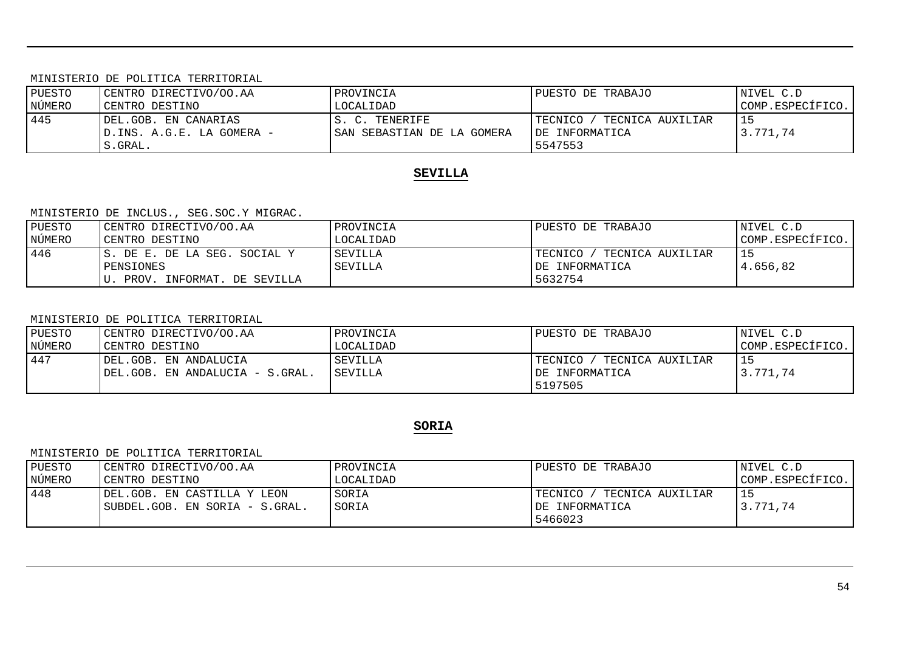MINISTERIO DE POLITICA TERRITORIAL

| PUESTO | CENTRO DIRECTIVO/OO.AA     | PROVINCIA                   | PUESTO DE TRABAJO             | NIVEL C.D        |
|--------|----------------------------|-----------------------------|-------------------------------|------------------|
| NÚMERO | CENTRO DESTINO             | LOCALIDAD                   |                               | COMP.ESPECÍFICO. |
| 445    | DEL.GOB. EN CANARIAS       | 'S. C. TENERIFE             | TECNICA AUXILIAR<br>TECNICO / |                  |
|        | ID.INS. A.G.E. LA GOMERA - | ISAN SEBASTIAN DE LA GOMERA | IDE INFORMATICA               | 3.771.74         |
|        | S.GRAL.                    |                             | 5547553                       |                  |

## **SEVILLA**

### MINISTERIO DE INCLUS., SEG.SOC.Y MIGRAC.

| PUESTO | CENTRO DIRECTIVO/OO.AA        | PROVINCIA | PUESTO DE TRABAJO           | NIVEL C.D        |
|--------|-------------------------------|-----------|-----------------------------|------------------|
| NÚMERO | CENTRO DESTINO                | LOCALIDAD |                             | COMP.ESPECÍFICO. |
| 446    | IS. DE E. DE LA SEG. SOCIAL Y | SEVILLA   | TECNICO<br>TECNICA AUXILIAR |                  |
|        | PENSIONES                     | SEVILLA   | DE INFORMATICA              | 4.656.82         |
|        | PROV. INFORMAT. DE SEVILLA    |           | 5632754                     |                  |

#### MINISTERIO DE POLITICA TERRITORIAL

| PUESTO | CENTRO DIRECTIVO/OO.AA           | PROVINCIA      | PUESTO DE TRABAJO               | NIVEL C.D        |
|--------|----------------------------------|----------------|---------------------------------|------------------|
| NÚMERO | CENTRO DESTINO                   | LOCALIDAD      |                                 | COMP.ESPECÍFICO. |
| 447    | DEL.GOB. EN ANDALUCIA            | SEVILLA        | TECNICO /<br>' TECNICA AUXILIAR |                  |
|        | IDEL.GOB. EN ANDALUCIA - S.GRAL. | <b>SEVILLA</b> | IDE INFORMATICA                 | 3.771.74         |
|        |                                  |                | 5197505                         |                  |

# **SORIA**

#### MINISTERIO DE POLITICA TERRITORIAL

| PUESTO | CENTRO DIRECTIVO/OO.AA         | PROVINCIA | PUESTO DE TRABAJO           | NIVEL C.D        |
|--------|--------------------------------|-----------|-----------------------------|------------------|
| NÚMERO | CENTRO DESTINO                 | LOCALIDAD |                             | COMP.ESPECÍFICO. |
| 448    | IDEL.GOB. EN CASTILLA Y LEON   | SORIA     | TECNICO<br>TECNICA AUXILIAR |                  |
|        | SUBDEL.GOB. EN SORIA - S.GRAL. | SORIA     | IDE INFORMATICA             | 3.771.74         |
|        |                                |           | 5466023                     |                  |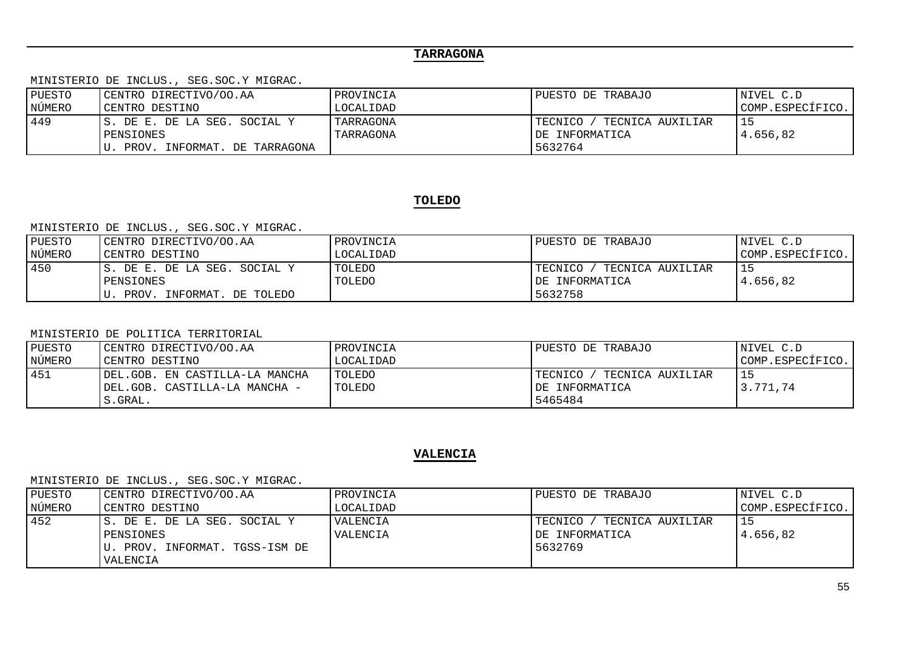# **TARRAGONA**

MINISTERIO DE INCLUS., SEG.SOC.Y MIGRAC.

| PUESTO | CENTRO DIRECTIVO/OO.AA                                                     | PROVINCIA              | PUESTO DE TRABAJO                                           | NIVEL C.D        |
|--------|----------------------------------------------------------------------------|------------------------|-------------------------------------------------------------|------------------|
| NÚMERO | CENTRO DESTINO                                                             | LOCALIDAD              |                                                             | COMP.ESPECÍFICO. |
| 449    | IS. DE E. DE LA SEG. SOCIAL Y<br>PENSIONES<br>PROV. INFORMAT. DE TARRAGONA | TARRAGONA<br>TARRAGONA | TECNICA AUXILIAR<br>TECNICO /<br>IDE INFORMATICA<br>5632764 | 4.656,82         |

## **TOLEDO**

### MINISTERIO DE INCLUS., SEG.SOC.Y MIGRAC.

| PUESTO | CENTRO DIRECTIVO/OO.AA        | PROVINCIA | PUESTO DE TRABAJO           | NIVEL C.D        |
|--------|-------------------------------|-----------|-----------------------------|------------------|
| NÚMERO | CENTRO DESTINO                | LOCALIDAD |                             | COMP.ESPECÍFICO. |
| 450    | IS. DE E. DE LA SEG. SOCIAL Y | TOLEDO    | TECNICO<br>TECNICA AUXILIAR |                  |
|        | PENSIONES                     | TOLEDO    | IDE INFORMATICA             | 4.656.82         |
|        | PROV. INFORMAT. DE TOLEDO     |           | 5632758                     |                  |

#### MINISTERIO DE POLITICA TERRITORIAL

| PUESTO | CENTRO DIRECTIVO/OO.AA         | PROVINCIA     | PUESTO DE TRABAJO           | NIVEL C.D        |
|--------|--------------------------------|---------------|-----------------------------|------------------|
| NÚMERO | CENTRO DESTINO                 | LOCALIDAD     |                             | COMP.ESPECÍFICO. |
| 451    | DEL.GOB. EN CASTILLA-LA MANCHA | <b>TOLEDO</b> | TECNICA AUXILIAR<br>TECNICO |                  |
|        | DEL.GOB. CASTILLA-LA MANCHA -  | TOLEDO        | IDE INFORMATICA             | 3.771.74         |
|        | S.GRAL.                        |               | 5465484                     |                  |

### **VALENCIA**

| PUESTO | CENTRO DIRECTIVO/OO.AA          | PROVINCIA | PUESTO DE TRABAJO             | NIVEL C.D        |
|--------|---------------------------------|-----------|-------------------------------|------------------|
| NÚMERO | CENTRO DESTINO                  | LOCALIDAD |                               | COMP.ESPECÍFICO. |
| 452    | IS. DE E. DE LA SEG. SOCIAL Y   | VALENCIA  | TECNICO /<br>TECNICA AUXILIAR |                  |
|        | PENSIONES                       | VALENCIA  | IDE INFORMATICA               | 4.656.82         |
|        | IU. PROV. INFORMAT. TGSS-ISM DE |           | 5632769                       |                  |
|        | VALENCIA                        |           |                               |                  |